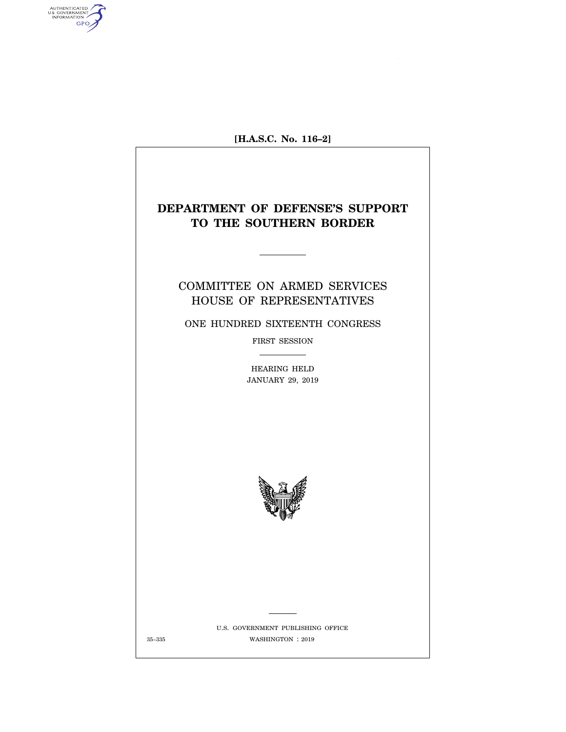

AUTHENTICATED<br>U.S. GOVERNMENT<br>INFORMATION

GPO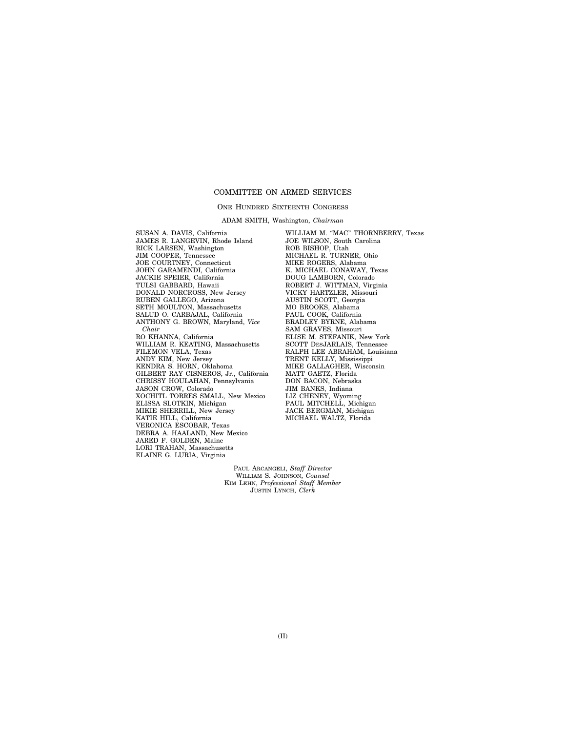# COMMITTEE ON ARMED SERVICES

### ONE HUNDRED SIXTEENTH CONGRESS

ADAM SMITH, Washington, *Chairman* 

SUSAN A. DAVIS, California JAMES R. LANGEVIN, Rhode Island RICK LARSEN, Washington JIM COOPER, Tennessee JOE COURTNEY, Connecticut JOHN GARAMENDI, California JACKIE SPEIER, California TULSI GABBARD, Hawaii DONALD NORCROSS, New Jersey RUBEN GALLEGO, Arizona SETH MOULTON, Massachusetts SALUD O. CARBAJAL, California ANTHONY G. BROWN, Maryland, *Vice Chair*  RO KHANNA, California WILLIAM R. KEATING, Massachusetts FILEMON VELA, Texas ANDY KIM, New Jersey KENDRA S. HORN, Oklahoma GILBERT RAY CISNEROS, Jr., California CHRISSY HOULAHAN, Pennsylvania JASON CROW, Colorado XOCHITL TORRES SMALL, New Mexico ELISSA SLOTKIN, Michigan MIKIE SHERRILL, New Jersey KATIE HILL, California VERONICA ESCOBAR, Texas DEBRA A. HAALAND, New Mexico JARED F. GOLDEN, Maine LORI TRAHAN, Massachusetts ELAINE G. LURIA, Virginia

WILLIAM M. "MAC" THORNBERRY, Texas JOE WILSON, South Carolina ROB BISHOP, Utah MICHAEL R. TURNER, Ohio MIKE ROGERS, Alabama K. MICHAEL CONAWAY, Texas DOUG LAMBORN, Colorado ROBERT J. WITTMAN, Virginia VICKY HARTZLER, Missouri AUSTIN SCOTT, Georgia MO BROOKS, Alabama PAUL COOK, California BRADLEY BYRNE, Alabama SAM GRAVES, Missouri ELISE M. STEFANIK, New York SCOTT DESJARLAIS, Tennessee RALPH LEE ABRAHAM, Louisiana TRENT KELLY, Mississippi MIKE GALLAGHER, Wisconsin MATT GAETZ, Florida DON BACON, Nebraska JIM BANKS, Indiana LIZ CHENEY, Wyoming PAUL MITCHELL, Michigan JACK BERGMAN, Michigan MICHAEL WALTZ, Florida

PAUL ARCANGELI, *Staff Director*  WILLIAM S. JOHNSON, *Counsel*  KIM LEHN, *Professional Staff Member*  JUSTIN LYNCH, *Clerk*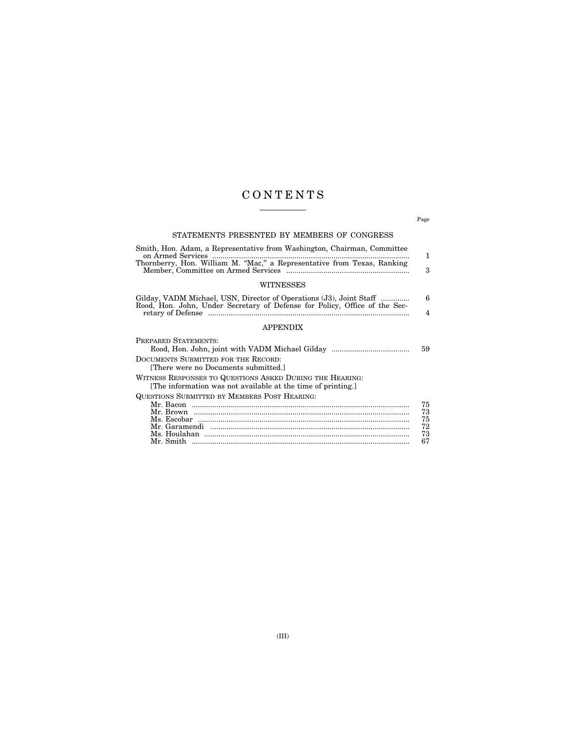# C O N T E N T S

Page

# STATEMENTS PRESENTED BY MEMBERS OF CONGRESS

| Smith, Hon. Adam, a Representative from Washington, Chairman, Committee |   |
|-------------------------------------------------------------------------|---|
|                                                                         |   |
| Thornberry, Hon. William M. "Mac," a Representative from Texas, Ranking |   |
|                                                                         | 3 |
|                                                                         |   |
| <b>WITNESSES</b>                                                        |   |

| Gilday, VADM Michael, USN, Director of Operations (J3), Joint Staff        |  |
|----------------------------------------------------------------------------|--|
| Rood, Hon. John, Under Secretary of Defense for Policy, Office of the Sec- |  |

# APPENDIX

| 59 |
|----|
|    |
|    |
|    |
| 75 |
| 73 |
| 75 |
| 72 |
| 73 |
| 67 |
|    |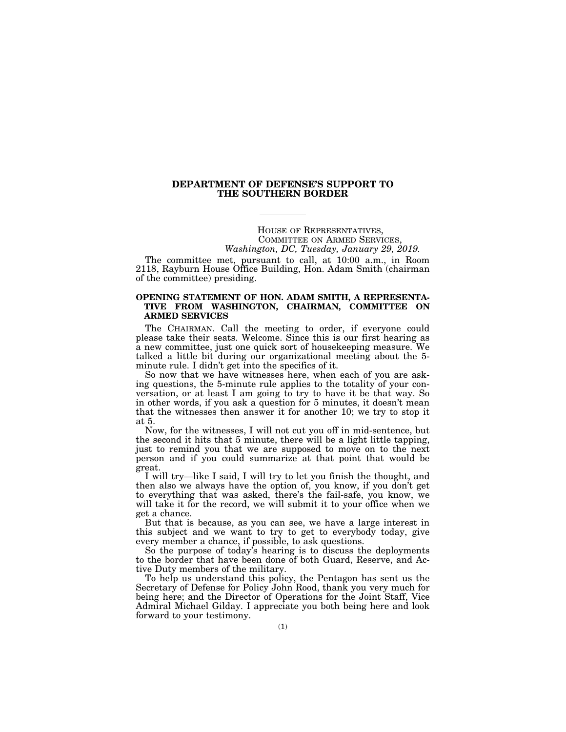## **DEPARTMENT OF DEFENSE'S SUPPORT TO THE SOUTHERN BORDER**

HOUSE OF REPRESENTATIVES, COMMITTEE ON ARMED SERVICES, *Washington, DC, Tuesday, January 29, 2019.* 

The committee met, pursuant to call, at 10:00 a.m., in Room 2118, Rayburn House Office Building, Hon. Adam Smith (chairman of the committee) presiding.

### **OPENING STATEMENT OF HON. ADAM SMITH, A REPRESENTA-TIVE FROM WASHINGTON, CHAIRMAN, COMMITTEE ON ARMED SERVICES**

The CHAIRMAN. Call the meeting to order, if everyone could please take their seats. Welcome. Since this is our first hearing as a new committee, just one quick sort of housekeeping measure. We talked a little bit during our organizational meeting about the 5 minute rule. I didn't get into the specifics of it.

So now that we have witnesses here, when each of you are asking questions, the 5-minute rule applies to the totality of your conversation, or at least I am going to try to have it be that way. So in other words, if you ask a question for 5 minutes, it doesn't mean that the witnesses then answer it for another 10; we try to stop it at 5.

Now, for the witnesses, I will not cut you off in mid-sentence, but the second it hits that 5 minute, there will be a light little tapping, just to remind you that we are supposed to move on to the next person and if you could summarize at that point that would be great.

I will try—like I said, I will try to let you finish the thought, and then also we always have the option of, you know, if you don't get to everything that was asked, there's the fail-safe, you know, we will take it for the record, we will submit it to your office when we get a chance.

But that is because, as you can see, we have a large interest in this subject and we want to try to get to everybody today, give every member a chance, if possible, to ask questions.

So the purpose of today's hearing is to discuss the deployments to the border that have been done of both Guard, Reserve, and Active Duty members of the military.

To help us understand this policy, the Pentagon has sent us the Secretary of Defense for Policy John Rood, thank you very much for being here; and the Director of Operations for the Joint Staff, Vice Admiral Michael Gilday. I appreciate you both being here and look forward to your testimony.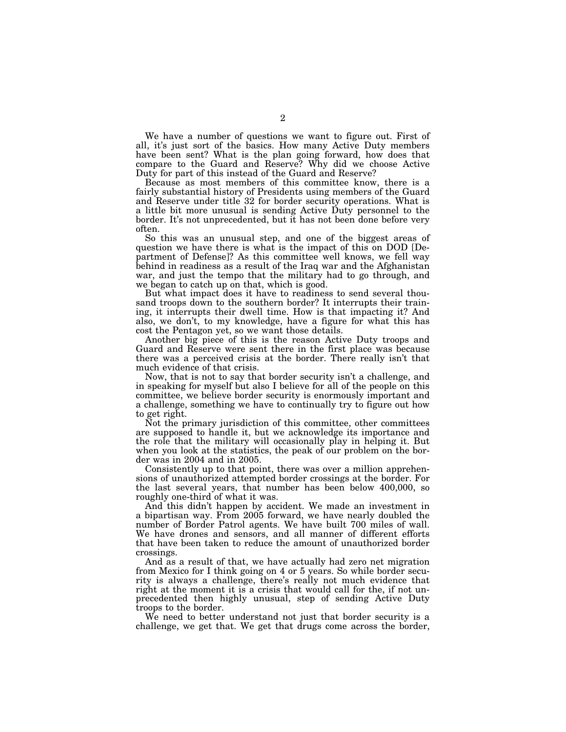We have a number of questions we want to figure out. First of all, it's just sort of the basics. How many Active Duty members have been sent? What is the plan going forward, how does that compare to the Guard and Reserve? Why did we choose Active Duty for part of this instead of the Guard and Reserve?

Because as most members of this committee know, there is a fairly substantial history of Presidents using members of the Guard and Reserve under title 32 for border security operations. What is a little bit more unusual is sending Active Duty personnel to the border. It's not unprecedented, but it has not been done before very often.

So this was an unusual step, and one of the biggest areas of question we have there is what is the impact of this on DOD [Department of Defense]? As this committee well knows, we fell way behind in readiness as a result of the Iraq war and the Afghanistan war, and just the tempo that the military had to go through, and we began to catch up on that, which is good.

But what impact does it have to readiness to send several thousand troops down to the southern border? It interrupts their training, it interrupts their dwell time. How is that impacting it? And also, we don't, to my knowledge, have a figure for what this has cost the Pentagon yet, so we want those details.

Another big piece of this is the reason Active Duty troops and Guard and Reserve were sent there in the first place was because there was a perceived crisis at the border. There really isn't that much evidence of that crisis.

Now, that is not to say that border security isn't a challenge, and in speaking for myself but also I believe for all of the people on this committee, we believe border security is enormously important and a challenge, something we have to continually try to figure out how to get right.

Not the primary jurisdiction of this committee, other committees are supposed to handle it, but we acknowledge its importance and the role that the military will occasionally play in helping it. But when you look at the statistics, the peak of our problem on the border was in 2004 and in 2005.

Consistently up to that point, there was over a million apprehensions of unauthorized attempted border crossings at the border. For the last several years, that number has been below 400,000, so roughly one-third of what it was.

And this didn't happen by accident. We made an investment in a bipartisan way. From 2005 forward, we have nearly doubled the number of Border Patrol agents. We have built 700 miles of wall. We have drones and sensors, and all manner of different efforts that have been taken to reduce the amount of unauthorized border crossings.

And as a result of that, we have actually had zero net migration from Mexico for I think going on 4 or 5 years. So while border security is always a challenge, there's really not much evidence that right at the moment it is a crisis that would call for the, if not unprecedented then highly unusual, step of sending Active Duty troops to the border.

We need to better understand not just that border security is a challenge, we get that. We get that drugs come across the border,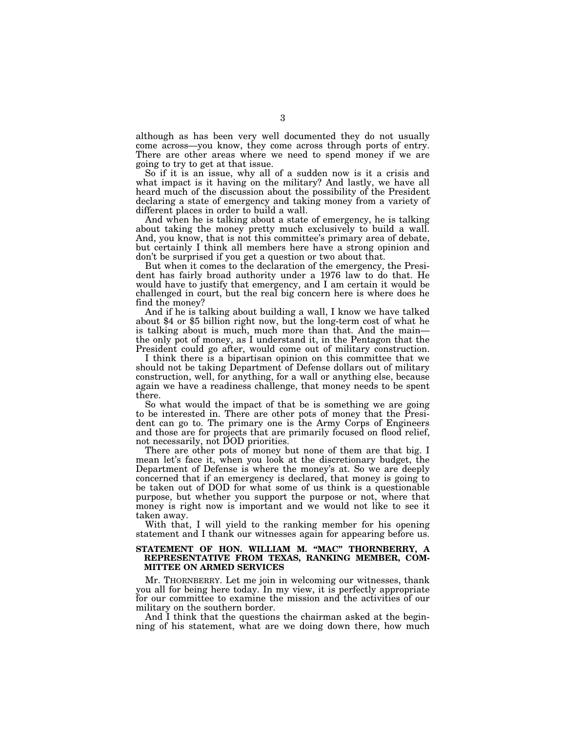although as has been very well documented they do not usually come across—you know, they come across through ports of entry. There are other areas where we need to spend money if we are going to try to get at that issue.

So if it is an issue, why all of a sudden now is it a crisis and what impact is it having on the military? And lastly, we have all heard much of the discussion about the possibility of the President declaring a state of emergency and taking money from a variety of different places in order to build a wall.

And when he is talking about a state of emergency, he is talking about taking the money pretty much exclusively to build a wall. And, you know, that is not this committee's primary area of debate, but certainly I think all members here have a strong opinion and don't be surprised if you get a question or two about that.

But when it comes to the declaration of the emergency, the President has fairly broad authority under a 1976 law to do that. He would have to justify that emergency, and I am certain it would be challenged in court, but the real big concern here is where does he find the money?<br>And if he is talking about building a wall, I know we have talked

about \$4 or \$5 billion right now, but the long-term cost of what he is talking about is much, much more than that. And the main the only pot of money, as I understand it, in the Pentagon that the President could go after, would come out of military construction.

I think there is a bipartisan opinion on this committee that we should not be taking Department of Defense dollars out of military construction, well, for anything, for a wall or anything else, because again we have a readiness challenge, that money needs to be spent there.

So what would the impact of that be is something we are going to be interested in. There are other pots of money that the President can go to. The primary one is the Army Corps of Engineers and those are for projects that are primarily focused on flood relief, not necessarily, not DOD priorities.

There are other pots of money but none of them are that big. I mean let's face it, when you look at the discretionary budget, the Department of Defense is where the money's at. So we are deeply concerned that if an emergency is declared, that money is going to be taken out of DOD for what some of us think is a questionable purpose, but whether you support the purpose or not, where that money is right now is important and we would not like to see it taken away.

With that, I will yield to the ranking member for his opening statement and I thank our witnesses again for appearing before us.

#### **STATEMENT OF HON. WILLIAM M. ''MAC'' THORNBERRY, A REPRESENTATIVE FROM TEXAS, RANKING MEMBER, COM-MITTEE ON ARMED SERVICES**

Mr. THORNBERRY. Let me join in welcoming our witnesses, thank you all for being here today. In my view, it is perfectly appropriate for our committee to examine the mission and the activities of our military on the southern border.

And I think that the questions the chairman asked at the beginning of his statement, what are we doing down there, how much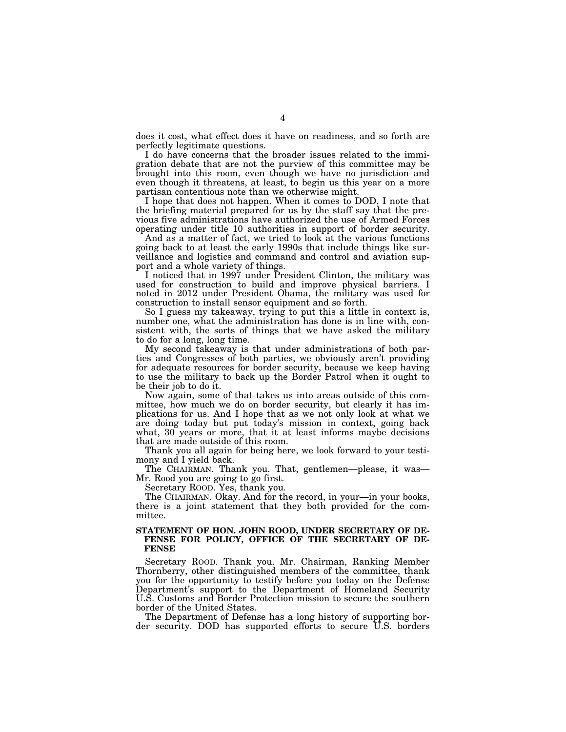does it cost, what effect does it have on readiness, and so forth are perfectly legitimate questions.

I do have concerns that the broader issues related to the immigration debate that are not the purview of this committee may be brought into this room, even though we have no jurisdiction and even though it threatens, at least, to begin us this year on a more partisan contentious note than we otherwise might.

I hope that does not happen. When it comes to DOD, I note that the briefing material prepared for us by the staff say that the previous five administrations have authorized the use of Armed Forces operating under title 10 authorities in support of border security.

And as a matter of fact, we tried to look at the various functions going back to at least the early 1990s that include things like surveillance and logistics and command and control and aviation support and a whole variety of things.

I noticed that in 1997 under President Clinton, the military was used for construction to build and improve physical barriers. I noted in 2012 under President Obama, the military was used for construction to install sensor equipment and so forth.

So I guess my takeaway, trying to put this a little in context is, number one, what the administration has done is in line with, consistent with, the sorts of things that we have asked the military to do for a long, long time.

My second takeaway is that under administrations of both parties and Congresses of both parties, we obviously aren't providing for adequate resources for border security, because we keep having to use the military to back up the Border Patrol when it ought to be their job to do it.

Now again, some of that takes us into areas outside of this committee, how much we do on border security, but clearly it has implications for us. And I hope that as we not only look at what we are doing today but put today's mission in context, going back what, 30 years or more, that it at least informs maybe decisions that are made outside of this room.

Thank you all again for being here, we look forward to your testimony and I yield back.

The CHAIRMAN. Thank you. That, gentlemen—please, it was— Mr. Rood you are going to go first.

Secretary ROOD. Yes, thank you.

The CHAIRMAN. Okay. And for the record, in your—in your books, there is a joint statement that they both provided for the committee.

### **STATEMENT OF HON. JOHN ROOD, UNDER SECRETARY OF DE-FENSE FOR POLICY, OFFICE OF THE SECRETARY OF DE-FENSE**

Secretary ROOD. Thank you. Mr. Chairman, Ranking Member Thornberry, other distinguished members of the committee, thank you for the opportunity to testify before you today on the Defense Department's support to the Department of Homeland Security U.S. Customs and Border Protection mission to secure the southern border of the United States.

The Department of Defense has a long history of supporting border security. DOD has supported efforts to secure U.S. borders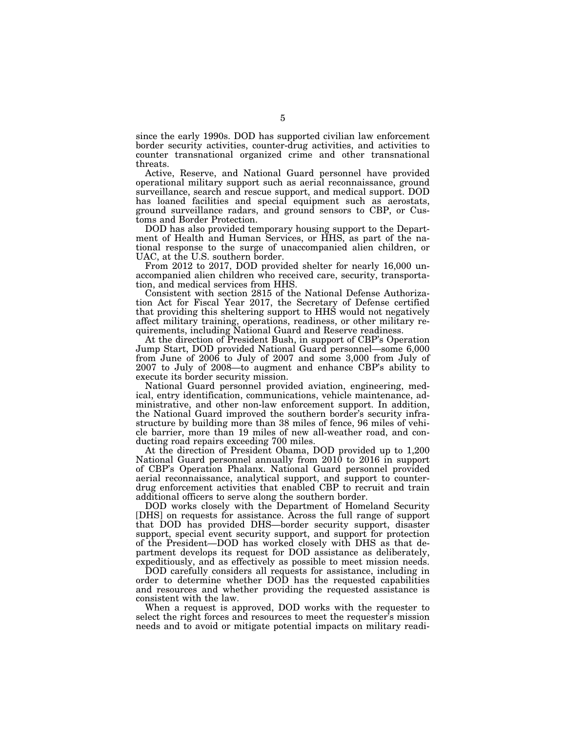since the early 1990s. DOD has supported civilian law enforcement border security activities, counter-drug activities, and activities to counter transnational organized crime and other transnational threats.

Active, Reserve, and National Guard personnel have provided operational military support such as aerial reconnaissance, ground surveillance, search and rescue support, and medical support. DOD has loaned facilities and special equipment such as aerostats, ground surveillance radars, and ground sensors to CBP, or Customs and Border Protection.

DOD has also provided temporary housing support to the Department of Health and Human Services, or HHS, as part of the national response to the surge of unaccompanied alien children, or UAC, at the U.S. southern border.

From 2012 to 2017, DOD provided shelter for nearly 16,000 unaccompanied alien children who received care, security, transportation, and medical services from HHS.

Consistent with section 2815 of the National Defense Authorization Act for Fiscal Year 2017, the Secretary of Defense certified that providing this sheltering support to HHS would not negatively affect military training, operations, readiness, or other military requirements, including National Guard and Reserve readiness.

At the direction of President Bush, in support of CBP's Operation Jump Start, DOD provided National Guard personnel—some 6,000 from June of 2006 to July of 2007 and some 3,000 from July of 2007 to July of 2008—to augment and enhance CBP's ability to execute its border security mission.

National Guard personnel provided aviation, engineering, medical, entry identification, communications, vehicle maintenance, administrative, and other non-law enforcement support. In addition, the National Guard improved the southern border's security infrastructure by building more than 38 miles of fence, 96 miles of vehicle barrier, more than 19 miles of new all-weather road, and conducting road repairs exceeding 700 miles.

At the direction of President Obama, DOD provided up to 1,200 National Guard personnel annually from 2010 to 2016 in support of CBP's Operation Phalanx. National Guard personnel provided aerial reconnaissance, analytical support, and support to counterdrug enforcement activities that enabled CBP to recruit and train additional officers to serve along the southern border.

DOD works closely with the Department of Homeland Security [DHS] on requests for assistance. Across the full range of support that DOD has provided DHS—border security support, disaster support, special event security support, and support for protection of the President—DOD has worked closely with DHS as that department develops its request for DOD assistance as deliberately, expeditiously, and as effectively as possible to meet mission needs.

DOD carefully considers all requests for assistance, including in order to determine whether DOD has the requested capabilities and resources and whether providing the requested assistance is consistent with the law.

When a request is approved, DOD works with the requester to select the right forces and resources to meet the requester's mission needs and to avoid or mitigate potential impacts on military readi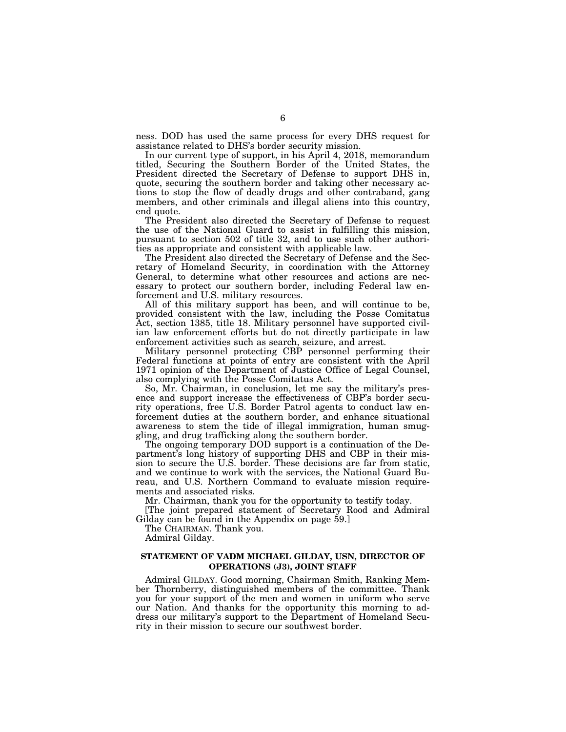ness. DOD has used the same process for every DHS request for assistance related to DHS's border security mission.

In our current type of support, in his April 4, 2018, memorandum titled, Securing the Southern Border of the United States, the President directed the Secretary of Defense to support DHS in, quote, securing the southern border and taking other necessary actions to stop the flow of deadly drugs and other contraband, gang members, and other criminals and illegal aliens into this country, end quote.

The President also directed the Secretary of Defense to request the use of the National Guard to assist in fulfilling this mission, pursuant to section 502 of title 32, and to use such other authorities as appropriate and consistent with applicable law.

The President also directed the Secretary of Defense and the Secretary of Homeland Security, in coordination with the Attorney General, to determine what other resources and actions are necessary to protect our southern border, including Federal law enforcement and U.S. military resources.

All of this military support has been, and will continue to be, provided consistent with the law, including the Posse Comitatus Act, section 1385, title 18. Military personnel have supported civilian law enforcement efforts but do not directly participate in law enforcement activities such as search, seizure, and arrest.

Military personnel protecting CBP personnel performing their Federal functions at points of entry are consistent with the April 1971 opinion of the Department of Justice Office of Legal Counsel, also complying with the Posse Comitatus Act.

So, Mr. Chairman, in conclusion, let me say the military's presence and support increase the effectiveness of CBP's border security operations, free U.S. Border Patrol agents to conduct law enforcement duties at the southern border, and enhance situational awareness to stem the tide of illegal immigration, human smuggling, and drug trafficking along the southern border.

The ongoing temporary DOD support is a continuation of the Department's long history of supporting DHS and CBP in their mission to secure the U.S. border. These decisions are far from static, and we continue to work with the services, the National Guard Bureau, and U.S. Northern Command to evaluate mission requirements and associated risks.

Mr. Chairman, thank you for the opportunity to testify today.

[The joint prepared statement of Secretary Rood and Admiral Gilday can be found in the Appendix on page 59.]

The CHAIRMAN. Thank you.

Admiral Gilday.

## **STATEMENT OF VADM MICHAEL GILDAY, USN, DIRECTOR OF OPERATIONS (J3), JOINT STAFF**

Admiral GILDAY. Good morning, Chairman Smith, Ranking Member Thornberry, distinguished members of the committee. Thank you for your support of the men and women in uniform who serve our Nation. And thanks for the opportunity this morning to address our military's support to the Department of Homeland Security in their mission to secure our southwest border.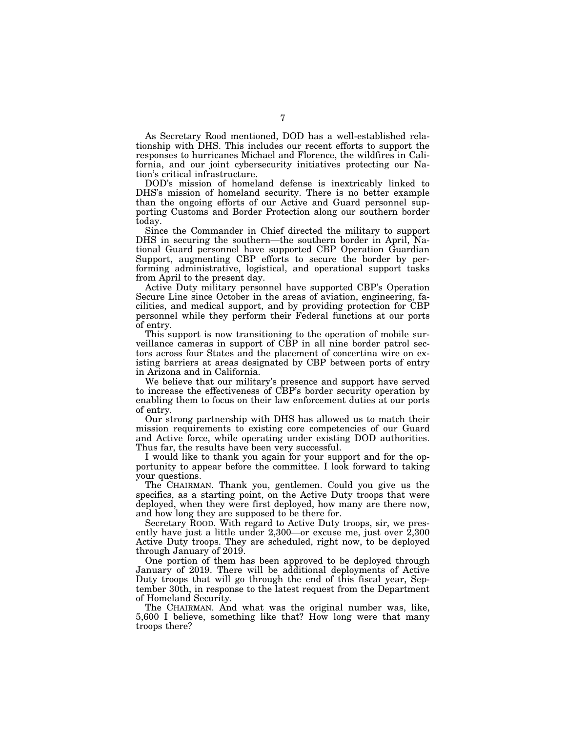As Secretary Rood mentioned, DOD has a well-established relationship with DHS. This includes our recent efforts to support the responses to hurricanes Michael and Florence, the wildfires in California, and our joint cybersecurity initiatives protecting our Nation's critical infrastructure.

DOD's mission of homeland defense is inextricably linked to DHS's mission of homeland security. There is no better example than the ongoing efforts of our Active and Guard personnel supporting Customs and Border Protection along our southern border today.

Since the Commander in Chief directed the military to support DHS in securing the southern—the southern border in April, National Guard personnel have supported CBP Operation Guardian Support, augmenting CBP efforts to secure the border by performing administrative, logistical, and operational support tasks from April to the present day.

Active Duty military personnel have supported CBP's Operation Secure Line since October in the areas of aviation, engineering, facilities, and medical support, and by providing protection for CBP personnel while they perform their Federal functions at our ports of entry.

This support is now transitioning to the operation of mobile surveillance cameras in support of CBP in all nine border patrol sectors across four States and the placement of concertina wire on existing barriers at areas designated by CBP between ports of entry in Arizona and in California.

We believe that our military's presence and support have served to increase the effectiveness of CBP's border security operation by enabling them to focus on their law enforcement duties at our ports of entry.

Our strong partnership with DHS has allowed us to match their mission requirements to existing core competencies of our Guard and Active force, while operating under existing DOD authorities. Thus far, the results have been very successful.

I would like to thank you again for your support and for the opportunity to appear before the committee. I look forward to taking your questions.

The CHAIRMAN. Thank you, gentlemen. Could you give us the specifics, as a starting point, on the Active Duty troops that were deployed, when they were first deployed, how many are there now, and how long they are supposed to be there for.

Secretary ROOD. With regard to Active Duty troops, sir, we presently have just a little under 2,300—or excuse me, just over 2,300 Active Duty troops. They are scheduled, right now, to be deployed through January of 2019.

One portion of them has been approved to be deployed through January of 2019. There will be additional deployments of Active Duty troops that will go through the end of this fiscal year, September 30th, in response to the latest request from the Department of Homeland Security.

The CHAIRMAN. And what was the original number was, like, 5,600 I believe, something like that? How long were that many troops there?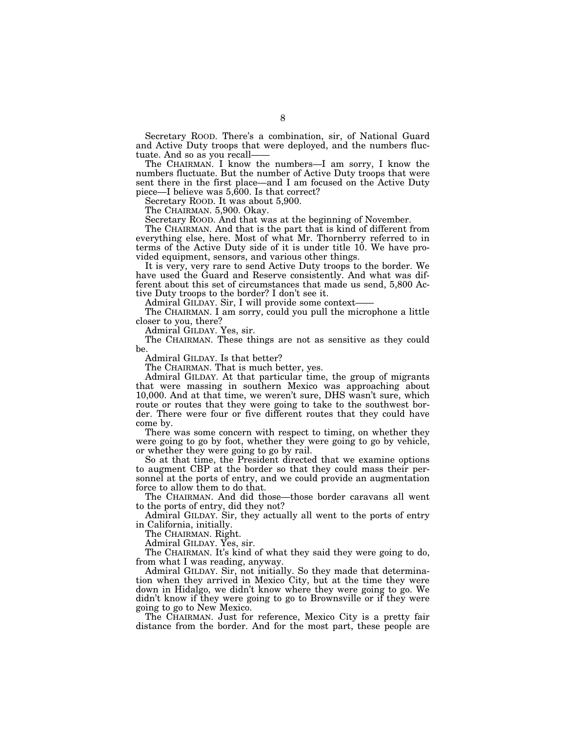Secretary ROOD. There's a combination, sir, of National Guard and Active Duty troops that were deployed, and the numbers fluctuate. And so as you recall——

The CHAIRMAN. I know the numbers—I am sorry, I know the numbers fluctuate. But the number of Active Duty troops that were sent there in the first place—and I am focused on the Active Duty piece—I believe was 5,600. Is that correct?

Secretary ROOD. It was about 5,900.

The CHAIRMAN. 5,900. Okay.

Secretary ROOD. And that was at the beginning of November.

The CHAIRMAN. And that is the part that is kind of different from everything else, here. Most of what Mr. Thornberry referred to in terms of the Active Duty side of it is under title 10. We have provided equipment, sensors, and various other things.

It is very, very rare to send Active Duty troops to the border. We have used the Guard and Reserve consistently. And what was different about this set of circumstances that made us send, 5,800 Active Duty troops to the border? I don't see it.

Admiral GILDAY. Sir, I will provide some context——

The CHAIRMAN. I am sorry, could you pull the microphone a little closer to you, there?

Admiral GILDAY. Yes, sir.

The CHAIRMAN. These things are not as sensitive as they could be.

Admiral GILDAY. Is that better?

The CHAIRMAN. That is much better, yes.

Admiral GILDAY. At that particular time, the group of migrants that were massing in southern Mexico was approaching about 10,000. And at that time, we weren't sure, DHS wasn't sure, which route or routes that they were going to take to the southwest border. There were four or five different routes that they could have come by.

There was some concern with respect to timing, on whether they were going to go by foot, whether they were going to go by vehicle, or whether they were going to go by rail.

So at that time, the President directed that we examine options to augment CBP at the border so that they could mass their personnel at the ports of entry, and we could provide an augmentation force to allow them to do that.

The CHAIRMAN. And did those—those border caravans all went to the ports of entry, did they not?

Admiral GILDAY. Sir, they actually all went to the ports of entry in California, initially.

The CHAIRMAN. Right.

Admiral GILDAY. Yes, sir.

The CHAIRMAN. It's kind of what they said they were going to do, from what I was reading, anyway.

Admiral GILDAY. Sir, not initially. So they made that determination when they arrived in Mexico City, but at the time they were down in Hidalgo, we didn't know where they were going to go. We didn't know if they were going to go to Brownsville or if they were going to go to New Mexico.

The CHAIRMAN. Just for reference, Mexico City is a pretty fair distance from the border. And for the most part, these people are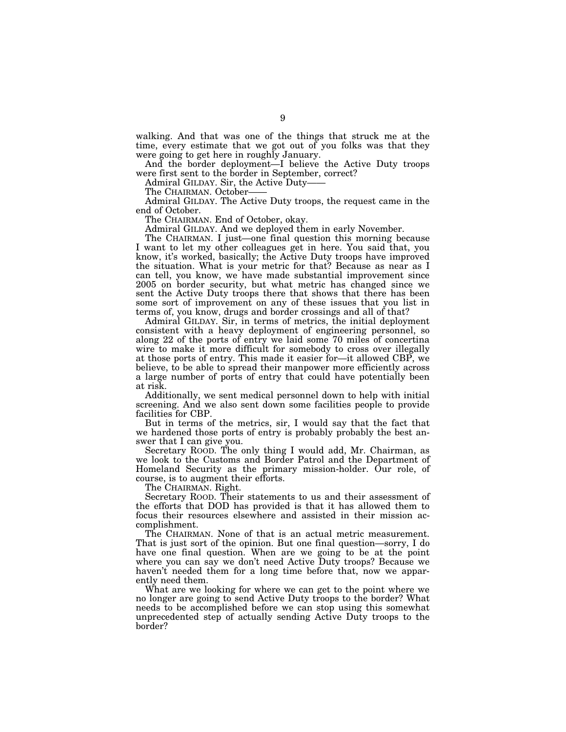walking. And that was one of the things that struck me at the time, every estimate that we got out of you folks was that they were going to get here in roughly January.

And the border deployment—I believe the Active Duty troops were first sent to the border in September, correct?

Admiral GILDAY. Sir, the Active Duty——

The CHAIRMAN. October-

Admiral GILDAY. The Active Duty troops, the request came in the end of October.

The CHAIRMAN. End of October, okay.

Admiral GILDAY. And we deployed them in early November.

The CHAIRMAN. I just—one final question this morning because I want to let my other colleagues get in here. You said that, you know, it's worked, basically; the Active Duty troops have improved the situation. What is your metric for that? Because as near as I can tell, you know, we have made substantial improvement since 2005 on border security, but what metric has changed since we sent the Active Duty troops there that shows that there has been some sort of improvement on any of these issues that you list in terms of, you know, drugs and border crossings and all of that?

Admiral GILDAY. Sir, in terms of metrics, the initial deployment consistent with a heavy deployment of engineering personnel, so along 22 of the ports of entry we laid some 70 miles of concertina wire to make it more difficult for somebody to cross over illegally at those ports of entry. This made it easier for—it allowed CBP, we believe, to be able to spread their manpower more efficiently across a large number of ports of entry that could have potentially been at risk.

Additionally, we sent medical personnel down to help with initial screening. And we also sent down some facilities people to provide facilities for CBP.

But in terms of the metrics, sir, I would say that the fact that we hardened those ports of entry is probably probably the best answer that I can give you.

Secretary ROOD. The only thing I would add, Mr. Chairman, as we look to the Customs and Border Patrol and the Department of Homeland Security as the primary mission-holder. Our role, of course, is to augment their efforts.

The CHAIRMAN. Right.

Secretary ROOD. Their statements to us and their assessment of the efforts that DOD has provided is that it has allowed them to focus their resources elsewhere and assisted in their mission accomplishment.

The CHAIRMAN. None of that is an actual metric measurement. That is just sort of the opinion. But one final question—sorry, I do have one final question. When are we going to be at the point where you can say we don't need Active Duty troops? Because we haven't needed them for a long time before that, now we apparently need them.

What are we looking for where we can get to the point where we no longer are going to send Active Duty troops to the border? What needs to be accomplished before we can stop using this somewhat unprecedented step of actually sending Active Duty troops to the border?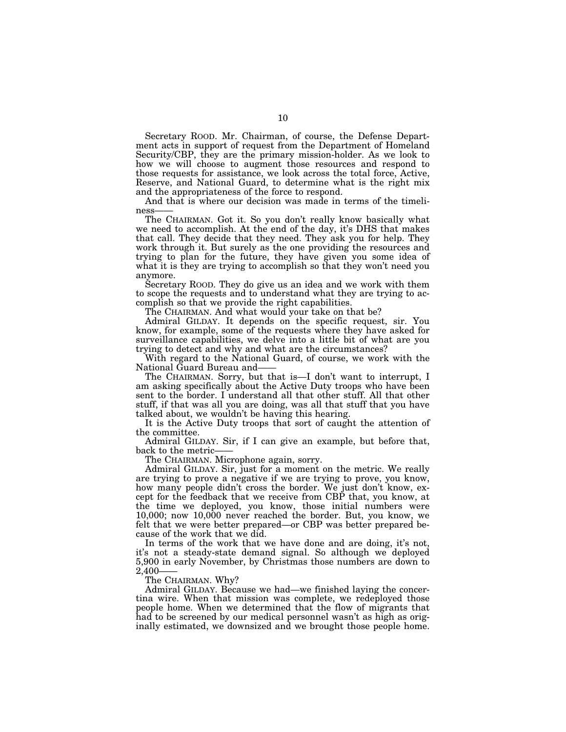Secretary ROOD. Mr. Chairman, of course, the Defense Department acts in support of request from the Department of Homeland Security/CBP, they are the primary mission-holder. As we look to how we will choose to augment those resources and respond to those requests for assistance, we look across the total force, Active, Reserve, and National Guard, to determine what is the right mix and the appropriateness of the force to respond.

And that is where our decision was made in terms of the timeliness——

The CHAIRMAN. Got it. So you don't really know basically what we need to accomplish. At the end of the day, it's DHS that makes that call. They decide that they need. They ask you for help. They work through it. But surely as the one providing the resources and trying to plan for the future, they have given you some idea of what it is they are trying to accomplish so that they won't need you anymore.

Secretary ROOD. They do give us an idea and we work with them to scope the requests and to understand what they are trying to accomplish so that we provide the right capabilities.

The CHAIRMAN. And what would your take on that be?

Admiral GILDAY. It depends on the specific request, sir. You know, for example, some of the requests where they have asked for surveillance capabilities, we delve into a little bit of what are you trying to detect and why and what are the circumstances?

With regard to the National Guard, of course, we work with the National Guard Bureau and——

The CHAIRMAN. Sorry, but that is—I don't want to interrupt, I am asking specifically about the Active Duty troops who have been sent to the border. I understand all that other stuff. All that other stuff, if that was all you are doing, was all that stuff that you have talked about, we wouldn't be having this hearing.

It is the Active Duty troops that sort of caught the attention of the committee.

Admiral GILDAY. Sir, if I can give an example, but before that, back to the metric-

The CHAIRMAN. Microphone again, sorry.

Admiral GILDAY. Sir, just for a moment on the metric. We really are trying to prove a negative if we are trying to prove, you know, how many people didn't cross the border. We just don't know, except for the feedback that we receive from CBP that, you know, at the time we deployed, you know, those initial numbers were 10,000; now 10,000 never reached the border. But, you know, we felt that we were better prepared—or CBP was better prepared because of the work that we did.

In terms of the work that we have done and are doing, it's not, it's not a steady-state demand signal. So although we deployed 5,900 in early November, by Christmas those numbers are down to 2,400-

The CHAIRMAN. Why?

Admiral GILDAY. Because we had—we finished laying the concertina wire. When that mission was complete, we redeployed those people home. When we determined that the flow of migrants that had to be screened by our medical personnel wasn't as high as originally estimated, we downsized and we brought those people home.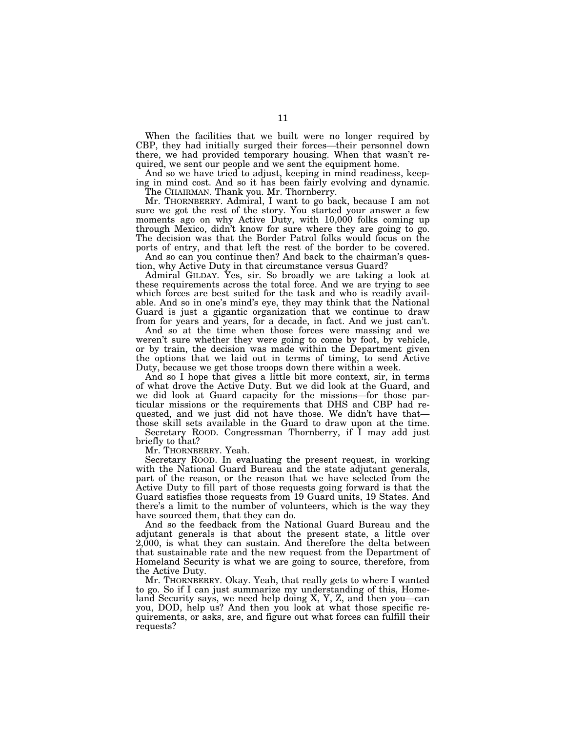When the facilities that we built were no longer required by CBP, they had initially surged their forces—their personnel down there, we had provided temporary housing. When that wasn't required, we sent our people and we sent the equipment home.

And so we have tried to adjust, keeping in mind readiness, keeping in mind cost. And so it has been fairly evolving and dynamic. The CHAIRMAN. Thank you. Mr. Thornberry.

Mr. THORNBERRY. Admiral, I want to go back, because I am not sure we got the rest of the story. You started your answer a few moments ago on why Active Duty, with 10,000 folks coming up through Mexico, didn't know for sure where they are going to go. The decision was that the Border Patrol folks would focus on the ports of entry, and that left the rest of the border to be covered.

And so can you continue then? And back to the chairman's question, why Active Duty in that circumstance versus Guard?

Admiral GILDAY. Yes, sir. So broadly we are taking a look at these requirements across the total force. And we are trying to see which forces are best suited for the task and who is readily available. And so in one's mind's eye, they may think that the National Guard is just a gigantic organization that we continue to draw from for years and years, for a decade, in fact. And we just can't.

And so at the time when those forces were massing and we weren't sure whether they were going to come by foot, by vehicle, or by train, the decision was made within the Department given the options that we laid out in terms of timing, to send Active Duty, because we get those troops down there within a week.

And so I hope that gives a little bit more context, sir, in terms of what drove the Active Duty. But we did look at the Guard, and we did look at Guard capacity for the missions—for those particular missions or the requirements that DHS and CBP had requested, and we just did not have those. We didn't have that those skill sets available in the Guard to draw upon at the time.

Secretary ROOD. Congressman Thornberry, if I may add just briefly to that?

Mr. THORNBERRY. Yeah.

Secretary ROOD. In evaluating the present request, in working with the National Guard Bureau and the state adjutant generals, part of the reason, or the reason that we have selected from the Active Duty to fill part of those requests going forward is that the Guard satisfies those requests from 19 Guard units, 19 States. And there's a limit to the number of volunteers, which is the way they have sourced them, that they can do.

And so the feedback from the National Guard Bureau and the adjutant generals is that about the present state, a little over 2,000, is what they can sustain. And therefore the delta between that sustainable rate and the new request from the Department of Homeland Security is what we are going to source, therefore, from the Active Duty.

Mr. THORNBERRY. Okay. Yeah, that really gets to where I wanted to go. So if I can just summarize my understanding of this, Homeland Security says, we need help doing X, Y, Z, and then you—can you, DOD, help us? And then you look at what those specific requirements, or asks, are, and figure out what forces can fulfill their requests?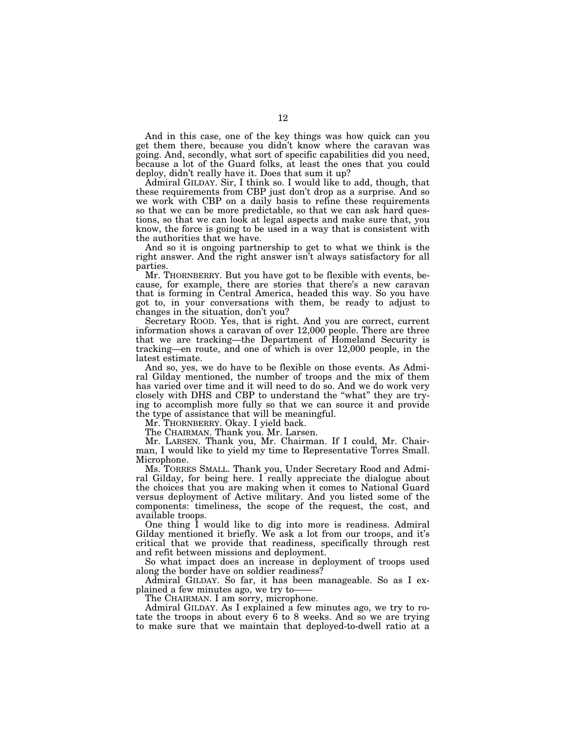And in this case, one of the key things was how quick can you get them there, because you didn't know where the caravan was going. And, secondly, what sort of specific capabilities did you need, because a lot of the Guard folks, at least the ones that you could deploy, didn't really have it. Does that sum it up?

Admiral GILDAY. Sir, I think so. I would like to add, though, that these requirements from CBP just don't drop as a surprise. And so we work with CBP on a daily basis to refine these requirements so that we can be more predictable, so that we can ask hard questions, so that we can look at legal aspects and make sure that, you know, the force is going to be used in a way that is consistent with the authorities that we have.

And so it is ongoing partnership to get to what we think is the right answer. And the right answer isn't always satisfactory for all parties.

Mr. THORNBERRY. But you have got to be flexible with events, because, for example, there are stories that there's a new caravan that is forming in Central America, headed this way. So you have got to, in your conversations with them, be ready to adjust to changes in the situation, don't you?

Secretary ROOD. Yes, that is right. And you are correct, current information shows a caravan of over 12,000 people. There are three that we are tracking—the Department of Homeland Security is tracking—en route, and one of which is over 12,000 people, in the latest estimate.

And so, yes, we do have to be flexible on those events. As Admiral Gilday mentioned, the number of troops and the mix of them has varied over time and it will need to do so. And we do work very closely with DHS and CBP to understand the ''what'' they are trying to accomplish more fully so that we can source it and provide the type of assistance that will be meaningful.

Mr. THORNBERRY. Okay. I yield back.

The CHAIRMAN. Thank you. Mr. Larsen.

Mr. LARSEN. Thank you, Mr. Chairman. If I could, Mr. Chairman, I would like to yield my time to Representative Torres Small. Microphone.

Ms. TORRES SMALL. Thank you, Under Secretary Rood and Admiral Gilday, for being here. I really appreciate the dialogue about the choices that you are making when it comes to National Guard versus deployment of Active military. And you listed some of the components: timeliness, the scope of the request, the cost, and available troops.

One thing I would like to dig into more is readiness. Admiral Gilday mentioned it briefly. We ask a lot from our troops, and it's critical that we provide that readiness, specifically through rest and refit between missions and deployment.

So what impact does an increase in deployment of troops used along the border have on soldier readiness?

Admiral GILDAY. So far, it has been manageable. So as I explained a few minutes ago, we try to——

The CHAIRMAN. I am sorry, microphone.

Admiral GILDAY. As I explained a few minutes ago, we try to rotate the troops in about every 6 to 8 weeks. And so we are trying to make sure that we maintain that deployed-to-dwell ratio at a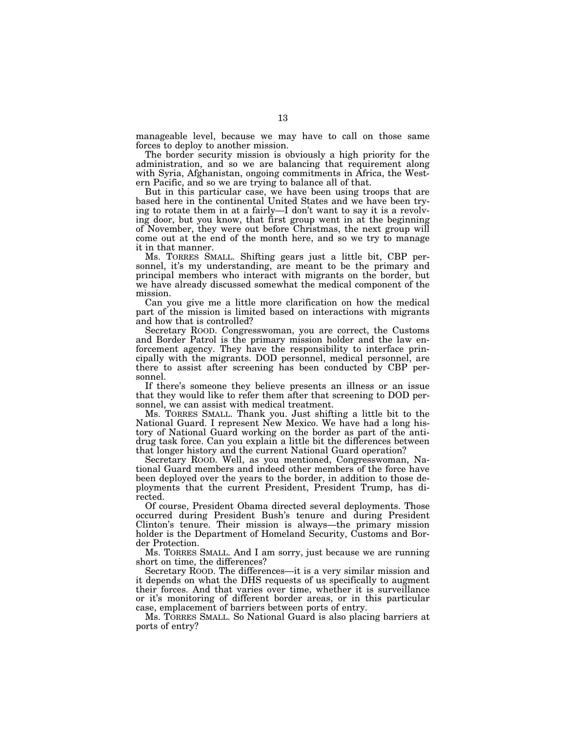manageable level, because we may have to call on those same forces to deploy to another mission.

The border security mission is obviously a high priority for the administration, and so we are balancing that requirement along with Syria, Afghanistan, ongoing commitments in Africa, the Western Pacific, and so we are trying to balance all of that.

But in this particular case, we have been using troops that are based here in the continental United States and we have been trying to rotate them in at a fairly—I don't want to say it is a revolving door, but you know, that first group went in at the beginning of November, they were out before Christmas, the next group will come out at the end of the month here, and so we try to manage it in that manner.

Ms. TORRES SMALL. Shifting gears just a little bit, CBP personnel, it's my understanding, are meant to be the primary and principal members who interact with migrants on the border, but we have already discussed somewhat the medical component of the mission.

Can you give me a little more clarification on how the medical part of the mission is limited based on interactions with migrants and how that is controlled?

Secretary ROOD. Congresswoman, you are correct, the Customs and Border Patrol is the primary mission holder and the law enforcement agency. They have the responsibility to interface principally with the migrants. DOD personnel, medical personnel, are there to assist after screening has been conducted by CBP personnel.

If there's someone they believe presents an illness or an issue that they would like to refer them after that screening to DOD personnel, we can assist with medical treatment.

Ms. TORRES SMALL. Thank you. Just shifting a little bit to the National Guard. I represent New Mexico. We have had a long history of National Guard working on the border as part of the antidrug task force. Can you explain a little bit the differences between that longer history and the current National Guard operation?

Secretary ROOD. Well, as you mentioned, Congresswoman, National Guard members and indeed other members of the force have been deployed over the years to the border, in addition to those deployments that the current President, President Trump, has directed.

Of course, President Obama directed several deployments. Those occurred during President Bush's tenure and during President Clinton's tenure. Their mission is always—the primary mission holder is the Department of Homeland Security, Customs and Border Protection.

Ms. TORRES SMALL. And I am sorry, just because we are running short on time, the differences?

Secretary ROOD. The differences—it is a very similar mission and it depends on what the DHS requests of us specifically to augment their forces. And that varies over time, whether it is surveillance or it's monitoring of different border areas, or in this particular case, emplacement of barriers between ports of entry.

Ms. TORRES SMALL. So National Guard is also placing barriers at ports of entry?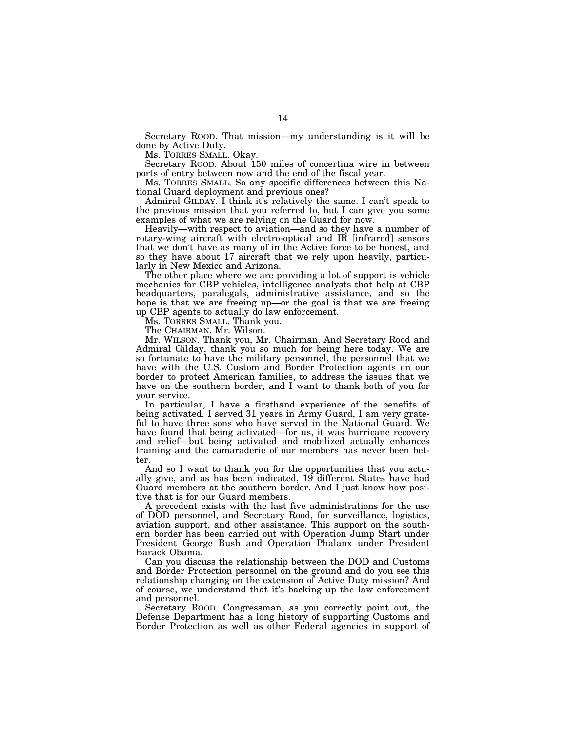Secretary ROOD. That mission—my understanding is it will be done by Active Duty.

Ms. TORRES SMALL. Okay.

Secretary ROOD. About 150 miles of concertina wire in between ports of entry between now and the end of the fiscal year.

Ms. TORRES SMALL. So any specific differences between this National Guard deployment and previous ones?

Admiral GILDAY. I think it's relatively the same. I can't speak to the previous mission that you referred to, but I can give you some examples of what we are relying on the Guard for now.

Heavily—with respect to aviation—and so they have a number of rotary-wing aircraft with electro-optical and IR [infrared] sensors that we don't have as many of in the Active force to be honest, and so they have about 17 aircraft that we rely upon heavily, particularly in New Mexico and Arizona.

The other place where we are providing a lot of support is vehicle mechanics for CBP vehicles, intelligence analysts that help at CBP headquarters, paralegals, administrative assistance, and so the hope is that we are freeing up—or the goal is that we are freeing up CBP agents to actually do law enforcement.

Ms. TORRES SMALL. Thank you.

The CHAIRMAN. Mr. Wilson.

Mr. WILSON. Thank you, Mr. Chairman. And Secretary Rood and Admiral Gilday, thank you so much for being here today. We are so fortunate to have the military personnel, the personnel that we have with the U.S. Custom and Border Protection agents on our border to protect American families, to address the issues that we have on the southern border, and I want to thank both of you for your service.

In particular, I have a firsthand experience of the benefits of being activated. I served 31 years in Army Guard, I am very grateful to have three sons who have served in the National Guard. We have found that being activated—for us, it was hurricane recovery and relief—but being activated and mobilized actually enhances training and the camaraderie of our members has never been better.

And so I want to thank you for the opportunities that you actually give, and as has been indicated, 19 different States have had Guard members at the southern border. And I just know how positive that is for our Guard members.

A precedent exists with the last five administrations for the use of DOD personnel, and Secretary Rood, for surveillance, logistics, aviation support, and other assistance. This support on the southern border has been carried out with Operation Jump Start under President George Bush and Operation Phalanx under President Barack Obama.

Can you discuss the relationship between the DOD and Customs and Border Protection personnel on the ground and do you see this relationship changing on the extension of Active Duty mission? And of course, we understand that it's backing up the law enforcement and personnel.

Secretary ROOD. Congressman, as you correctly point out, the Defense Department has a long history of supporting Customs and Border Protection as well as other Federal agencies in support of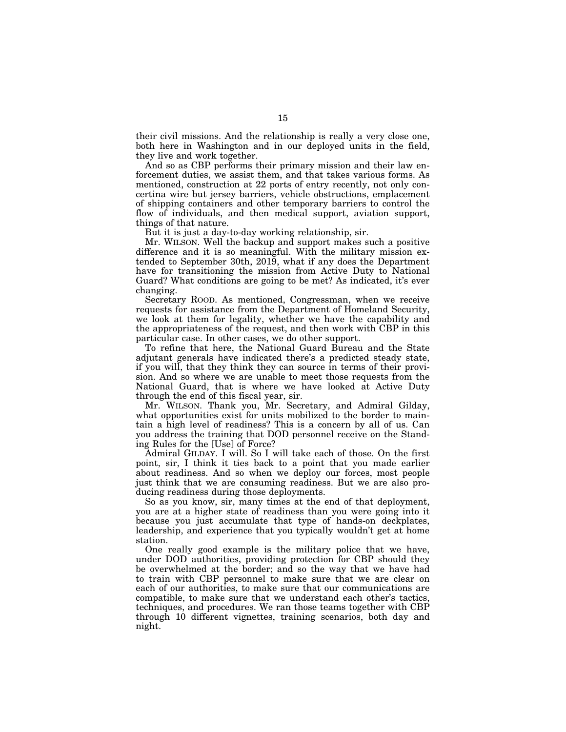their civil missions. And the relationship is really a very close one, both here in Washington and in our deployed units in the field, they live and work together.

And so as CBP performs their primary mission and their law enforcement duties, we assist them, and that takes various forms. As mentioned, construction at 22 ports of entry recently, not only concertina wire but jersey barriers, vehicle obstructions, emplacement of shipping containers and other temporary barriers to control the flow of individuals, and then medical support, aviation support, things of that nature.

But it is just a day-to-day working relationship, sir.

Mr. WILSON. Well the backup and support makes such a positive difference and it is so meaningful. With the military mission extended to September 30th, 2019, what if any does the Department have for transitioning the mission from Active Duty to National Guard? What conditions are going to be met? As indicated, it's ever changing.

Secretary ROOD. As mentioned, Congressman, when we receive requests for assistance from the Department of Homeland Security, we look at them for legality, whether we have the capability and the appropriateness of the request, and then work with CBP in this particular case. In other cases, we do other support.

To refine that here, the National Guard Bureau and the State adjutant generals have indicated there's a predicted steady state, if you will, that they think they can source in terms of their provision. And so where we are unable to meet those requests from the National Guard, that is where we have looked at Active Duty through the end of this fiscal year, sir.

Mr. WILSON. Thank you, Mr. Secretary, and Admiral Gilday, what opportunities exist for units mobilized to the border to maintain a high level of readiness? This is a concern by all of us. Can you address the training that DOD personnel receive on the Standing Rules for the [Use] of Force?

Admiral GILDAY. I will. So I will take each of those. On the first point, sir, I think it ties back to a point that you made earlier about readiness. And so when we deploy our forces, most people just think that we are consuming readiness. But we are also producing readiness during those deployments.

So as you know, sir, many times at the end of that deployment, you are at a higher state of readiness than you were going into it because you just accumulate that type of hands-on deckplates, leadership, and experience that you typically wouldn't get at home station.

One really good example is the military police that we have, under DOD authorities, providing protection for CBP should they be overwhelmed at the border; and so the way that we have had to train with CBP personnel to make sure that we are clear on each of our authorities, to make sure that our communications are compatible, to make sure that we understand each other's tactics, techniques, and procedures. We ran those teams together with CBP through 10 different vignettes, training scenarios, both day and night.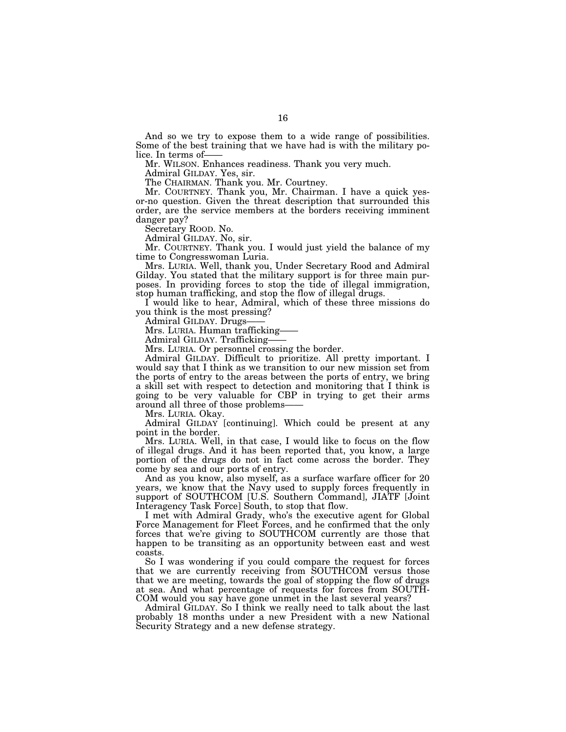And so we try to expose them to a wide range of possibilities. Some of the best training that we have had is with the military police. In terms of-

Mr. WILSON. Enhances readiness. Thank you very much.

Admiral GILDAY. Yes, sir.

The CHAIRMAN. Thank you. Mr. Courtney.

Mr. COURTNEY. Thank you, Mr. Chairman. I have a quick yesor-no question. Given the threat description that surrounded this order, are the service members at the borders receiving imminent danger pay?

Secretary ROOD. No.

Admiral GILDAY. No, sir.

Mr. COURTNEY. Thank you. I would just yield the balance of my time to Congresswoman Luria.

Mrs. LURIA. Well, thank you, Under Secretary Rood and Admiral Gilday. You stated that the military support is for three main purposes. In providing forces to stop the tide of illegal immigration, stop human trafficking, and stop the flow of illegal drugs.

I would like to hear, Admiral, which of these three missions do you think is the most pressing?

Admiral GILDAY. Drugs——

Mrs. LURIA. Human trafficking-

Admiral GILDAY. Trafficking——

Mrs. LURIA. Or personnel crossing the border.

Admiral GILDAY. Difficult to prioritize. All pretty important. I would say that I think as we transition to our new mission set from the ports of entry to the areas between the ports of entry, we bring a skill set with respect to detection and monitoring that I think is going to be very valuable for CBP in trying to get their arms around all three of those problems——

Mrs. LURIA. Okay.

Admiral GILDAY [continuing]. Which could be present at any point in the border.

Mrs. LURIA. Well, in that case, I would like to focus on the flow of illegal drugs. And it has been reported that, you know, a large portion of the drugs do not in fact come across the border. They come by sea and our ports of entry.

And as you know, also myself, as a surface warfare officer for 20 years, we know that the Navy used to supply forces frequently in support of SOUTHCOM [U.S. Southern Command], JIATF [Joint Interagency Task Force] South, to stop that flow.

I met with Admiral Grady, who's the executive agent for Global Force Management for Fleet Forces, and he confirmed that the only forces that we're giving to SOUTHCOM currently are those that happen to be transiting as an opportunity between east and west coasts.

So I was wondering if you could compare the request for forces that we are currently receiving from SOUTHCOM versus those that we are meeting, towards the goal of stopping the flow of drugs at sea. And what percentage of requests for forces from SOUTH-COM would you say have gone unmet in the last several years?

Admiral GILDAY. So I think we really need to talk about the last probably 18 months under a new President with a new National Security Strategy and a new defense strategy.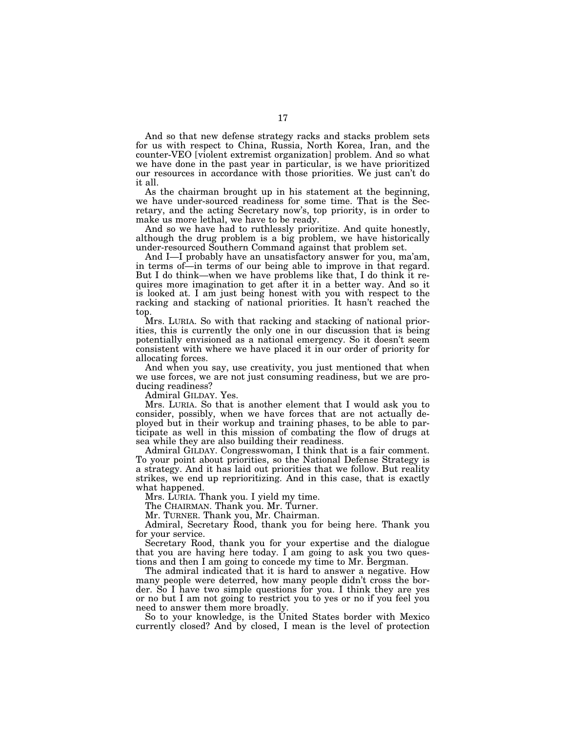And so that new defense strategy racks and stacks problem sets for us with respect to China, Russia, North Korea, Iran, and the counter-VEO [violent extremist organization] problem. And so what we have done in the past year in particular, is we have prioritized our resources in accordance with those priorities. We just can't do it all.

As the chairman brought up in his statement at the beginning, we have under-sourced readiness for some time. That is the Secretary, and the acting Secretary now's, top priority, is in order to make us more lethal, we have to be ready.

And so we have had to ruthlessly prioritize. And quite honestly, although the drug problem is a big problem, we have historically under-resourced Southern Command against that problem set.

And I—I probably have an unsatisfactory answer for you, ma'am, in terms of—in terms of our being able to improve in that regard. But I do think—when we have problems like that, I do think it requires more imagination to get after it in a better way. And so it is looked at. I am just being honest with you with respect to the racking and stacking of national priorities. It hasn't reached the top.

Mrs. LURIA. So with that racking and stacking of national priorities, this is currently the only one in our discussion that is being potentially envisioned as a national emergency. So it doesn't seem consistent with where we have placed it in our order of priority for allocating forces.

And when you say, use creativity, you just mentioned that when we use forces, we are not just consuming readiness, but we are producing readiness?

Admiral GILDAY. Yes.

Mrs. LURIA. So that is another element that I would ask you to consider, possibly, when we have forces that are not actually deployed but in their workup and training phases, to be able to participate as well in this mission of combating the flow of drugs at sea while they are also building their readiness.

Admiral GILDAY. Congresswoman, I think that is a fair comment. To your point about priorities, so the National Defense Strategy is a strategy. And it has laid out priorities that we follow. But reality strikes, we end up reprioritizing. And in this case, that is exactly what happened.

Mrs. LURIA. Thank you. I yield my time.

The CHAIRMAN. Thank you. Mr. Turner.

Mr. TURNER. Thank you, Mr. Chairman.

Admiral, Secretary Rood, thank you for being here. Thank you for your service.

Secretary Rood, thank you for your expertise and the dialogue that you are having here today. I am going to ask you two questions and then I am going to concede my time to Mr. Bergman.

The admiral indicated that it is hard to answer a negative. How many people were deterred, how many people didn't cross the border. So I have two simple questions for you. I think they are yes or no but I am not going to restrict you to yes or no if you feel you need to answer them more broadly.

So to your knowledge, is the United States border with Mexico currently closed? And by closed, I mean is the level of protection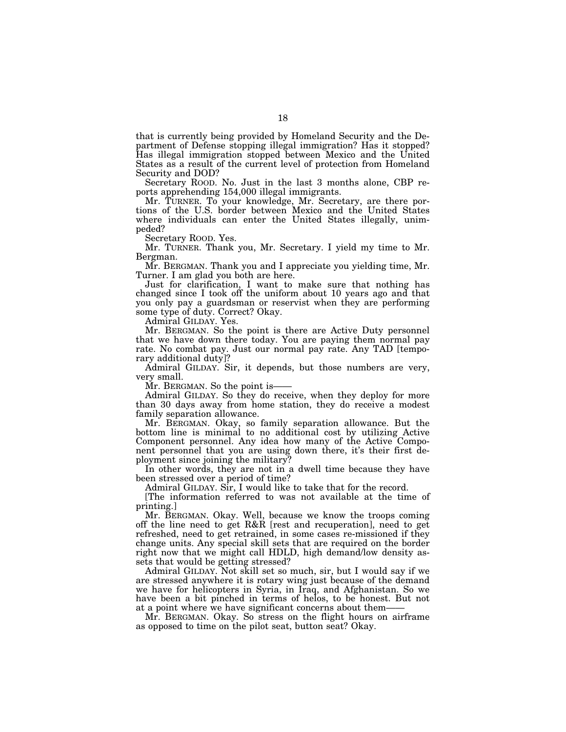that is currently being provided by Homeland Security and the Department of Defense stopping illegal immigration? Has it stopped? Has illegal immigration stopped between Mexico and the United States as a result of the current level of protection from Homeland Security and DOD?

Secretary ROOD. No. Just in the last 3 months alone, CBP reports apprehending 154,000 illegal immigrants.

Mr. TURNER. To your knowledge, Mr. Secretary, are there portions of the U.S. border between Mexico and the United States where individuals can enter the United States illegally, unimpeded?

Secretary ROOD. Yes.

Mr. TURNER. Thank you, Mr. Secretary. I yield my time to Mr. Bergman.

Mr. BERGMAN. Thank you and I appreciate you yielding time, Mr. Turner. I am glad you both are here.

Just for clarification, I want to make sure that nothing has changed since I took off the uniform about 10 years ago and that you only pay a guardsman or reservist when they are performing some type of duty. Correct? Okay.

Admiral GILDAY. Yes.

Mr. BERGMAN. So the point is there are Active Duty personnel that we have down there today. You are paying them normal pay rate. No combat pay. Just our normal pay rate. Any TAD [temporary additional duty]?

Admiral GILDAY. Sir, it depends, but those numbers are very, very small.

Mr. BERGMAN. So the point is-

Admiral GILDAY. So they do receive, when they deploy for more than 30 days away from home station, they do receive a modest family separation allowance.

Mr. BERGMAN. Okay, so family separation allowance. But the bottom line is minimal to no additional cost by utilizing Active Component personnel. Any idea how many of the Active Component personnel that you are using down there, it's their first deployment since joining the military?

In other words, they are not in a dwell time because they have been stressed over a period of time?

Admiral GILDAY. Sir, I would like to take that for the record.

[The information referred to was not available at the time of printing.]

Mr. BERGMAN. Okay. Well, because we know the troops coming off the line need to get R&R [rest and recuperation], need to get refreshed, need to get retrained, in some cases re-missioned if they change units. Any special skill sets that are required on the border right now that we might call HDLD, high demand/low density assets that would be getting stressed?

Admiral GILDAY. Not skill set so much, sir, but I would say if we are stressed anywhere it is rotary wing just because of the demand we have for helicopters in Syria, in Iraq, and Afghanistan. So we have been a bit pinched in terms of helos, to be honest. But not at a point where we have significant concerns about them-

Mr. BERGMAN. Okay. So stress on the flight hours on airframe as opposed to time on the pilot seat, button seat? Okay.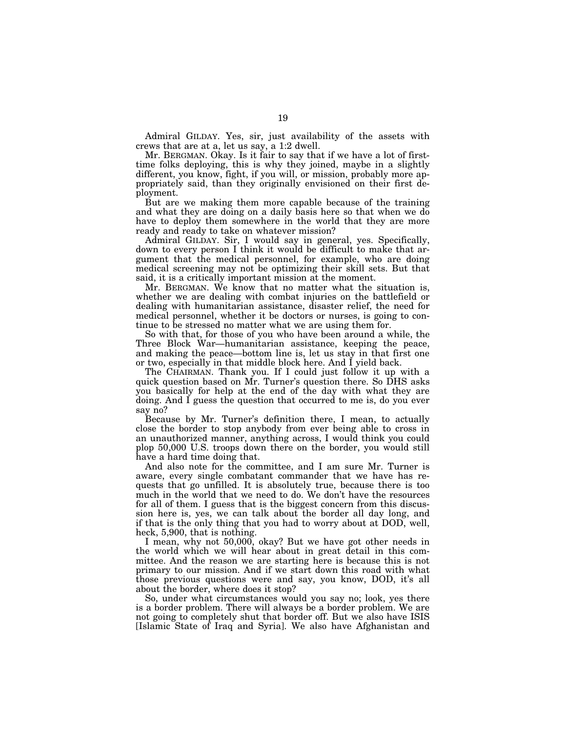Admiral GILDAY. Yes, sir, just availability of the assets with crews that are at a, let us say, a 1:2 dwell.

Mr. BERGMAN. Okay. Is it fair to say that if we have a lot of firsttime folks deploying, this is why they joined, maybe in a slightly different, you know, fight, if you will, or mission, probably more appropriately said, than they originally envisioned on their first deployment.

But are we making them more capable because of the training and what they are doing on a daily basis here so that when we do have to deploy them somewhere in the world that they are more ready and ready to take on whatever mission?

Admiral GILDAY. Sir, I would say in general, yes. Specifically, down to every person I think it would be difficult to make that argument that the medical personnel, for example, who are doing medical screening may not be optimizing their skill sets. But that said, it is a critically important mission at the moment.

Mr. BERGMAN. We know that no matter what the situation is, whether we are dealing with combat injuries on the battlefield or dealing with humanitarian assistance, disaster relief, the need for medical personnel, whether it be doctors or nurses, is going to continue to be stressed no matter what we are using them for.

So with that, for those of you who have been around a while, the Three Block War—humanitarian assistance, keeping the peace, and making the peace—bottom line is, let us stay in that first one or two, especially in that middle block here. And I yield back.

The CHAIRMAN. Thank you. If I could just follow it up with a quick question based on Mr. Turner's question there. So DHS asks you basically for help at the end of the day with what they are doing. And I guess the question that occurred to me is, do you ever say no?

Because by Mr. Turner's definition there, I mean, to actually close the border to stop anybody from ever being able to cross in an unauthorized manner, anything across, I would think you could plop 50,000 U.S. troops down there on the border, you would still have a hard time doing that.

And also note for the committee, and I am sure Mr. Turner is aware, every single combatant commander that we have has requests that go unfilled. It is absolutely true, because there is too much in the world that we need to do. We don't have the resources for all of them. I guess that is the biggest concern from this discussion here is, yes, we can talk about the border all day long, and if that is the only thing that you had to worry about at DOD, well, heck, 5,900, that is nothing.

I mean, why not 50,000, okay? But we have got other needs in the world which we will hear about in great detail in this committee. And the reason we are starting here is because this is not primary to our mission. And if we start down this road with what those previous questions were and say, you know, DOD, it's all about the border, where does it stop?

So, under what circumstances would you say no; look, yes there is a border problem. There will always be a border problem. We are not going to completely shut that border off. But we also have ISIS [Islamic State of Iraq and Syria]. We also have Afghanistan and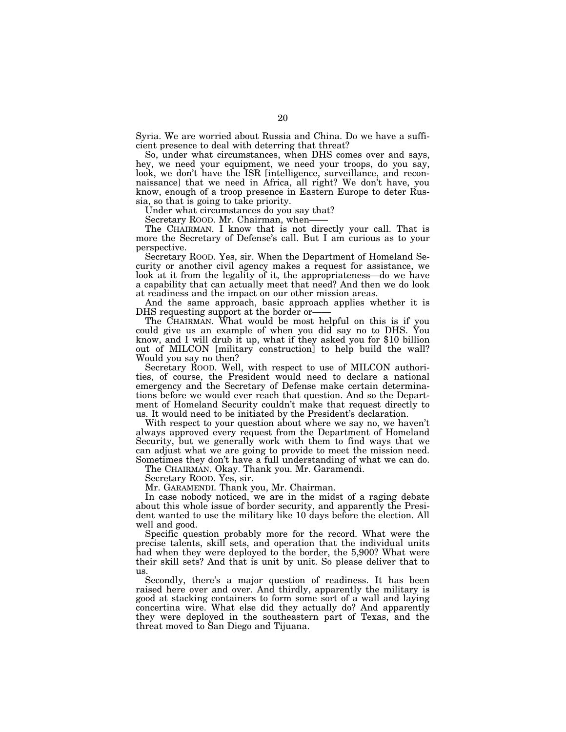Syria. We are worried about Russia and China. Do we have a sufficient presence to deal with deterring that threat?

So, under what circumstances, when DHS comes over and says, hey, we need your equipment, we need your troops, do you say, look, we don't have the ISR [intelligence, surveillance, and reconnaissance] that we need in Africa, all right? We don't have, you know, enough of a troop presence in Eastern Europe to deter Russia, so that is going to take priority.

Under what circumstances do you say that?

Secretary ROOD. Mr. Chairman, when-

The CHAIRMAN. I know that is not directly your call. That is more the Secretary of Defense's call. But I am curious as to your perspective.

Secretary ROOD. Yes, sir. When the Department of Homeland Security or another civil agency makes a request for assistance, we look at it from the legality of it, the appropriateness—do we have a capability that can actually meet that need? And then we do look at readiness and the impact on our other mission areas.

And the same approach, basic approach applies whether it is DHS requesting support at the border or——

The CHAIRMAN. What would be most helpful on this is if you could give us an example of when you did say no to DHS. You know, and I will drub it up, what if they asked you for \$10 billion out of MILCON [military construction] to help build the wall? Would you say no then?

Secretary ROOD. Well, with respect to use of MILCON authorities, of course, the President would need to declare a national emergency and the Secretary of Defense make certain determinations before we would ever reach that question. And so the Department of Homeland Security couldn't make that request directly to us. It would need to be initiated by the President's declaration.

With respect to your question about where we say no, we haven't always approved every request from the Department of Homeland Security, but we generally work with them to find ways that we can adjust what we are going to provide to meet the mission need. Sometimes they don't have a full understanding of what we can do.

The CHAIRMAN. Okay. Thank you. Mr. Garamendi.

Secretary ROOD. Yes, sir.

Mr. GARAMENDI. Thank you, Mr. Chairman.

In case nobody noticed, we are in the midst of a raging debate about this whole issue of border security, and apparently the President wanted to use the military like 10 days before the election. All well and good.

Specific question probably more for the record. What were the precise talents, skill sets, and operation that the individual units had when they were deployed to the border, the 5,900? What were their skill sets? And that is unit by unit. So please deliver that to us.

Secondly, there's a major question of readiness. It has been raised here over and over. And thirdly, apparently the military is good at stacking containers to form some sort of a wall and laying concertina wire. What else did they actually do? And apparently they were deployed in the southeastern part of Texas, and the threat moved to San Diego and Tijuana.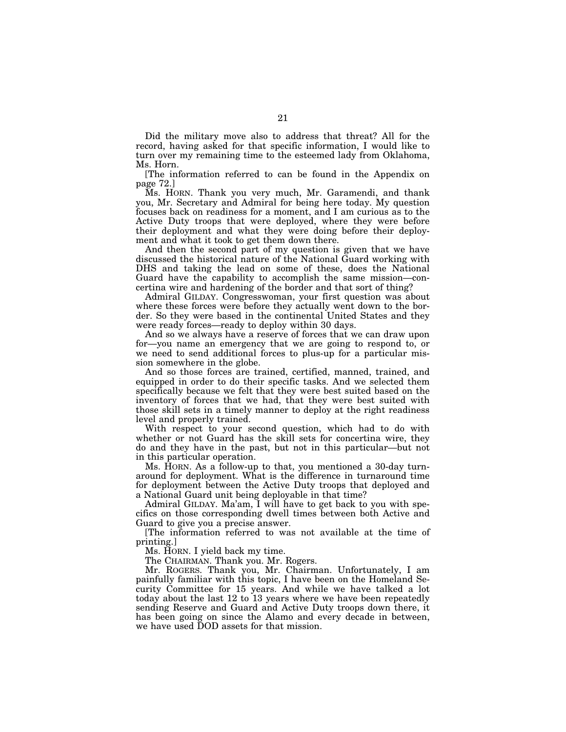Did the military move also to address that threat? All for the record, having asked for that specific information, I would like to turn over my remaining time to the esteemed lady from Oklahoma, Ms. Horn.

[The information referred to can be found in the Appendix on page 72.]

Ms. HORN. Thank you very much, Mr. Garamendi, and thank you, Mr. Secretary and Admiral for being here today. My question focuses back on readiness for a moment, and I am curious as to the Active Duty troops that were deployed, where they were before their deployment and what they were doing before their deployment and what it took to get them down there.

And then the second part of my question is given that we have discussed the historical nature of the National Guard working with DHS and taking the lead on some of these, does the National Guard have the capability to accomplish the same mission—concertina wire and hardening of the border and that sort of thing?

Admiral GILDAY. Congresswoman, your first question was about where these forces were before they actually went down to the border. So they were based in the continental United States and they were ready forces—ready to deploy within 30 days.

And so we always have a reserve of forces that we can draw upon for—you name an emergency that we are going to respond to, or we need to send additional forces to plus-up for a particular mission somewhere in the globe.

And so those forces are trained, certified, manned, trained, and equipped in order to do their specific tasks. And we selected them specifically because we felt that they were best suited based on the inventory of forces that we had, that they were best suited with those skill sets in a timely manner to deploy at the right readiness level and properly trained.

With respect to your second question, which had to do with whether or not Guard has the skill sets for concertina wire, they do and they have in the past, but not in this particular—but not in this particular operation.

Ms. HORN. As a follow-up to that, you mentioned a 30-day turnaround for deployment. What is the difference in turnaround time for deployment between the Active Duty troops that deployed and a National Guard unit being deployable in that time?

Admiral GILDAY. Ma'am, I will have to get back to you with specifics on those corresponding dwell times between both Active and Guard to give you a precise answer.

[The information referred to was not available at the time of printing.]

Ms. HORN. I yield back my time.

The CHAIRMAN. Thank you. Mr. Rogers.

Mr. ROGERS. Thank you, Mr. Chairman. Unfortunately, I am painfully familiar with this topic, I have been on the Homeland Security Committee for 15 years. And while we have talked a lot today about the last 12 to 13 years where we have been repeatedly sending Reserve and Guard and Active Duty troops down there, it has been going on since the Alamo and every decade in between, we have used DOD assets for that mission.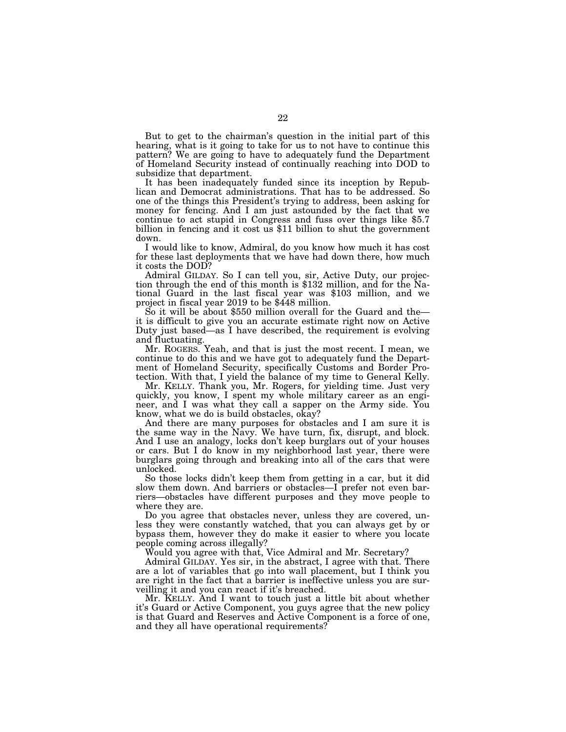But to get to the chairman's question in the initial part of this hearing, what is it going to take for us to not have to continue this pattern? We are going to have to adequately fund the Department of Homeland Security instead of continually reaching into DOD to subsidize that department.

It has been inadequately funded since its inception by Republican and Democrat administrations. That has to be addressed. So one of the things this President's trying to address, been asking for money for fencing. And I am just astounded by the fact that we continue to act stupid in Congress and fuss over things like \$5.7 billion in fencing and it cost us \$11 billion to shut the government down.

I would like to know, Admiral, do you know how much it has cost for these last deployments that we have had down there, how much it costs the DOD?

Admiral GILDAY. So I can tell you, sir, Active Duty, our projection through the end of this month is \$132 million, and for the National Guard in the last fiscal year was \$103 million, and we project in fiscal year 2019 to be \$448 million.

So it will be about \$550 million overall for the Guard and the it is difficult to give you an accurate estimate right now on Active Duty just based—as I have described, the requirement is evolving and fluctuating.

Mr. ROGERS. Yeah, and that is just the most recent. I mean, we continue to do this and we have got to adequately fund the Department of Homeland Security, specifically Customs and Border Protection. With that, I yield the balance of my time to General Kelly.

Mr. KELLY. Thank you, Mr. Rogers, for yielding time. Just very quickly, you know, I spent my whole military career as an engineer, and I was what they call a sapper on the Army side. You know, what we do is build obstacles, okay?

And there are many purposes for obstacles and I am sure it is the same way in the Navy. We have turn, fix, disrupt, and block. And I use an analogy, locks don't keep burglars out of your houses or cars. But I do know in my neighborhood last year, there were burglars going through and breaking into all of the cars that were unlocked.

So those locks didn't keep them from getting in a car, but it did slow them down. And barriers or obstacles—I prefer not even barriers—obstacles have different purposes and they move people to where they are.

Do you agree that obstacles never, unless they are covered, unless they were constantly watched, that you can always get by or bypass them, however they do make it easier to where you locate people coming across illegally?

Would you agree with that, Vice Admiral and Mr. Secretary?

Admiral GILDAY. Yes sir, in the abstract, I agree with that. There are a lot of variables that go into wall placement, but I think you are right in the fact that a barrier is ineffective unless you are surveilling it and you can react if it's breached.

Mr. KELLY. And I want to touch just a little bit about whether it's Guard or Active Component, you guys agree that the new policy is that Guard and Reserves and Active Component is a force of one, and they all have operational requirements?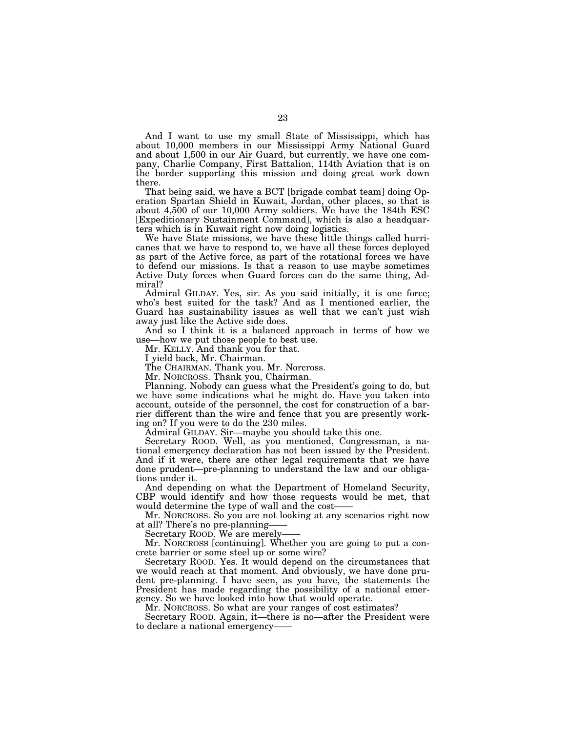And I want to use my small State of Mississippi, which has about 10,000 members in our Mississippi Army National Guard and about 1,500 in our Air Guard, but currently, we have one company, Charlie Company, First Battalion, 114th Aviation that is on the border supporting this mission and doing great work down there.

That being said, we have a BCT [brigade combat team] doing Operation Spartan Shield in Kuwait, Jordan, other places, so that is about 4,500 of our 10,000 Army soldiers. We have the 184th ESC [Expeditionary Sustainment Command], which is also a headquarters which is in Kuwait right now doing logistics.

We have State missions, we have these little things called hurricanes that we have to respond to, we have all these forces deployed as part of the Active force, as part of the rotational forces we have to defend our missions. Is that a reason to use maybe sometimes Active Duty forces when Guard forces can do the same thing, Admiral?

Admiral GILDAY. Yes, sir. As you said initially, it is one force; who's best suited for the task? And as I mentioned earlier, the Guard has sustainability issues as well that we can't just wish away just like the Active side does.

And so I think it is a balanced approach in terms of how we use—how we put those people to best use.

Mr. KELLY. And thank you for that.

I yield back, Mr. Chairman.

The CHAIRMAN. Thank you. Mr. Norcross.

Mr. NORCROSS. Thank you, Chairman.

Planning. Nobody can guess what the President's going to do, but we have some indications what he might do. Have you taken into account, outside of the personnel, the cost for construction of a barrier different than the wire and fence that you are presently working on? If you were to do the 230 miles.

Admiral GILDAY. Sir—maybe you should take this one.

Secretary ROOD. Well, as you mentioned, Congressman, a national emergency declaration has not been issued by the President. And if it were, there are other legal requirements that we have done prudent—pre-planning to understand the law and our obligations under it.

And depending on what the Department of Homeland Security, CBP would identify and how those requests would be met, that would determine the type of wall and the cost-

Mr. NORCROSS. So you are not looking at any scenarios right now at all? There's no pre-planning-

Secretary ROOD. We are merely-

Mr. NORCROSS [continuing]. Whether you are going to put a concrete barrier or some steel up or some wire?

Secretary ROOD. Yes. It would depend on the circumstances that we would reach at that moment. And obviously, we have done prudent pre-planning. I have seen, as you have, the statements the President has made regarding the possibility of a national emergency. So we have looked into how that would operate.

Mr. NORCROSS. So what are your ranges of cost estimates?

Secretary ROOD. Again, it—there is no—after the President were to declare a national emergency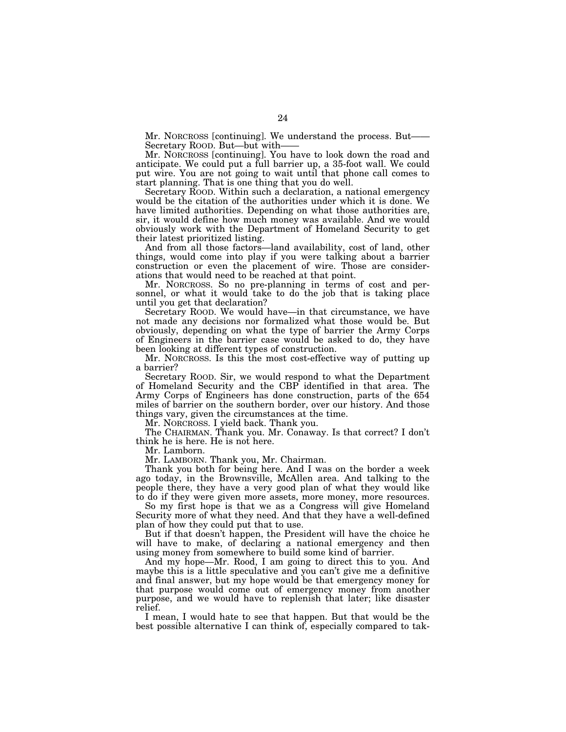Mr. NORCROSS [continuing]. We understand the process. But-Secretary ROOD. But—but with-

Mr. NORCROSS [continuing]. You have to look down the road and anticipate. We could put a full barrier up, a 35-foot wall. We could put wire. You are not going to wait until that phone call comes to start planning. That is one thing that you do well.

Secretary ROOD. Within such a declaration, a national emergency would be the citation of the authorities under which it is done. We have limited authorities. Depending on what those authorities are, sir, it would define how much money was available. And we would obviously work with the Department of Homeland Security to get their latest prioritized listing.

And from all those factors—land availability, cost of land, other things, would come into play if you were talking about a barrier construction or even the placement of wire. Those are considerations that would need to be reached at that point.

Mr. NORCROSS. So no pre-planning in terms of cost and personnel, or what it would take to do the job that is taking place until you get that declaration?

Secretary ROOD. We would have—in that circumstance, we have not made any decisions nor formalized what those would be. But obviously, depending on what the type of barrier the Army Corps of Engineers in the barrier case would be asked to do, they have been looking at different types of construction.

Mr. NORCROSS. Is this the most cost-effective way of putting up a barrier?

Secretary ROOD. Sir, we would respond to what the Department of Homeland Security and the CBP identified in that area. The Army Corps of Engineers has done construction, parts of the 654 miles of barrier on the southern border, over our history. And those things vary, given the circumstances at the time.

Mr. NORCROSS. I yield back. Thank you.

The CHAIRMAN. Thank you. Mr. Conaway. Is that correct? I don't think he is here. He is not here.

Mr. Lamborn.

Mr. LAMBORN. Thank you, Mr. Chairman.

Thank you both for being here. And I was on the border a week ago today, in the Brownsville, McAllen area. And talking to the people there, they have a very good plan of what they would like to do if they were given more assets, more money, more resources.

So my first hope is that we as a Congress will give Homeland Security more of what they need. And that they have a well-defined plan of how they could put that to use.

But if that doesn't happen, the President will have the choice he will have to make, of declaring a national emergency and then using money from somewhere to build some kind of barrier.

And my hope—Mr. Rood, I am going to direct this to you. And maybe this is a little speculative and you can't give me a definitive and final answer, but my hope would be that emergency money for that purpose would come out of emergency money from another purpose, and we would have to replenish that later; like disaster relief.

I mean, I would hate to see that happen. But that would be the best possible alternative I can think of, especially compared to tak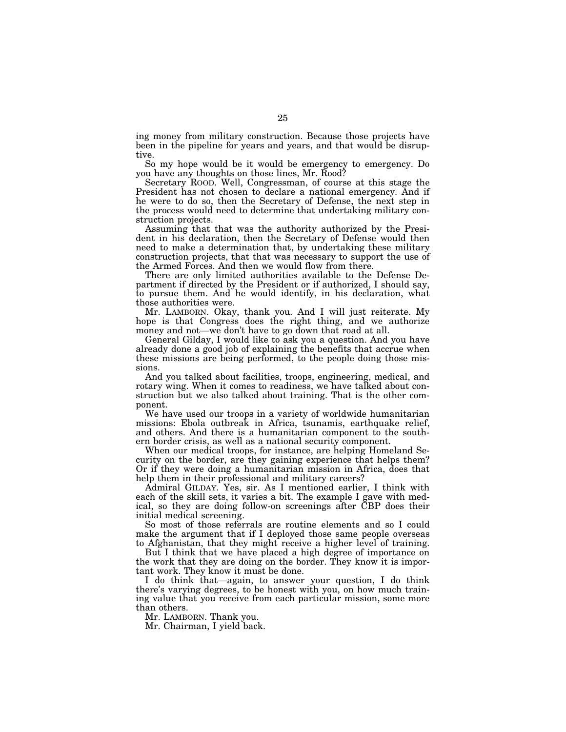ing money from military construction. Because those projects have been in the pipeline for years and years, and that would be disruptive.

So my hope would be it would be emergency to emergency. Do you have any thoughts on those lines, Mr. Rood?

Secretary ROOD. Well, Congressman, of course at this stage the President has not chosen to declare a national emergency. And if he were to do so, then the Secretary of Defense, the next step in the process would need to determine that undertaking military construction projects.

Assuming that that was the authority authorized by the President in his declaration, then the Secretary of Defense would then need to make a determination that, by undertaking these military construction projects, that that was necessary to support the use of the Armed Forces. And then we would flow from there.

There are only limited authorities available to the Defense Department if directed by the President or if authorized, I should say, to pursue them. And he would identify, in his declaration, what those authorities were.

Mr. LAMBORN. Okay, thank you. And I will just reiterate. My hope is that Congress does the right thing, and we authorize money and not—we don't have to go down that road at all.

General Gilday, I would like to ask you a question. And you have already done a good job of explaining the benefits that accrue when these missions are being performed, to the people doing those missions.

And you talked about facilities, troops, engineering, medical, and rotary wing. When it comes to readiness, we have talked about construction but we also talked about training. That is the other component.

We have used our troops in a variety of worldwide humanitarian missions: Ebola outbreak in Africa, tsunamis, earthquake relief, and others. And there is a humanitarian component to the southern border crisis, as well as a national security component.

When our medical troops, for instance, are helping Homeland Security on the border, are they gaining experience that helps them? Or if they were doing a humanitarian mission in Africa, does that help them in their professional and military careers?

Admiral GILDAY. Yes, sir. As I mentioned earlier, I think with each of the skill sets, it varies a bit. The example I gave with medical, so they are doing follow-on screenings after CBP does their initial medical screening.

So most of those referrals are routine elements and so I could make the argument that if I deployed those same people overseas to Afghanistan, that they might receive a higher level of training.

But I think that we have placed a high degree of importance on the work that they are doing on the border. They know it is important work. They know it must be done.

I do think that—again, to answer your question, I do think there's varying degrees, to be honest with you, on how much training value that you receive from each particular mission, some more than others.

Mr. LAMBORN. Thank you.

Mr. Chairman, I yield back.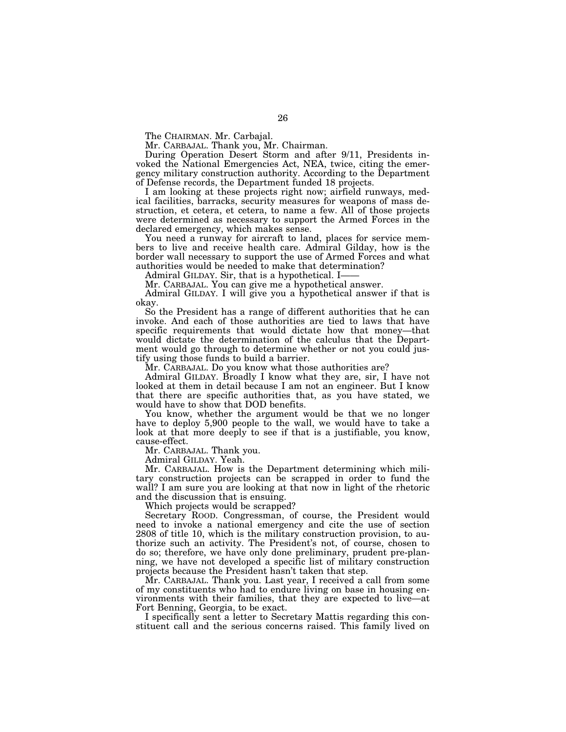The CHAIRMAN. Mr. Carbajal.

Mr. CARBAJAL. Thank you, Mr. Chairman.

During Operation Desert Storm and after 9/11, Presidents invoked the National Emergencies Act, NEA, twice, citing the emergency military construction authority. According to the Department of Defense records, the Department funded 18 projects.

I am looking at these projects right now; airfield runways, medical facilities, barracks, security measures for weapons of mass destruction, et cetera, et cetera, to name a few. All of those projects were determined as necessary to support the Armed Forces in the declared emergency, which makes sense.

You need a runway for aircraft to land, places for service members to live and receive health care. Admiral Gilday, how is the border wall necessary to support the use of Armed Forces and what authorities would be needed to make that determination?

Admiral GILDAY. Sir, that is a hypothetical. I-

Mr. CARBAJAL. You can give me a hypothetical answer.

Admiral GILDAY. I will give you a hypothetical answer if that is okay.

So the President has a range of different authorities that he can invoke. And each of those authorities are tied to laws that have specific requirements that would dictate how that money—that would dictate the determination of the calculus that the Department would go through to determine whether or not you could justify using those funds to build a barrier.

Mr. CARBAJAL. Do you know what those authorities are?

Admiral GILDAY. Broadly I know what they are, sir, I have not looked at them in detail because I am not an engineer. But I know that there are specific authorities that, as you have stated, we would have to show that DOD benefits.

You know, whether the argument would be that we no longer have to deploy 5,900 people to the wall, we would have to take a look at that more deeply to see if that is a justifiable, you know, cause-effect.

Mr. CARBAJAL. Thank you.

Admiral GILDAY. Yeah.

Mr. CARBAJAL. How is the Department determining which military construction projects can be scrapped in order to fund the wall? I am sure you are looking at that now in light of the rhetoric and the discussion that is ensuing.

Which projects would be scrapped?

Secretary ROOD. Congressman, of course, the President would need to invoke a national emergency and cite the use of section 2808 of title 10, which is the military construction provision, to authorize such an activity. The President's not, of course, chosen to do so; therefore, we have only done preliminary, prudent pre-planning, we have not developed a specific list of military construction projects because the President hasn't taken that step.

Mr. CARBAJAL. Thank you. Last year, I received a call from some of my constituents who had to endure living on base in housing environments with their families, that they are expected to live—at Fort Benning, Georgia, to be exact.

I specifically sent a letter to Secretary Mattis regarding this constituent call and the serious concerns raised. This family lived on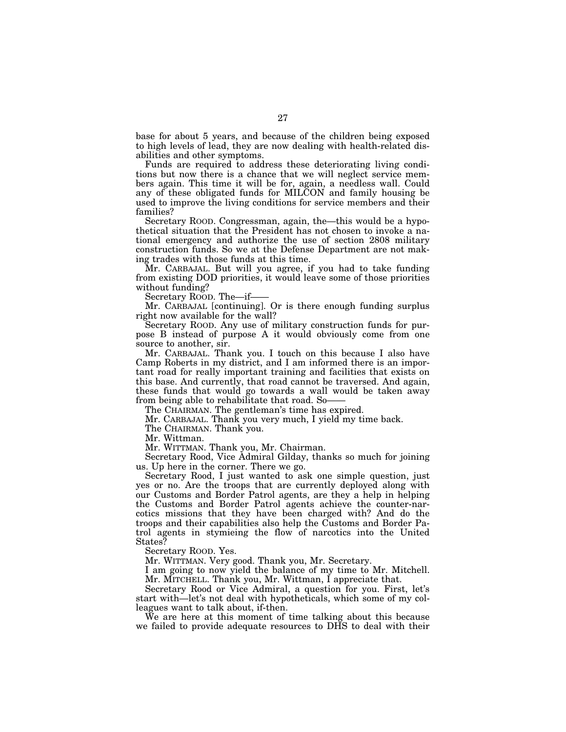base for about 5 years, and because of the children being exposed to high levels of lead, they are now dealing with health-related disabilities and other symptoms.

Funds are required to address these deteriorating living conditions but now there is a chance that we will neglect service members again. This time it will be for, again, a needless wall. Could any of these obligated funds for MILCON and family housing be used to improve the living conditions for service members and their families?

Secretary ROOD. Congressman, again, the—this would be a hypothetical situation that the President has not chosen to invoke a national emergency and authorize the use of section 2808 military construction funds. So we at the Defense Department are not making trades with those funds at this time.

Mr. CARBAJAL. But will you agree, if you had to take funding from existing DOD priorities, it would leave some of those priorities without funding?

Secretary ROOD. The—if—

Mr. CARBAJAL [continuing]. Or is there enough funding surplus right now available for the wall?

Secretary ROOD. Any use of military construction funds for purpose B instead of purpose A it would obviously come from one source to another, sir.

Mr. CARBAJAL. Thank you. I touch on this because I also have Camp Roberts in my district, and I am informed there is an important road for really important training and facilities that exists on this base. And currently, that road cannot be traversed. And again, these funds that would go towards a wall would be taken away from being able to rehabilitate that road. So-

The CHAIRMAN. The gentleman's time has expired.

Mr. CARBAJAL. Thank you very much, I yield my time back.

The CHAIRMAN. Thank you.

Mr. Wittman.

Mr. WITTMAN. Thank you, Mr. Chairman.

Secretary Rood, Vice Admiral Gilday, thanks so much for joining us. Up here in the corner. There we go.

Secretary Rood, I just wanted to ask one simple question, just yes or no. Are the troops that are currently deployed along with our Customs and Border Patrol agents, are they a help in helping the Customs and Border Patrol agents achieve the counter-narcotics missions that they have been charged with? And do the troops and their capabilities also help the Customs and Border Patrol agents in stymieing the flow of narcotics into the United States?

Secretary ROOD. Yes.

Mr. WITTMAN. Very good. Thank you, Mr. Secretary.

I am going to now yield the balance of my time to Mr. Mitchell. Mr. MITCHELL. Thank you, Mr. Wittman, I appreciate that.

Secretary Rood or Vice Admiral, a question for you. First, let's start with—let's not deal with hypotheticals, which some of my colleagues want to talk about, if-then.

We are here at this moment of time talking about this because we failed to provide adequate resources to DHS to deal with their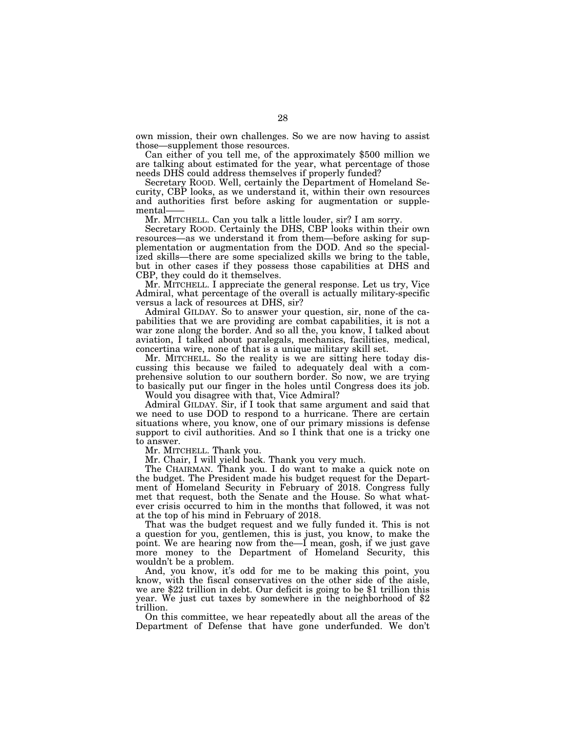own mission, their own challenges. So we are now having to assist those—supplement those resources.

Can either of you tell me, of the approximately \$500 million we are talking about estimated for the year, what percentage of those needs DHS could address themselves if properly funded?

Secretary ROOD. Well, certainly the Department of Homeland Security, CBP looks, as we understand it, within their own resources and authorities first before asking for augmentation or supplemental——

Mr. MITCHELL. Can you talk a little louder, sir? I am sorry.

Secretary ROOD. Certainly the DHS, CBP looks within their own resources—as we understand it from them—before asking for supplementation or augmentation from the DOD. And so the specialized skills—there are some specialized skills we bring to the table, but in other cases if they possess those capabilities at DHS and CBP, they could do it themselves.

Mr. MITCHELL. I appreciate the general response. Let us try, Vice Admiral, what percentage of the overall is actually military-specific versus a lack of resources at DHS, sir?

Admiral GILDAY. So to answer your question, sir, none of the capabilities that we are providing are combat capabilities, it is not a war zone along the border. And so all the, you know, I talked about aviation, I talked about paralegals, mechanics, facilities, medical, concertina wire, none of that is a unique military skill set.

Mr. MITCHELL. So the reality is we are sitting here today discussing this because we failed to adequately deal with a comprehensive solution to our southern border. So now, we are trying to basically put our finger in the holes until Congress does its job.

Would you disagree with that, Vice Admiral?

Admiral GILDAY. Sir, if I took that same argument and said that we need to use DOD to respond to a hurricane. There are certain situations where, you know, one of our primary missions is defense support to civil authorities. And so I think that one is a tricky one to answer.

Mr. MITCHELL. Thank you.

Mr. Chair, I will yield back. Thank you very much.

The CHAIRMAN. Thank you. I do want to make a quick note on the budget. The President made his budget request for the Department of Homeland Security in February of 2018. Congress fully met that request, both the Senate and the House. So what whatever crisis occurred to him in the months that followed, it was not at the top of his mind in February of 2018.

That was the budget request and we fully funded it. This is not a question for you, gentlemen, this is just, you know, to make the point. We are hearing now from the—I mean, gosh, if we just gave more money to the Department of Homeland Security, this wouldn't be a problem.

And, you know, it's odd for me to be making this point, you know, with the fiscal conservatives on the other side of the aisle, we are \$22 trillion in debt. Our deficit is going to be \$1 trillion this year. We just cut taxes by somewhere in the neighborhood of \$2 trillion.

On this committee, we hear repeatedly about all the areas of the Department of Defense that have gone underfunded. We don't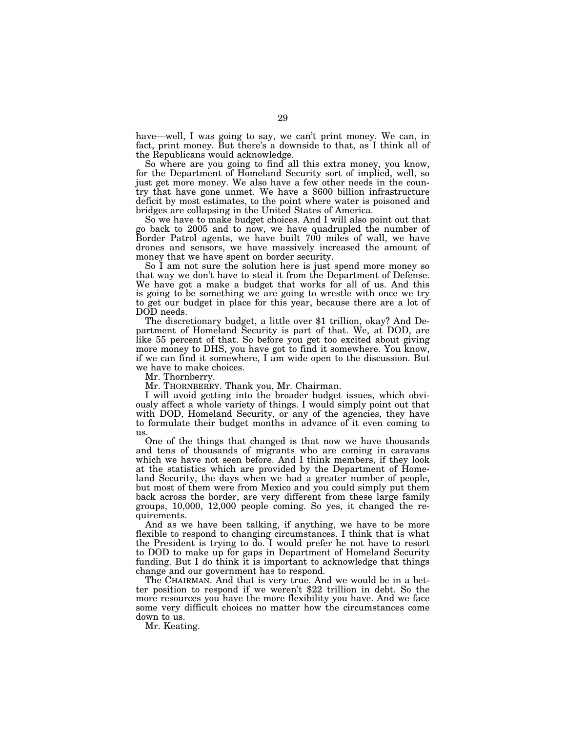have—well, I was going to say, we can't print money. We can, in fact, print money. But there's a downside to that, as I think all of the Republicans would acknowledge.

So where are you going to find all this extra money, you know, for the Department of Homeland Security sort of implied, well, so just get more money. We also have a few other needs in the country that have gone unmet. We have a \$600 billion infrastructure deficit by most estimates, to the point where water is poisoned and bridges are collapsing in the United States of America.

So we have to make budget choices. And I will also point out that go back to 2005 and to now, we have quadrupled the number of Border Patrol agents, we have built 700 miles of wall, we have drones and sensors, we have massively increased the amount of money that we have spent on border security.

So I am not sure the solution here is just spend more money so that way we don't have to steal it from the Department of Defense. We have got a make a budget that works for all of us. And this is going to be something we are going to wrestle with once we try to get our budget in place for this year, because there are a lot of DOD needs.

The discretionary budget, a little over \$1 trillion, okay? And Department of Homeland Security is part of that. We, at DOD, are like 55 percent of that. So before you get too excited about giving more money to DHS, you have got to find it somewhere. You know, if we can find it somewhere, I am wide open to the discussion. But we have to make choices.

Mr. Thornberry.

Mr. THORNBERRY. Thank you, Mr. Chairman.

I will avoid getting into the broader budget issues, which obviously affect a whole variety of things. I would simply point out that with DOD, Homeland Security, or any of the agencies, they have to formulate their budget months in advance of it even coming to us.

One of the things that changed is that now we have thousands and tens of thousands of migrants who are coming in caravans which we have not seen before. And I think members, if they look at the statistics which are provided by the Department of Homeland Security, the days when we had a greater number of people, but most of them were from Mexico and you could simply put them back across the border, are very different from these large family groups, 10,000, 12,000 people coming. So yes, it changed the requirements.

And as we have been talking, if anything, we have to be more flexible to respond to changing circumstances. I think that is what the President is trying to do. I would prefer he not have to resort to DOD to make up for gaps in Department of Homeland Security funding. But I do think it is important to acknowledge that things change and our government has to respond.

ter position to respond if we weren't \$22 trillion in debt. So the more resources you have the more flexibility you have. And we face some very difficult choices no matter how the circumstances come down to us.

Mr. Keating.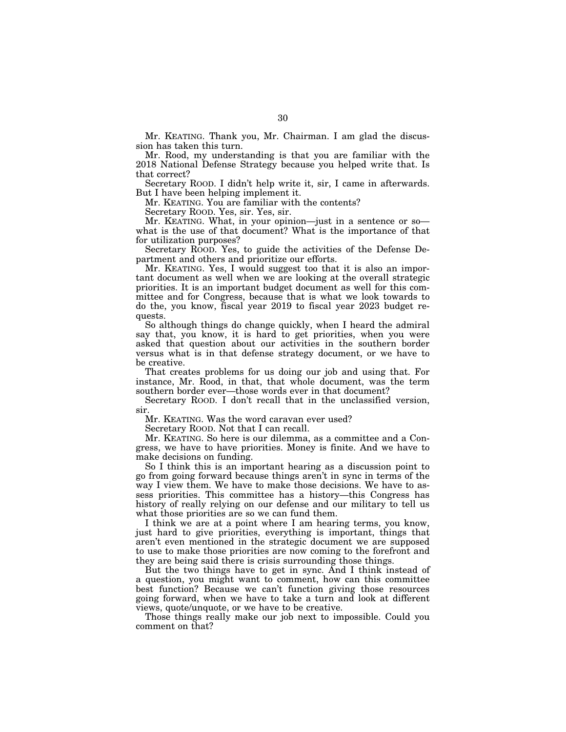Mr. KEATING. Thank you, Mr. Chairman. I am glad the discussion has taken this turn.

Mr. Rood, my understanding is that you are familiar with the 2018 National Defense Strategy because you helped write that. Is that correct?

Secretary ROOD. I didn't help write it, sir, I came in afterwards. But I have been helping implement it.

Mr. KEATING. You are familiar with the contents?

Secretary ROOD. Yes, sir. Yes, sir.

Mr. KEATING. What, in your opinion—just in a sentence or so what is the use of that document? What is the importance of that for utilization purposes?

Secretary ROOD. Yes, to guide the activities of the Defense Department and others and prioritize our efforts.

Mr. KEATING. Yes, I would suggest too that it is also an important document as well when we are looking at the overall strategic priorities. It is an important budget document as well for this committee and for Congress, because that is what we look towards to do the, you know, fiscal year 2019 to fiscal year 2023 budget requests.

So although things do change quickly, when I heard the admiral say that, you know, it is hard to get priorities, when you were asked that question about our activities in the southern border versus what is in that defense strategy document, or we have to be creative.

That creates problems for us doing our job and using that. For instance, Mr. Rood, in that, that whole document, was the term southern border ever—those words ever in that document?

Secretary ROOD. I don't recall that in the unclassified version, sir.

Mr. KEATING. Was the word caravan ever used?

Secretary ROOD. Not that I can recall.

Mr. KEATING. So here is our dilemma, as a committee and a Congress, we have to have priorities. Money is finite. And we have to make decisions on funding.

So I think this is an important hearing as a discussion point to go from going forward because things aren't in sync in terms of the way I view them. We have to make those decisions. We have to assess priorities. This committee has a history—this Congress has history of really relying on our defense and our military to tell us what those priorities are so we can fund them.

I think we are at a point where I am hearing terms, you know, just hard to give priorities, everything is important, things that aren't even mentioned in the strategic document we are supposed to use to make those priorities are now coming to the forefront and they are being said there is crisis surrounding those things.

But the two things have to get in sync. And I think instead of a question, you might want to comment, how can this committee best function? Because we can't function giving those resources going forward, when we have to take a turn and look at different views, quote/unquote, or we have to be creative.

Those things really make our job next to impossible. Could you comment on that?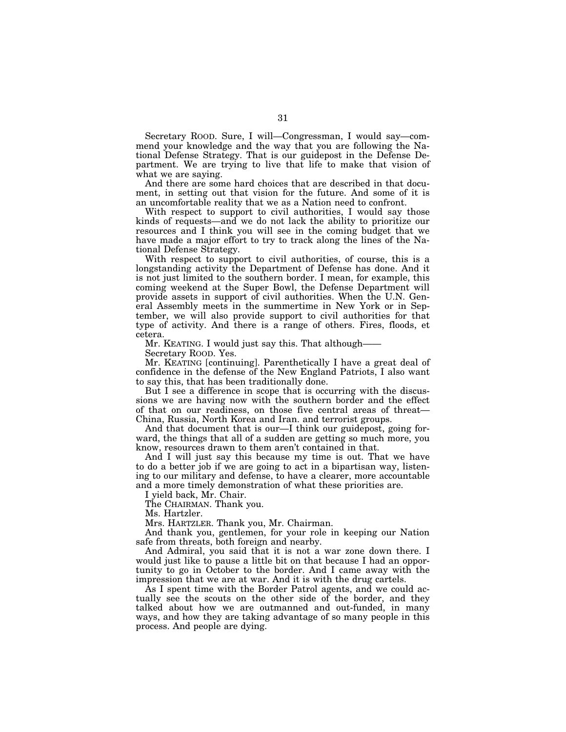Secretary ROOD. Sure, I will—Congressman, I would say—commend your knowledge and the way that you are following the National Defense Strategy. That is our guidepost in the Defense Department. We are trying to live that life to make that vision of what we are saying.

And there are some hard choices that are described in that document, in setting out that vision for the future. And some of it is an uncomfortable reality that we as a Nation need to confront.

With respect to support to civil authorities, I would say those kinds of requests—and we do not lack the ability to prioritize our resources and I think you will see in the coming budget that we have made a major effort to try to track along the lines of the National Defense Strategy.

With respect to support to civil authorities, of course, this is a longstanding activity the Department of Defense has done. And it is not just limited to the southern border. I mean, for example, this coming weekend at the Super Bowl, the Defense Department will provide assets in support of civil authorities. When the U.N. General Assembly meets in the summertime in New York or in September, we will also provide support to civil authorities for that type of activity. And there is a range of others. Fires, floods, et cetera.

Mr. KEATING. I would just say this. That although——

Secretary ROOD. Yes.

Mr. KEATING [continuing]. Parenthetically I have a great deal of confidence in the defense of the New England Patriots, I also want to say this, that has been traditionally done.

But I see a difference in scope that is occurring with the discussions we are having now with the southern border and the effect of that on our readiness, on those five central areas of threat— China, Russia, North Korea and Iran. and terrorist groups.

And that document that is our—I think our guidepost, going forward, the things that all of a sudden are getting so much more, you know, resources drawn to them aren't contained in that.

And I will just say this because my time is out. That we have to do a better job if we are going to act in a bipartisan way, listening to our military and defense, to have a clearer, more accountable and a more timely demonstration of what these priorities are.

I yield back, Mr. Chair.

The CHAIRMAN. Thank you.

Ms. Hartzler.

Mrs. HARTZLER. Thank you, Mr. Chairman.

And thank you, gentlemen, for your role in keeping our Nation safe from threats, both foreign and nearby.

And Admiral, you said that it is not a war zone down there. I would just like to pause a little bit on that because I had an opportunity to go in October to the border. And I came away with the impression that we are at war. And it is with the drug cartels.

As I spent time with the Border Patrol agents, and we could actually see the scouts on the other side of the border, and they talked about how we are outmanned and out-funded, in many ways, and how they are taking advantage of so many people in this process. And people are dying.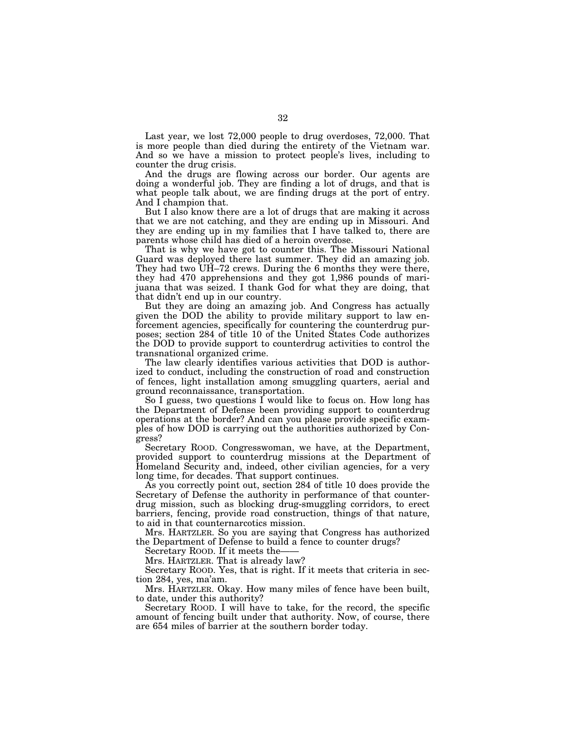Last year, we lost 72,000 people to drug overdoses, 72,000. That is more people than died during the entirety of the Vietnam war. And so we have a mission to protect people's lives, including to counter the drug crisis.

And the drugs are flowing across our border. Our agents are doing a wonderful job. They are finding a lot of drugs, and that is what people talk about, we are finding drugs at the port of entry. And I champion that.

But I also know there are a lot of drugs that are making it across that we are not catching, and they are ending up in Missouri. And they are ending up in my families that I have talked to, there are parents whose child has died of a heroin overdose.

That is why we have got to counter this. The Missouri National Guard was deployed there last summer. They did an amazing job. They had two UH–72 crews. During the 6 months they were there, they had 470 apprehensions and they got 1,986 pounds of marijuana that was seized. I thank God for what they are doing, that that didn't end up in our country.

But they are doing an amazing job. And Congress has actually given the DOD the ability to provide military support to law enforcement agencies, specifically for countering the counterdrug purposes; section 284 of title 10 of the United States Code authorizes the DOD to provide support to counterdrug activities to control the transnational organized crime.

The law clearly identifies various activities that DOD is authorized to conduct, including the construction of road and construction of fences, light installation among smuggling quarters, aerial and ground reconnaissance, transportation.

So I guess, two questions  $\overline{I}$  would like to focus on. How long has the Department of Defense been providing support to counterdrug operations at the border? And can you please provide specific examples of how DOD is carrying out the authorities authorized by Congress?

Secretary ROOD. Congresswoman, we have, at the Department, provided support to counterdrug missions at the Department of Homeland Security and, indeed, other civilian agencies, for a very long time, for decades. That support continues.

As you correctly point out, section 284 of title 10 does provide the Secretary of Defense the authority in performance of that counterdrug mission, such as blocking drug-smuggling corridors, to erect barriers, fencing, provide road construction, things of that nature, to aid in that counternarcotics mission.

Mrs. HARTZLER. So you are saying that Congress has authorized the Department of Defense to build a fence to counter drugs?

Secretary ROOD. If it meets the-

Mrs. HARTZLER. That is already law?

Secretary ROOD. Yes, that is right. If it meets that criteria in section 284, yes, ma'am.

Mrs. HARTZLER. Okay. How many miles of fence have been built, to date, under this authority?

Secretary ROOD. I will have to take, for the record, the specific amount of fencing built under that authority. Now, of course, there are 654 miles of barrier at the southern border today.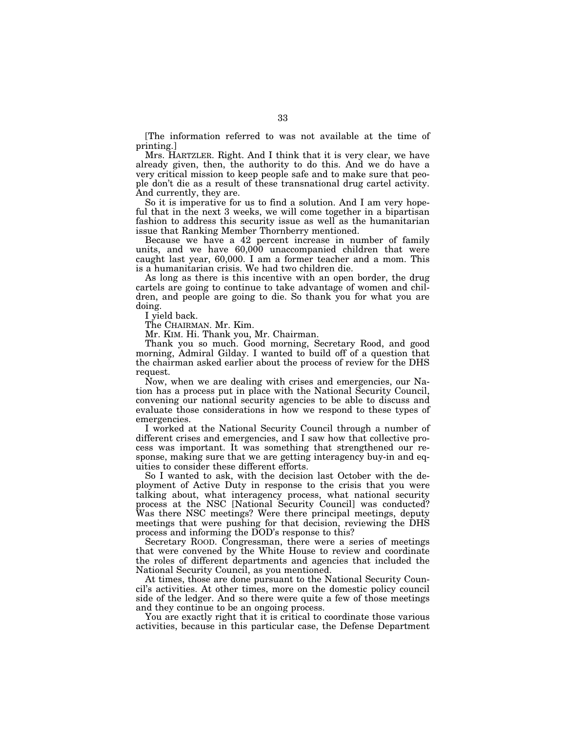[The information referred to was not available at the time of printing.]

Mrs. HARTZLER. Right. And I think that it is very clear, we have already given, then, the authority to do this. And we do have a very critical mission to keep people safe and to make sure that people don't die as a result of these transnational drug cartel activity. And currently, they are.

So it is imperative for us to find a solution. And I am very hopeful that in the next 3 weeks, we will come together in a bipartisan fashion to address this security issue as well as the humanitarian issue that Ranking Member Thornberry mentioned.

Because we have a 42 percent increase in number of family units, and we have 60,000 unaccompanied children that were caught last year, 60,000. I am a former teacher and a mom. This is a humanitarian crisis. We had two children die.

As long as there is this incentive with an open border, the drug cartels are going to continue to take advantage of women and children, and people are going to die. So thank you for what you are doing.

I yield back.

The CHAIRMAN. Mr. Kim.

Mr. KIM. Hi. Thank you, Mr. Chairman.

Thank you so much. Good morning, Secretary Rood, and good morning, Admiral Gilday. I wanted to build off of a question that the chairman asked earlier about the process of review for the DHS request.

Now, when we are dealing with crises and emergencies, our Nation has a process put in place with the National Security Council, convening our national security agencies to be able to discuss and evaluate those considerations in how we respond to these types of emergencies.

I worked at the National Security Council through a number of different crises and emergencies, and I saw how that collective process was important. It was something that strengthened our response, making sure that we are getting interagency buy-in and equities to consider these different efforts.

So I wanted to ask, with the decision last October with the deployment of Active Duty in response to the crisis that you were talking about, what interagency process, what national security process at the NSC [National Security Council] was conducted? Was there NSC meetings? Were there principal meetings, deputy meetings that were pushing for that decision, reviewing the DHS process and informing the DOD's response to this?

Secretary ROOD. Congressman, there were a series of meetings that were convened by the White House to review and coordinate the roles of different departments and agencies that included the National Security Council, as you mentioned.

At times, those are done pursuant to the National Security Council's activities. At other times, more on the domestic policy council side of the ledger. And so there were quite a few of those meetings and they continue to be an ongoing process.

You are exactly right that it is critical to coordinate those various activities, because in this particular case, the Defense Department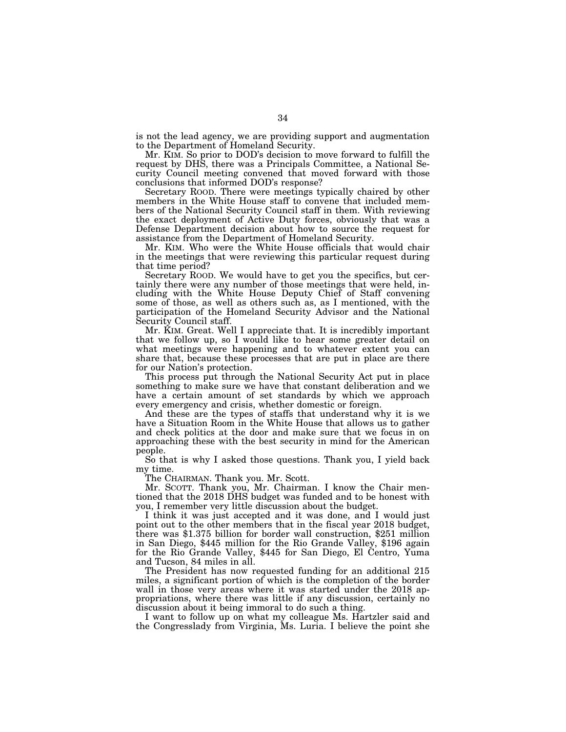is not the lead agency, we are providing support and augmentation to the Department of Homeland Security.

Mr. KIM. So prior to DOD's decision to move forward to fulfill the request by DHS, there was a Principals Committee, a National Security Council meeting convened that moved forward with those conclusions that informed DOD's response?

Secretary ROOD. There were meetings typically chaired by other members in the White House staff to convene that included members of the National Security Council staff in them. With reviewing the exact deployment of Active Duty forces, obviously that was a Defense Department decision about how to source the request for assistance from the Department of Homeland Security.

Mr. KIM. Who were the White House officials that would chair in the meetings that were reviewing this particular request during that time period?

Secretary ROOD. We would have to get you the specifics, but certainly there were any number of those meetings that were held, including with the White House Deputy Chief of Staff convening some of those, as well as others such as, as I mentioned, with the participation of the Homeland Security Advisor and the National Security Council staff.

Mr. KIM. Great. Well I appreciate that. It is incredibly important that we follow up, so I would like to hear some greater detail on what meetings were happening and to whatever extent you can share that, because these processes that are put in place are there for our Nation's protection.

This process put through the National Security Act put in place something to make sure we have that constant deliberation and we have a certain amount of set standards by which we approach every emergency and crisis, whether domestic or foreign.

And these are the types of staffs that understand why it is we have a Situation Room in the White House that allows us to gather and check politics at the door and make sure that we focus in on approaching these with the best security in mind for the American people.

So that is why I asked those questions. Thank you, I yield back my time.

The CHAIRMAN. Thank you. Mr. Scott.

Mr. SCOTT. Thank you, Mr. Chairman. I know the Chair mentioned that the 2018 DHS budget was funded and to be honest with you, I remember very little discussion about the budget.

I think it was just accepted and it was done, and I would just point out to the other members that in the fiscal year 2018 budget, there was \$1.375 billion for border wall construction, \$251 million in San Diego, \$445 million for the Rio Grande Valley, \$196 again for the Rio Grande Valley, \$445 for San Diego, El Centro, Yuma and Tucson, 84 miles in all.

The President has now requested funding for an additional 215 miles, a significant portion of which is the completion of the border wall in those very areas where it was started under the 2018 appropriations, where there was little if any discussion, certainly no discussion about it being immoral to do such a thing.

I want to follow up on what my colleague Ms. Hartzler said and the Congresslady from Virginia, Ms. Luria. I believe the point she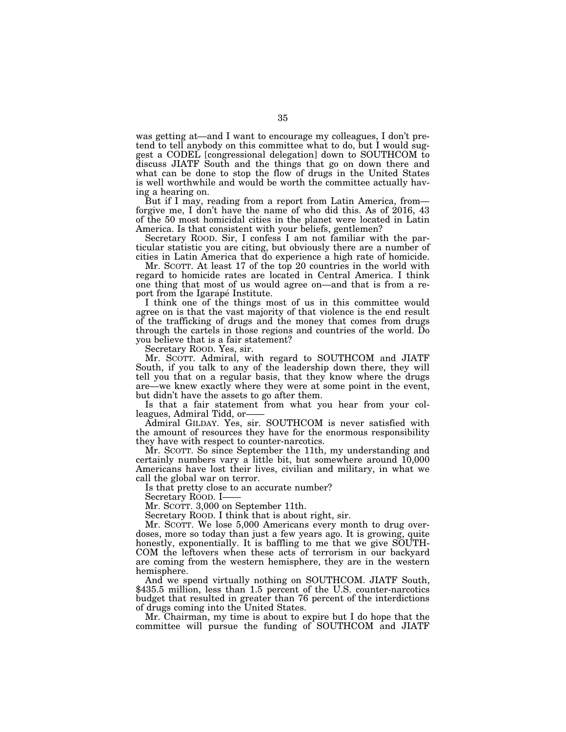was getting at—and I want to encourage my colleagues, I don't pretend to tell anybody on this committee what to do, but I would suggest a CODEL [congressional delegation] down to SOUTHCOM to discuss JIATF South and the things that go on down there and what can be done to stop the flow of drugs in the United States is well worthwhile and would be worth the committee actually having a hearing on.

But if I may, reading from a report from Latin America, from forgive me, I don't have the name of who did this. As of 2016, 43 of the 50 most homicidal cities in the planet were located in Latin America. Is that consistent with your beliefs, gentlemen?

Secretary ROOD. Sir, I confess I am not familiar with the particular statistic you are citing, but obviously there are a number of cities in Latin America that do experience a high rate of homicide.

Mr. SCOTT. At least 17 of the top 20 countries in the world with regard to homicide rates are located in Central America. I think one thing that most of us would agree on—and that is from a report from the Igarapé Institute.

I think one of the things most of us in this committee would agree on is that the vast majority of that violence is the end result of the trafficking of drugs and the money that comes from drugs through the cartels in those regions and countries of the world. Do you believe that is a fair statement?

Secretary ROOD. Yes, sir.

Mr. SCOTT. Admiral, with regard to SOUTHCOM and JIATF South, if you talk to any of the leadership down there, they will tell you that on a regular basis, that they know where the drugs are—we knew exactly where they were at some point in the event, but didn't have the assets to go after them.

Is that a fair statement from what you hear from your colleagues, Admiral Tidd, or-

Admiral GILDAY. Yes, sir. SOUTHCOM is never satisfied with the amount of resources they have for the enormous responsibility they have with respect to counter-narcotics.

Mr. SCOTT. So since September the 11th, my understanding and certainly numbers vary a little bit, but somewhere around 10,000 Americans have lost their lives, civilian and military, in what we call the global war on terror.

Is that pretty close to an accurate number?

Secretary ROOD. I-

Mr. SCOTT. 3,000 on September 11th.

Secretary ROOD. I think that is about right, sir.

Mr. SCOTT. We lose 5,000 Americans every month to drug overdoses, more so today than just a few years ago. It is growing, quite honestly, exponentially. It is baffling to me that we give SOUTH-COM the leftovers when these acts of terrorism in our backyard are coming from the western hemisphere, they are in the western hemisphere.<br>And we spend virtually nothing on SOUTHCOM. JIATF South,

\$435.5 million, less than 1.5 percent of the U.S. counter-narcotics budget that resulted in greater than 76 percent of the interdictions of drugs coming into the United States.

Mr. Chairman, my time is about to expire but I do hope that the committee will pursue the funding of SOUTHCOM and JIATF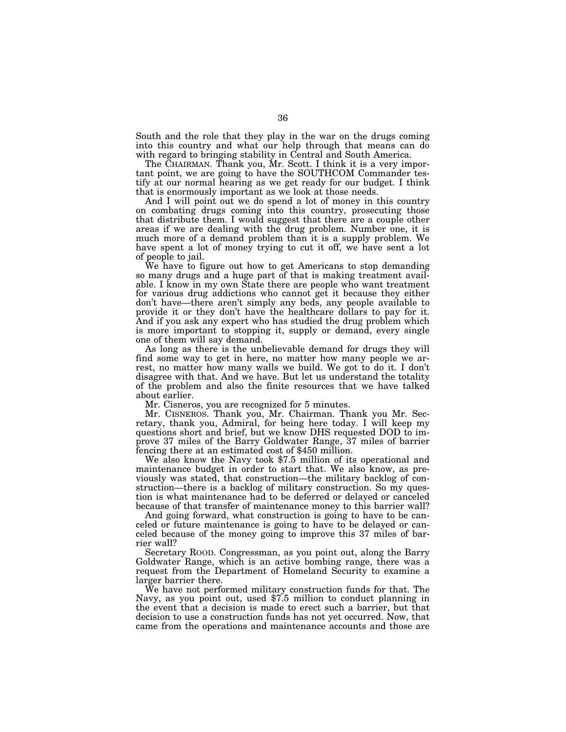South and the role that they play in the war on the drugs coming into this country and what our help through that means can do with regard to bringing stability in Central and South America.

The CHAIRMAN. Thank you, Mr. Scott. I think it is a very important point, we are going to have the SOUTHCOM Commander testify at our normal hearing as we get ready for our budget. I think that is enormously important as we look at those needs.

And I will point out we do spend a lot of money in this country on combating drugs coming into this country, prosecuting those that distribute them. I would suggest that there are a couple other areas if we are dealing with the drug problem. Number one, it is much more of a demand problem than it is a supply problem. We have spent a lot of money trying to cut it off, we have sent a lot of people to jail.

We have to figure out how to get Americans to stop demanding so many drugs and a huge part of that is making treatment available. I know in my own State there are people who want treatment for various drug addictions who cannot get it because they either don't have—there aren't simply any beds, any people available to provide it or they don't have the healthcare dollars to pay for it. And if you ask any expert who has studied the drug problem which is more important to stopping it, supply or demand, every single one of them will say demand.

As long as there is the unbelievable demand for drugs they will find some way to get in here, no matter how many people we arrest, no matter how many walls we build. We got to do it. I don't disagree with that. And we have. But let us understand the totality of the problem and also the finite resources that we have talked about earlier.

Mr. Cisneros, you are recognized for 5 minutes.

Mr. CISNEROS. Thank you, Mr. Chairman. Thank you Mr. Secretary, thank you, Admiral, for being here today. I will keep my questions short and brief, but we know DHS requested DOD to improve 37 miles of the Barry Goldwater Range, 37 miles of barrier fencing there at an estimated cost of \$450 million.

We also know the Navy took \$7.5 million of its operational and maintenance budget in order to start that. We also know, as previously was stated, that construction—the military backlog of construction—there is a backlog of military construction. So my question is what maintenance had to be deferred or delayed or canceled because of that transfer of maintenance money to this barrier wall?

And going forward, what construction is going to have to be canceled or future maintenance is going to have to be delayed or canceled because of the money going to improve this 37 miles of barrier wall?

Secretary ROOD. Congressman, as you point out, along the Barry Goldwater Range, which is an active bombing range, there was a request from the Department of Homeland Security to examine a larger barrier there.<br>We have not performed military construction funds for that. The

Navy, as you point out, used \$7.5 million to conduct planning in the event that a decision is made to erect such a barrier, but that decision to use a construction funds has not yet occurred. Now, that came from the operations and maintenance accounts and those are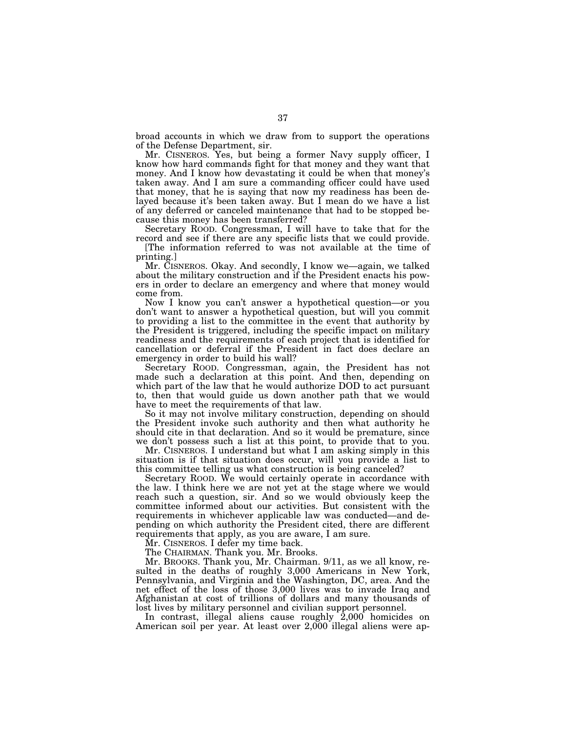broad accounts in which we draw from to support the operations of the Defense Department, sir.

Mr. CISNEROS. Yes, but being a former Navy supply officer, I know how hard commands fight for that money and they want that money. And I know how devastating it could be when that money's taken away. And I am sure a commanding officer could have used that money, that he is saying that now my readiness has been delayed because it's been taken away. But I mean do we have a list of any deferred or canceled maintenance that had to be stopped because this money has been transferred?

Secretary ROOD. Congressman, I will have to take that for the record and see if there are any specific lists that we could provide.

[The information referred to was not available at the time of printing.]

Mr. CISNEROS. Okay. And secondly, I know we—again, we talked about the military construction and if the President enacts his powers in order to declare an emergency and where that money would come from.

Now I know you can't answer a hypothetical question—or you don't want to answer a hypothetical question, but will you commit to providing a list to the committee in the event that authority by the President is triggered, including the specific impact on military readiness and the requirements of each project that is identified for cancellation or deferral if the President in fact does declare an emergency in order to build his wall?

Secretary ROOD. Congressman, again, the President has not made such a declaration at this point. And then, depending on which part of the law that he would authorize DOD to act pursuant to, then that would guide us down another path that we would have to meet the requirements of that law.

So it may not involve military construction, depending on should the President invoke such authority and then what authority he should cite in that declaration. And so it would be premature, since we don't possess such a list at this point, to provide that to you.

Mr. CISNEROS. I understand but what I am asking simply in this situation is if that situation does occur, will you provide a list to this committee telling us what construction is being canceled?

Secretary ROOD. We would certainly operate in accordance with the law. I think here we are not yet at the stage where we would reach such a question, sir. And so we would obviously keep the committee informed about our activities. But consistent with the requirements in whichever applicable law was conducted—and depending on which authority the President cited, there are different requirements that apply, as you are aware, I am sure.

Mr. CISNEROS. I defer my time back.

The CHAIRMAN. Thank you. Mr. Brooks.

Mr. BROOKS. Thank you, Mr. Chairman. 9/11, as we all know, resulted in the deaths of roughly 3,000 Americans in New York, Pennsylvania, and Virginia and the Washington, DC, area. And the net effect of the loss of those 3,000 lives was to invade Iraq and Afghanistan at cost of trillions of dollars and many thousands of lost lives by military personnel and civilian support personnel.

In contrast, illegal aliens cause roughly 2,000 homicides on American soil per year. At least over 2,000 illegal aliens were ap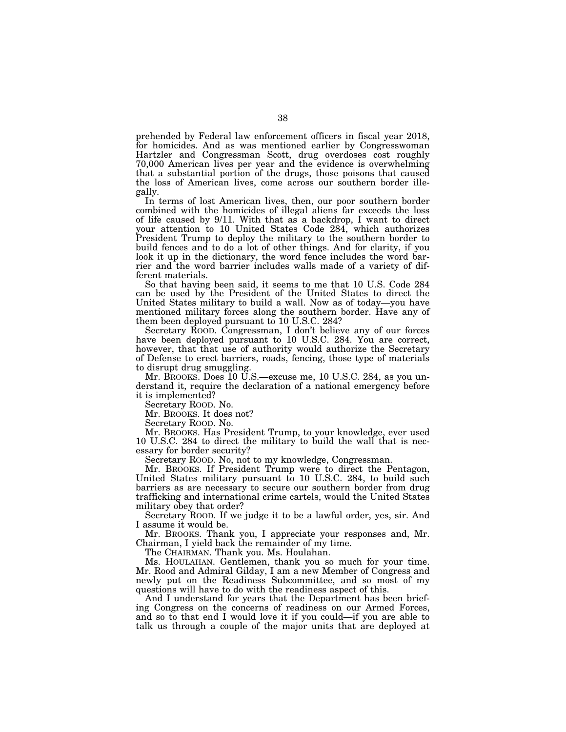prehended by Federal law enforcement officers in fiscal year 2018, for homicides. And as was mentioned earlier by Congresswoman Hartzler and Congressman Scott, drug overdoses cost roughly 70,000 American lives per year and the evidence is overwhelming that a substantial portion of the drugs, those poisons that caused the loss of American lives, come across our southern border illegally.

In terms of lost American lives, then, our poor southern border combined with the homicides of illegal aliens far exceeds the loss of life caused by 9/11. With that as a backdrop, I want to direct your attention to 10 United States Code 284, which authorizes President Trump to deploy the military to the southern border to build fences and to do a lot of other things. And for clarity, if you look it up in the dictionary, the word fence includes the word barrier and the word barrier includes walls made of a variety of different materials.

So that having been said, it seems to me that 10 U.S. Code 284 can be used by the President of the United States to direct the United States military to build a wall. Now as of today—you have mentioned military forces along the southern border. Have any of them been deployed pursuant to 10 U.S.C. 284?

Secretary ROOD. Congressman, I don't believe any of our forces have been deployed pursuant to 10 U.S.C. 284. You are correct, however, that that use of authority would authorize the Secretary of Defense to erect barriers, roads, fencing, those type of materials to disrupt drug smuggling.

Mr. BROOKS. Does 10 U.S.—excuse me, 10 U.S.C. 284, as you understand it, require the declaration of a national emergency before it is implemented?

Secretary ROOD. No.

Mr. BROOKS. It does not?

Secretary ROOD. No.

Mr. BROOKS. Has President Trump, to your knowledge, ever used 10 U.S.C. 284 to direct the military to build the wall that is necessary for border security?

Secretary ROOD. No, not to my knowledge, Congressman.

Mr. BROOKS. If President Trump were to direct the Pentagon, United States military pursuant to 10 U.S.C. 284, to build such barriers as are necessary to secure our southern border from drug trafficking and international crime cartels, would the United States military obey that order?

Secretary ROOD. If we judge it to be a lawful order, yes, sir. And I assume it would be.

Mr. BROOKS. Thank you, I appreciate your responses and, Mr. Chairman, I yield back the remainder of my time.

The CHAIRMAN. Thank you. Ms. Houlahan.

Ms. HOULAHAN. Gentlemen, thank you so much for your time. Mr. Rood and Admiral Gilday, I am a new Member of Congress and newly put on the Readiness Subcommittee, and so most of my questions will have to do with the readiness aspect of this.

And I understand for years that the Department has been briefing Congress on the concerns of readiness on our Armed Forces, and so to that end I would love it if you could—if you are able to talk us through a couple of the major units that are deployed at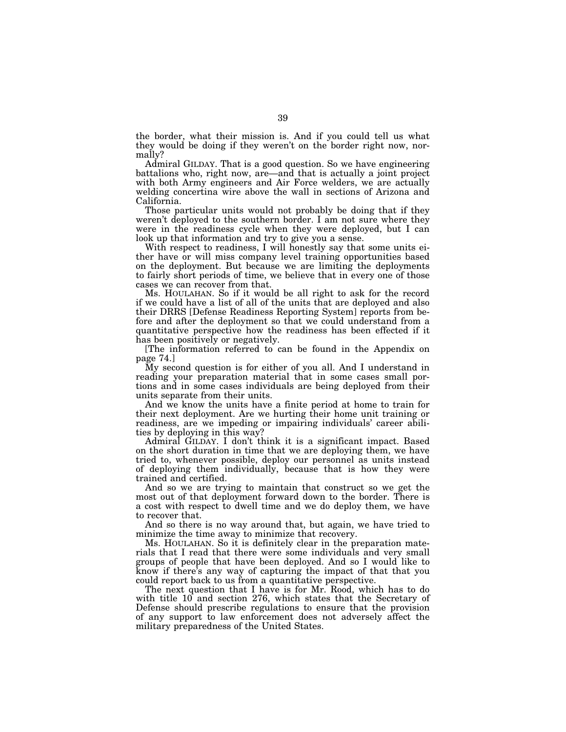the border, what their mission is. And if you could tell us what they would be doing if they weren't on the border right now, normally?

Admiral GILDAY. That is a good question. So we have engineering battalions who, right now, are—and that is actually a joint project with both Army engineers and Air Force welders, we are actually welding concertina wire above the wall in sections of Arizona and California.

Those particular units would not probably be doing that if they weren't deployed to the southern border. I am not sure where they were in the readiness cycle when they were deployed, but I can look up that information and try to give you a sense.

With respect to readiness, I will honestly say that some units either have or will miss company level training opportunities based on the deployment. But because we are limiting the deployments to fairly short periods of time, we believe that in every one of those cases we can recover from that.

Ms. HOULAHAN. So if it would be all right to ask for the record if we could have a list of all of the units that are deployed and also their DRRS [Defense Readiness Reporting System] reports from before and after the deployment so that we could understand from a quantitative perspective how the readiness has been effected if it has been positively or negatively.

[The information referred to can be found in the Appendix on page 74.]

My second question is for either of you all. And I understand in reading your preparation material that in some cases small portions and in some cases individuals are being deployed from their units separate from their units.

And we know the units have a finite period at home to train for their next deployment. Are we hurting their home unit training or readiness, are we impeding or impairing individuals' career abilities by deploying in this way?

Admiral GILDAY. I don't think it is a significant impact. Based on the short duration in time that we are deploying them, we have tried to, whenever possible, deploy our personnel as units instead of deploying them individually, because that is how they were trained and certified.

And so we are trying to maintain that construct so we get the most out of that deployment forward down to the border. There is a cost with respect to dwell time and we do deploy them, we have to recover that.

And so there is no way around that, but again, we have tried to minimize the time away to minimize that recovery.

Ms. HOULAHAN. So it is definitely clear in the preparation materials that I read that there were some individuals and very small groups of people that have been deployed. And so I would like to know if there's any way of capturing the impact of that that you could report back to us from a quantitative perspective.

The next question that I have is for Mr. Rood, which has to do with title 10 and section 276, which states that the Secretary of Defense should prescribe regulations to ensure that the provision of any support to law enforcement does not adversely affect the military preparedness of the United States.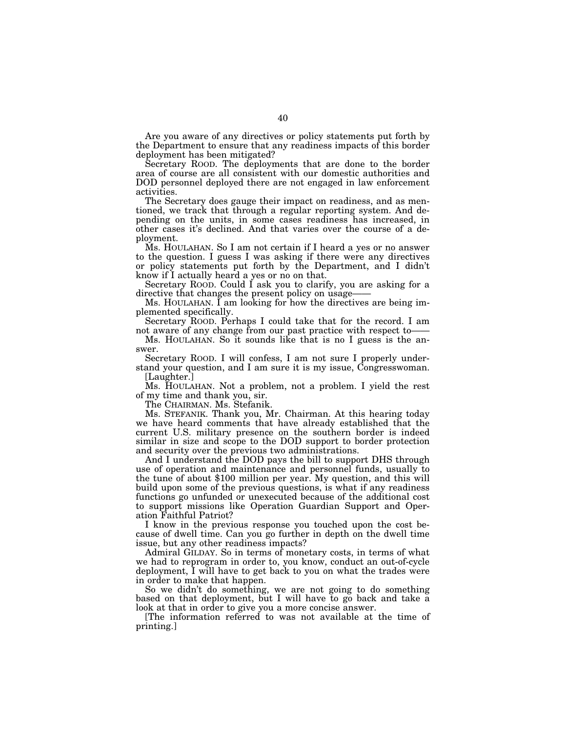Are you aware of any directives or policy statements put forth by the Department to ensure that any readiness impacts of this border deployment has been mitigated?

Secretary ROOD. The deployments that are done to the border area of course are all consistent with our domestic authorities and DOD personnel deployed there are not engaged in law enforcement activities.

The Secretary does gauge their impact on readiness, and as mentioned, we track that through a regular reporting system. And depending on the units, in some cases readiness has increased, in other cases it's declined. And that varies over the course of a deployment.

Ms. HOULAHAN. So I am not certain if I heard a yes or no answer to the question. I guess I was asking if there were any directives or policy statements put forth by the Department, and I didn't know if I actually heard a yes or no on that.

Secretary ROOD. Could I ask you to clarify, you are asking for a directive that changes the present policy on usage-

Ms. HOULAHAN. I am looking for how the directives are being implemented specifically.

Secretary ROOD. Perhaps I could take that for the record. I am not aware of any change from our past practice with respect to-

Ms. HOULAHAN. So it sounds like that is no I guess is the answer.

Secretary ROOD. I will confess, I am not sure I properly understand your question, and I am sure it is my issue, Congresswoman. [Laughter.]

Ms. HOULAHAN. Not a problem, not a problem. I yield the rest of my time and thank you, sir.

The CHAIRMAN. Ms. Stefanik.

Ms. STEFANIK. Thank you, Mr. Chairman. At this hearing today we have heard comments that have already established that the current U.S. military presence on the southern border is indeed similar in size and scope to the DOD support to border protection and security over the previous two administrations.

And I understand the DOD pays the bill to support DHS through use of operation and maintenance and personnel funds, usually to the tune of about \$100 million per year. My question, and this will build upon some of the previous questions, is what if any readiness functions go unfunded or unexecuted because of the additional cost to support missions like Operation Guardian Support and Operation Faithful Patriot?

I know in the previous response you touched upon the cost because of dwell time. Can you go further in depth on the dwell time issue, but any other readiness impacts?

Admiral GILDAY. So in terms of monetary costs, in terms of what we had to reprogram in order to, you know, conduct an out-of-cycle deployment, I will have to get back to you on what the trades were in order to make that happen.

So we didn't do something, we are not going to do something based on that deployment, but I will have to go back and take a look at that in order to give you a more concise answer.

[The information referred to was not available at the time of printing.]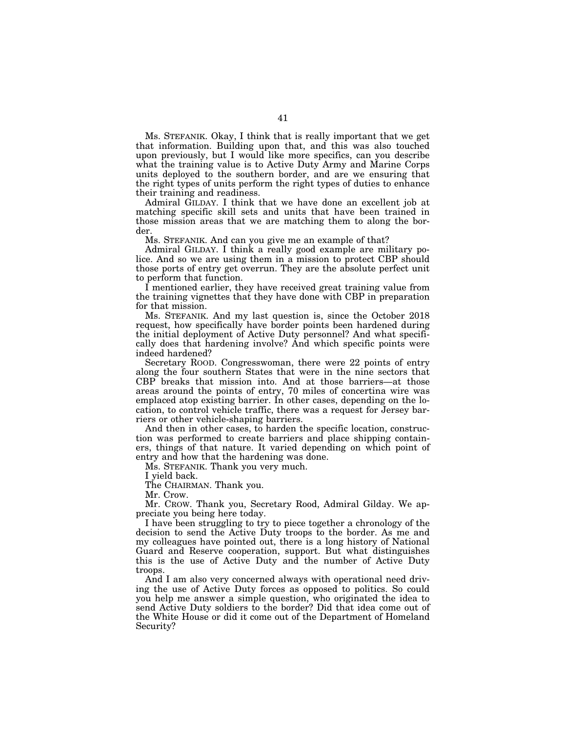Ms. STEFANIK. Okay, I think that is really important that we get that information. Building upon that, and this was also touched upon previously, but I would like more specifics, can you describe what the training value is to Active Duty Army and Marine Corps units deployed to the southern border, and are we ensuring that the right types of units perform the right types of duties to enhance their training and readiness.

Admiral GILDAY. I think that we have done an excellent job at matching specific skill sets and units that have been trained in those mission areas that we are matching them to along the border.

Ms. STEFANIK. And can you give me an example of that?

Admiral GILDAY. I think a really good example are military police. And so we are using them in a mission to protect CBP should those ports of entry get overrun. They are the absolute perfect unit to perform that function.

I mentioned earlier, they have received great training value from the training vignettes that they have done with CBP in preparation for that mission.

Ms. STEFANIK. And my last question is, since the October 2018 request, how specifically have border points been hardened during the initial deployment of Active Duty personnel? And what specifically does that hardening involve? And which specific points were indeed hardened?

Secretary ROOD. Congresswoman, there were 22 points of entry along the four southern States that were in the nine sectors that CBP breaks that mission into. And at those barriers—at those areas around the points of entry, 70 miles of concertina wire was emplaced atop existing barrier. In other cases, depending on the location, to control vehicle traffic, there was a request for Jersey barriers or other vehicle-shaping barriers.

And then in other cases, to harden the specific location, construction was performed to create barriers and place shipping containers, things of that nature. It varied depending on which point of entry and how that the hardening was done.

Ms. STEFANIK. Thank you very much.

I yield back.

The CHAIRMAN. Thank you.

Mr. Crow.

Mr. CROW. Thank you, Secretary Rood, Admiral Gilday. We appreciate you being here today.

I have been struggling to try to piece together a chronology of the decision to send the Active Duty troops to the border. As me and my colleagues have pointed out, there is a long history of National Guard and Reserve cooperation, support. But what distinguishes this is the use of Active Duty and the number of Active Duty troops.

And I am also very concerned always with operational need driving the use of Active Duty forces as opposed to politics. So could you help me answer a simple question, who originated the idea to send Active Duty soldiers to the border? Did that idea come out of the White House or did it come out of the Department of Homeland Security?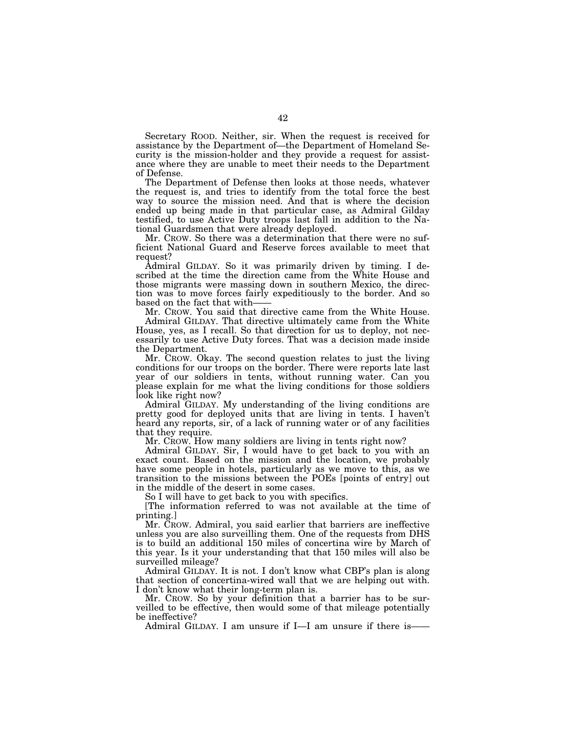Secretary ROOD. Neither, sir. When the request is received for assistance by the Department of—the Department of Homeland Security is the mission-holder and they provide a request for assistance where they are unable to meet their needs to the Department of Defense.

The Department of Defense then looks at those needs, whatever the request is, and tries to identify from the total force the best way to source the mission need. And that is where the decision ended up being made in that particular case, as Admiral Gilday testified, to use Active Duty troops last fall in addition to the National Guardsmen that were already deployed.

Mr. CROW. So there was a determination that there were no sufficient National Guard and Reserve forces available to meet that request?

Admiral GILDAY. So it was primarily driven by timing. I described at the time the direction came from the White House and those migrants were massing down in southern Mexico, the direction was to move forces fairly expeditiously to the border. And so based on the fact that with-

Mr. CROW. You said that directive came from the White House. Admiral GILDAY. That directive ultimately came from the White House, yes, as I recall. So that direction for us to deploy, not necessarily to use Active Duty forces. That was a decision made inside the Department.

Mr. CROW. Okay. The second question relates to just the living conditions for our troops on the border. There were reports late last year of our soldiers in tents, without running water. Can you please explain for me what the living conditions for those soldiers look like right now?

Admiral GILDAY. My understanding of the living conditions are pretty good for deployed units that are living in tents. I haven't heard any reports, sir, of a lack of running water or of any facilities that they require.

Mr. CROW. How many soldiers are living in tents right now?

Admiral GILDAY. Sir, I would have to get back to you with an exact count. Based on the mission and the location, we probably have some people in hotels, particularly as we move to this, as we transition to the missions between the POEs [points of entry] out in the middle of the desert in some cases.

So I will have to get back to you with specifics.

[The information referred to was not available at the time of printing.]

Mr. CROW. Admiral, you said earlier that barriers are ineffective unless you are also surveilling them. One of the requests from DHS is to build an additional 150 miles of concertina wire by March of this year. Is it your understanding that that 150 miles will also be surveilled mileage?

Admiral GILDAY. It is not. I don't know what CBP's plan is along that section of concertina-wired wall that we are helping out with. I don't know what their long-term plan is.

Mr. CROW. So by your definition that a barrier has to be surveilled to be effective, then would some of that mileage potentially be ineffective?

Admiral GILDAY. I am unsure if I—I am unsure if there is—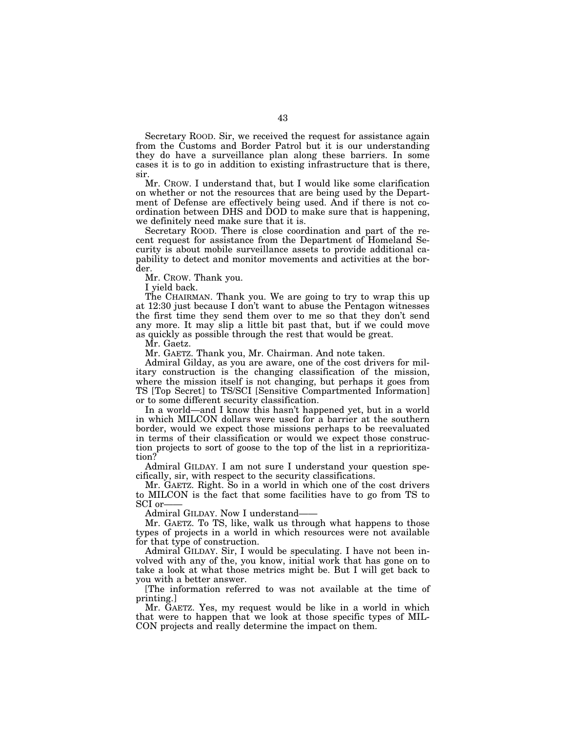Secretary ROOD. Sir, we received the request for assistance again from the Customs and Border Patrol but it is our understanding they do have a surveillance plan along these barriers. In some cases it is to go in addition to existing infrastructure that is there, sir.

Mr. CROW. I understand that, but I would like some clarification on whether or not the resources that are being used by the Department of Defense are effectively being used. And if there is not coordination between DHS and DOD to make sure that is happening, we definitely need make sure that it is.

Secretary ROOD. There is close coordination and part of the recent request for assistance from the Department of Homeland Security is about mobile surveillance assets to provide additional capability to detect and monitor movements and activities at the border.

Mr. CROW. Thank you.

I yield back.

The CHAIRMAN. Thank you. We are going to try to wrap this up at 12:30 just because I don't want to abuse the Pentagon witnesses the first time they send them over to me so that they don't send any more. It may slip a little bit past that, but if we could move as quickly as possible through the rest that would be great.

Mr. Gaetz.

Mr. GAETZ. Thank you, Mr. Chairman. And note taken.

Admiral Gilday, as you are aware, one of the cost drivers for military construction is the changing classification of the mission, where the mission itself is not changing, but perhaps it goes from TS [Top Secret] to TS/SCI [Sensitive Compartmented Information] or to some different security classification.

In a world—and I know this hasn't happened yet, but in a world in which MILCON dollars were used for a barrier at the southern border, would we expect those missions perhaps to be reevaluated in terms of their classification or would we expect those construction projects to sort of goose to the top of the list in a reprioritization?

Admiral GILDAY. I am not sure I understand your question specifically, sir, with respect to the security classifications.

Mr. GAETZ. Right. So in a world in which one of the cost drivers to MILCON is the fact that some facilities have to go from TS to SCI or-

Admiral GILDAY. Now I understand——

Mr. GAETZ. To TS, like, walk us through what happens to those types of projects in a world in which resources were not available for that type of construction.

Admiral GILDAY. Sir, I would be speculating. I have not been involved with any of the, you know, initial work that has gone on to take a look at what those metrics might be. But I will get back to you with a better answer.

[The information referred to was not available at the time of printing.]

Mr. GAETZ. Yes, my request would be like in a world in which that were to happen that we look at those specific types of MIL-CON projects and really determine the impact on them.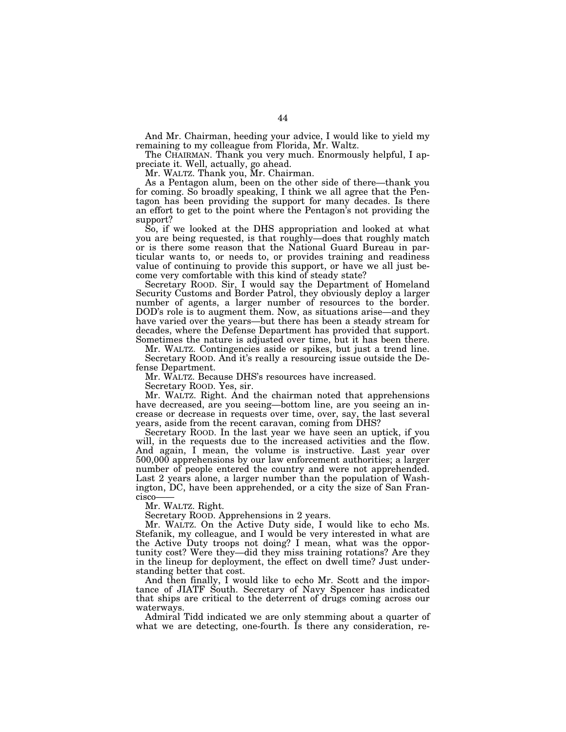And Mr. Chairman, heeding your advice, I would like to yield my remaining to my colleague from Florida, Mr. Waltz.

The CHAIRMAN. Thank you very much. Enormously helpful, I appreciate it. Well, actually, go ahead.

Mr. WALTZ. Thank you, Mr. Chairman.

As a Pentagon alum, been on the other side of there—thank you for coming. So broadly speaking, I think we all agree that the Pentagon has been providing the support for many decades. Is there an effort to get to the point where the Pentagon's not providing the support?

So, if we looked at the DHS appropriation and looked at what you are being requested, is that roughly—does that roughly match or is there some reason that the National Guard Bureau in particular wants to, or needs to, or provides training and readiness value of continuing to provide this support, or have we all just become very comfortable with this kind of steady state?

Secretary ROOD. Sir, I would say the Department of Homeland Security Customs and Border Patrol, they obviously deploy a larger number of agents, a larger number of resources to the border. DOD's role is to augment them. Now, as situations arise—and they have varied over the years—but there has been a steady stream for decades, where the Defense Department has provided that support. Sometimes the nature is adjusted over time, but it has been there.

Mr. WALTZ. Contingencies aside or spikes, but just a trend line. Secretary ROOD. And it's really a resourcing issue outside the Defense Department.

Mr. WALTZ. Because DHS's resources have increased.

Secretary ROOD. Yes, sir.

Mr. WALTZ. Right. And the chairman noted that apprehensions have decreased, are you seeing—bottom line, are you seeing an increase or decrease in requests over time, over, say, the last several years, aside from the recent caravan, coming from DHS?

Secretary ROOD. In the last year we have seen an uptick, if you will, in the requests due to the increased activities and the flow. And again, I mean, the volume is instructive. Last year over 500,000 apprehensions by our law enforcement authorities; a larger number of people entered the country and were not apprehended. Last 2 years alone, a larger number than the population of Washington, DC, have been apprehended, or a city the size of San Francisco-

Mr. WALTZ. Right.

Secretary ROOD. Apprehensions in 2 years.

Mr. WALTZ. On the Active Duty side, I would like to echo Ms. Stefanik, my colleague, and I would be very interested in what are the Active Duty troops not doing? I mean, what was the opportunity cost? Were they—did they miss training rotations? Are they in the lineup for deployment, the effect on dwell time? Just understanding better that cost.

And then finally, I would like to echo Mr. Scott and the importance of JIATF South. Secretary of Navy Spencer has indicated that ships are critical to the deterrent of drugs coming across our waterways.

Admiral Tidd indicated we are only stemming about a quarter of what we are detecting, one-fourth. Is there any consideration, re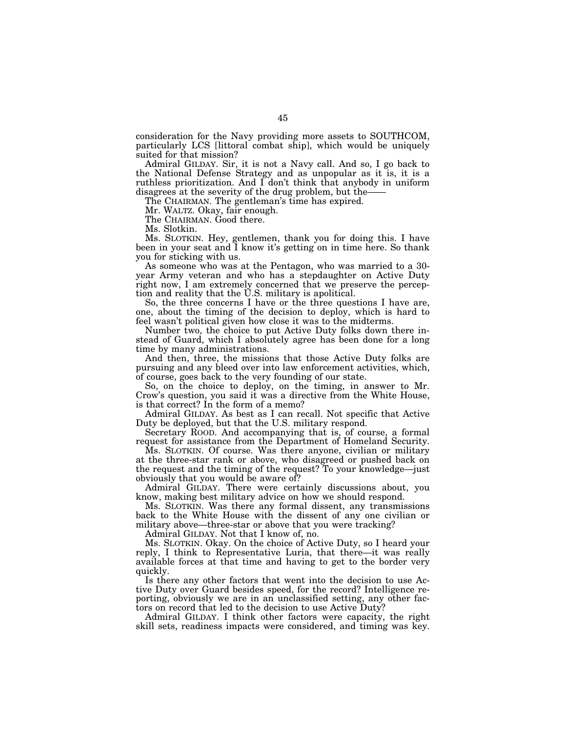consideration for the Navy providing more assets to SOUTHCOM, particularly LCS [littoral combat ship], which would be uniquely suited for that mission?

Admiral GILDAY. Sir, it is not a Navy call. And so, I go back to the National Defense Strategy and as unpopular as it is, it is a ruthless prioritization. And  $\overline{I}$  don't think that anybody in uniform disagrees at the severity of the drug problem, but the-

The CHAIRMAN. The gentleman's time has expired.

Mr. WALTZ. Okay, fair enough.

The CHAIRMAN. Good there.

Ms. Slotkin.

Ms. SLOTKIN. Hey, gentlemen, thank you for doing this. I have been in your seat and I know it's getting on in time here. So thank you for sticking with us.

As someone who was at the Pentagon, who was married to a 30 year Army veteran and who has a stepdaughter on Active Duty right now, I am extremely concerned that we preserve the perception and reality that the U.S. military is apolitical.

So, the three concerns I have or the three questions I have are, one, about the timing of the decision to deploy, which is hard to feel wasn't political given how close it was to the midterms.

Number two, the choice to put Active Duty folks down there instead of Guard, which I absolutely agree has been done for a long time by many administrations.

And then, three, the missions that those Active Duty folks are pursuing and any bleed over into law enforcement activities, which, of course, goes back to the very founding of our state.

So, on the choice to deploy, on the timing, in answer to Mr. Crow's question, you said it was a directive from the White House, is that correct? In the form of a memo?

Admiral GILDAY. As best as I can recall. Not specific that Active Duty be deployed, but that the U.S. military respond.

Secretary ROOD. And accompanying that is, of course, a formal request for assistance from the Department of Homeland Security.

Ms. SLOTKIN. Of course. Was there anyone, civilian or military at the three-star rank or above, who disagreed or pushed back on the request and the timing of the request? To your knowledge—just obviously that you would be aware of?

Admiral GILDAY. There were certainly discussions about, you know, making best military advice on how we should respond.

Ms. SLOTKIN. Was there any formal dissent, any transmissions back to the White House with the dissent of any one civilian or military above—three-star or above that you were tracking?

Admiral GILDAY. Not that I know of, no.

Ms. SLOTKIN. Okay. On the choice of Active Duty, so I heard your reply, I think to Representative Luria, that there—it was really available forces at that time and having to get to the border very quickly.

Is there any other factors that went into the decision to use Active Duty over Guard besides speed, for the record? Intelligence reporting, obviously we are in an unclassified setting, any other factors on record that led to the decision to use Active Duty?

Admiral GILDAY. I think other factors were capacity, the right skill sets, readiness impacts were considered, and timing was key.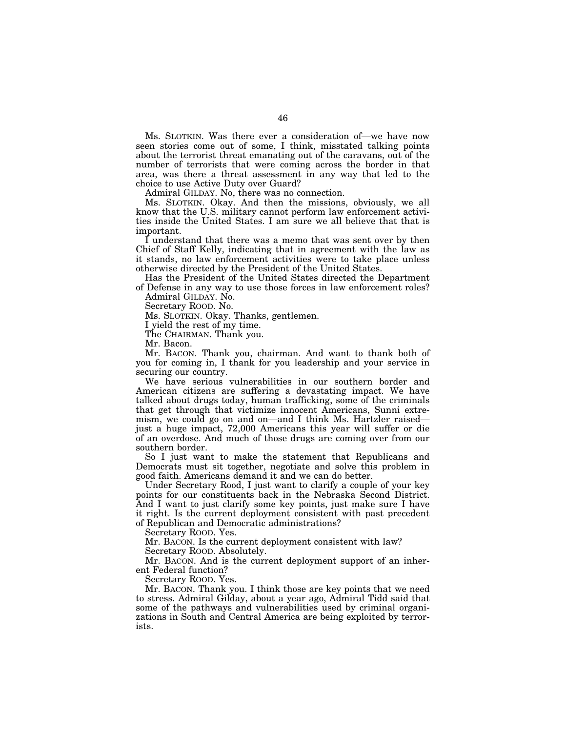Ms. SLOTKIN. Was there ever a consideration of—we have now seen stories come out of some, I think, misstated talking points about the terrorist threat emanating out of the caravans, out of the number of terrorists that were coming across the border in that area, was there a threat assessment in any way that led to the choice to use Active Duty over Guard?

Admiral GILDAY. No, there was no connection.

Ms. SLOTKIN. Okay. And then the missions, obviously, we all know that the U.S. military cannot perform law enforcement activities inside the United States. I am sure we all believe that that is important.

I understand that there was a memo that was sent over by then Chief of Staff Kelly, indicating that in agreement with the law as it stands, no law enforcement activities were to take place unless otherwise directed by the President of the United States.

Has the President of the United States directed the Department of Defense in any way to use those forces in law enforcement roles? Admiral GILDAY. No.

Secretary ROOD. No.

Ms. SLOTKIN. Okay. Thanks, gentlemen.

I yield the rest of my time.

The CHAIRMAN. Thank you.

Mr. Bacon.

Mr. BACON. Thank you, chairman. And want to thank both of you for coming in, I thank for you leadership and your service in securing our country.

We have serious vulnerabilities in our southern border and American citizens are suffering a devastating impact. We have talked about drugs today, human trafficking, some of the criminals that get through that victimize innocent Americans, Sunni extremism, we could go on and on—and I think Ms. Hartzler raised just a huge impact, 72,000 Americans this year will suffer or die of an overdose. And much of those drugs are coming over from our southern border.

So I just want to make the statement that Republicans and Democrats must sit together, negotiate and solve this problem in good faith. Americans demand it and we can do better.

Under Secretary Rood, I just want to clarify a couple of your key points for our constituents back in the Nebraska Second District. And I want to just clarify some key points, just make sure I have it right. Is the current deployment consistent with past precedent of Republican and Democratic administrations?

Secretary ROOD. Yes.

Mr. BACON. Is the current deployment consistent with law?

Secretary ROOD. Absolutely.

Mr. BACON. And is the current deployment support of an inherent Federal function?

Secretary ROOD. Yes.

Mr. BACON. Thank you. I think those are key points that we need to stress. Admiral Gilday, about a year ago, Admiral Tidd said that some of the pathways and vulnerabilities used by criminal organizations in South and Central America are being exploited by terrorists.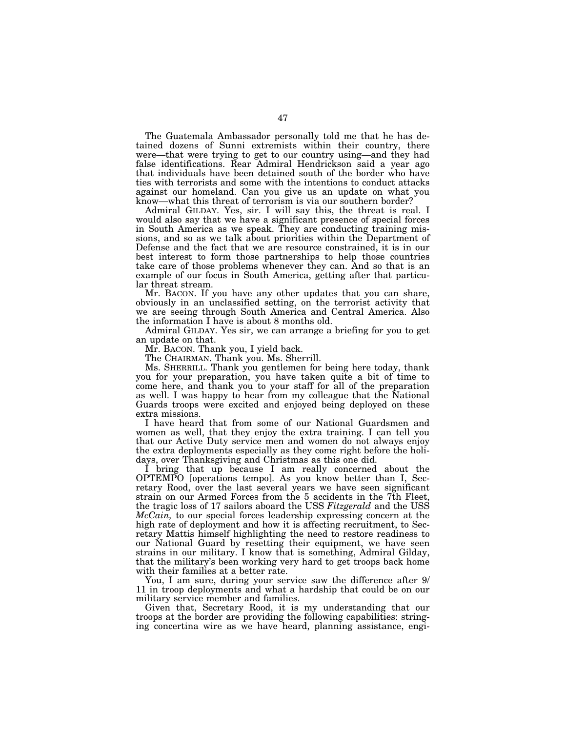The Guatemala Ambassador personally told me that he has detained dozens of Sunni extremists within their country, there were—that were trying to get to our country using—and they had false identifications. Rear Admiral Hendrickson said a year ago that individuals have been detained south of the border who have ties with terrorists and some with the intentions to conduct attacks against our homeland. Can you give us an update on what you know—what this threat of terrorism is via our southern border?

Admiral GILDAY. Yes, sir. I will say this, the threat is real. I would also say that we have a significant presence of special forces in South America as we speak. They are conducting training missions, and so as we talk about priorities within the Department of Defense and the fact that we are resource constrained, it is in our best interest to form those partnerships to help those countries take care of those problems whenever they can. And so that is an example of our focus in South America, getting after that particular threat stream.

Mr. BACON. If you have any other updates that you can share, obviously in an unclassified setting, on the terrorist activity that we are seeing through South America and Central America. Also the information I have is about 8 months old.

Admiral GILDAY. Yes sir, we can arrange a briefing for you to get an update on that.

Mr. BACON. Thank you, I yield back.

The CHAIRMAN. Thank you. Ms. Sherrill.

Ms. SHERRILL. Thank you gentlemen for being here today, thank you for your preparation, you have taken quite a bit of time to come here, and thank you to your staff for all of the preparation as well. I was happy to hear from my colleague that the National Guards troops were excited and enjoyed being deployed on these extra missions.

I have heard that from some of our National Guardsmen and women as well, that they enjoy the extra training. I can tell you that our Active Duty service men and women do not always enjoy the extra deployments especially as they come right before the holidays, over Thanksgiving and Christmas as this one did.

I bring that up because I am really concerned about the OPTEMPO [operations tempo]. As you know better than I, Secretary Rood, over the last several years we have seen significant strain on our Armed Forces from the 5 accidents in the 7th Fleet, the tragic loss of 17 sailors aboard the USS *Fitzgerald* and the USS *McCain,* to our special forces leadership expressing concern at the high rate of deployment and how it is affecting recruitment, to Secretary Mattis himself highlighting the need to restore readiness to our National Guard by resetting their equipment, we have seen strains in our military. I know that is something, Admiral Gilday, that the military's been working very hard to get troops back home with their families at a better rate.

You, I am sure, during your service saw the difference after 9/ 11 in troop deployments and what a hardship that could be on our military service member and families.

Given that, Secretary Rood, it is my understanding that our troops at the border are providing the following capabilities: stringing concertina wire as we have heard, planning assistance, engi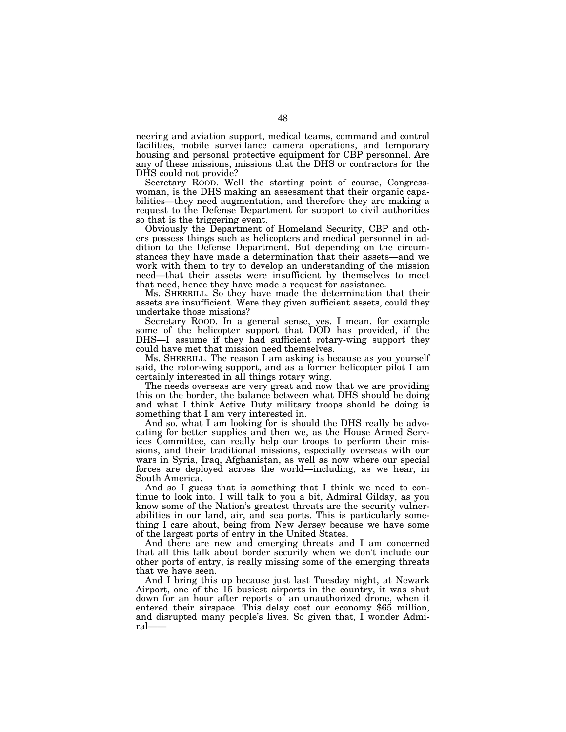neering and aviation support, medical teams, command and control facilities, mobile surveillance camera operations, and temporary housing and personal protective equipment for CBP personnel. Are any of these missions, missions that the DHS or contractors for the DHS could not provide?

Secretary ROOD. Well the starting point of course, Congresswoman, is the DHS making an assessment that their organic capabilities—they need augmentation, and therefore they are making a request to the Defense Department for support to civil authorities so that is the triggering event.

Obviously the Department of Homeland Security, CBP and others possess things such as helicopters and medical personnel in addition to the Defense Department. But depending on the circumstances they have made a determination that their assets—and we work with them to try to develop an understanding of the mission need—that their assets were insufficient by themselves to meet that need, hence they have made a request for assistance.

Ms. SHERRILL. So they have made the determination that their assets are insufficient. Were they given sufficient assets, could they undertake those missions?

Secretary ROOD. In a general sense, yes. I mean, for example some of the helicopter support that DOD has provided, if the DHS—I assume if they had sufficient rotary-wing support they could have met that mission need themselves.

Ms. SHERRILL. The reason I am asking is because as you yourself said, the rotor-wing support, and as a former helicopter pilot I am certainly interested in all things rotary wing.

The needs overseas are very great and now that we are providing this on the border, the balance between what DHS should be doing and what I think Active Duty military troops should be doing is something that I am very interested in.

And so, what I am looking for is should the DHS really be advocating for better supplies and then we, as the House Armed Services Committee, can really help our troops to perform their missions, and their traditional missions, especially overseas with our wars in Syria, Iraq, Afghanistan, as well as now where our special forces are deployed across the world—including, as we hear, in South America.

And so I guess that is something that I think we need to continue to look into. I will talk to you a bit, Admiral Gilday, as you know some of the Nation's greatest threats are the security vulnerabilities in our land, air, and sea ports. This is particularly something I care about, being from New Jersey because we have some of the largest ports of entry in the United States.

And there are new and emerging threats and I am concerned that all this talk about border security when we don't include our other ports of entry, is really missing some of the emerging threats that we have seen.

And I bring this up because just last Tuesday night, at Newark Airport, one of the 15 busiest airports in the country, it was shut down for an hour after reports of an unauthorized drone, when it entered their airspace. This delay cost our economy \$65 million, and disrupted many people's lives. So given that, I wonder Admiral——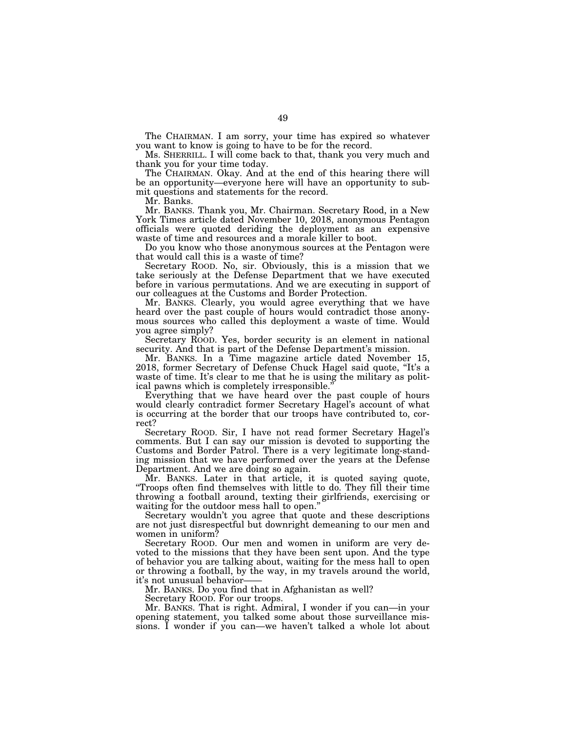The CHAIRMAN. I am sorry, your time has expired so whatever you want to know is going to have to be for the record.

Ms. SHERRILL. I will come back to that, thank you very much and thank you for your time today.

The CHAIRMAN. Okay. And at the end of this hearing there will be an opportunity—everyone here will have an opportunity to submit questions and statements for the record.

Mr. Banks.

Mr. BANKS. Thank you, Mr. Chairman. Secretary Rood, in a New York Times article dated November 10, 2018, anonymous Pentagon officials were quoted deriding the deployment as an expensive waste of time and resources and a morale killer to boot.

Do you know who those anonymous sources at the Pentagon were that would call this is a waste of time?

Secretary ROOD. No, sir. Obviously, this is a mission that we take seriously at the Defense Department that we have executed before in various permutations. And we are executing in support of our colleagues at the Customs and Border Protection.

Mr. BANKS. Clearly, you would agree everything that we have heard over the past couple of hours would contradict those anonymous sources who called this deployment a waste of time. Would you agree simply?

Secretary ROOD. Yes, border security is an element in national security. And that is part of the Defense Department's mission.

Mr. BANKS. In a Time magazine article dated November 15, 2018, former Secretary of Defense Chuck Hagel said quote, ''It's a waste of time. It's clear to me that he is using the military as political pawns which is completely irresponsible.''

Everything that we have heard over the past couple of hours would clearly contradict former Secretary Hagel's account of what is occurring at the border that our troops have contributed to, correct?

Secretary ROOD. Sir, I have not read former Secretary Hagel's comments. But I can say our mission is devoted to supporting the Customs and Border Patrol. There is a very legitimate long-standing mission that we have performed over the years at the Defense Department. And we are doing so again.

Mr. BANKS. Later in that article, it is quoted saying quote, ''Troops often find themselves with little to do. They fill their time throwing a football around, texting their girlfriends, exercising or waiting for the outdoor mess hall to open."

Secretary wouldn't you agree that quote and these descriptions are not just disrespectful but downright demeaning to our men and women in uniform?

Secretary ROOD. Our men and women in uniform are very devoted to the missions that they have been sent upon. And the type of behavior you are talking about, waiting for the mess hall to open or throwing a football, by the way, in my travels around the world, it's not unusual behavior-

Mr. BANKS. Do you find that in Afghanistan as well?

Secretary ROOD. For our troops.

Mr. BANKS. That is right. Admiral, I wonder if you can—in your opening statement, you talked some about those surveillance missions. I wonder if you can—we haven't talked a whole lot about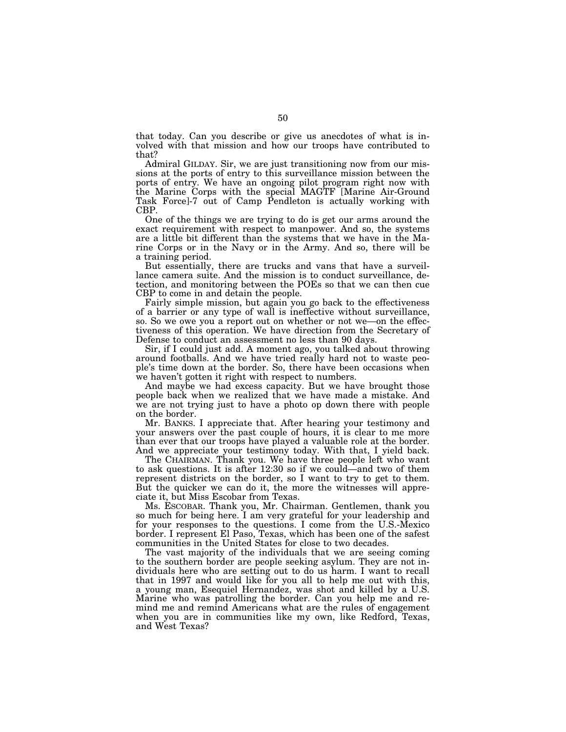that today. Can you describe or give us anecdotes of what is involved with that mission and how our troops have contributed to that?

Admiral GILDAY. Sir, we are just transitioning now from our missions at the ports of entry to this surveillance mission between the ports of entry. We have an ongoing pilot program right now with the Marine Corps with the special MAGTF [Marine Air-Ground Task Force]-7 out of Camp Pendleton is actually working with CBP.

One of the things we are trying to do is get our arms around the exact requirement with respect to manpower. And so, the systems are a little bit different than the systems that we have in the Marine Corps or in the Navy or in the Army. And so, there will be a training period.

But essentially, there are trucks and vans that have a surveillance camera suite. And the mission is to conduct surveillance, detection, and monitoring between the POEs so that we can then cue CBP to come in and detain the people.

Fairly simple mission, but again you go back to the effectiveness of a barrier or any type of wall is ineffective without surveillance, so. So we owe you a report out on whether or not we—on the effectiveness of this operation. We have direction from the Secretary of Defense to conduct an assessment no less than 90 days.

Sir, if I could just add. A moment ago, you talked about throwing around footballs. And we have tried really hard not to waste people's time down at the border. So, there have been occasions when we haven't gotten it right with respect to numbers.

And maybe we had excess capacity. But we have brought those people back when we realized that we have made a mistake. And we are not trying just to have a photo op down there with people on the border.

Mr. BANKS. I appreciate that. After hearing your testimony and your answers over the past couple of hours, it is clear to me more than ever that our troops have played a valuable role at the border. And we appreciate your testimony today. With that, I yield back.

The CHAIRMAN. Thank you. We have three people left who want to ask questions. It is after 12:30 so if we could—and two of them represent districts on the border, so I want to try to get to them. But the quicker we can do it, the more the witnesses will appreciate it, but Miss Escobar from Texas.

Ms. ESCOBAR. Thank you, Mr. Chairman. Gentlemen, thank you so much for being here. I am very grateful for your leadership and for your responses to the questions. I come from the U.S.-Mexico border. I represent El Paso, Texas, which has been one of the safest communities in the United States for close to two decades.

The vast majority of the individuals that we are seeing coming to the southern border are people seeking asylum. They are not individuals here who are setting out to do us harm. I want to recall that in 1997 and would like for you all to help me out with this, a young man, Esequiel Hernandez, was shot and killed by a U.S. Marine who was patrolling the border. Can you help me and remind me and remind Americans what are the rules of engagement when you are in communities like my own, like Redford, Texas, and West Texas?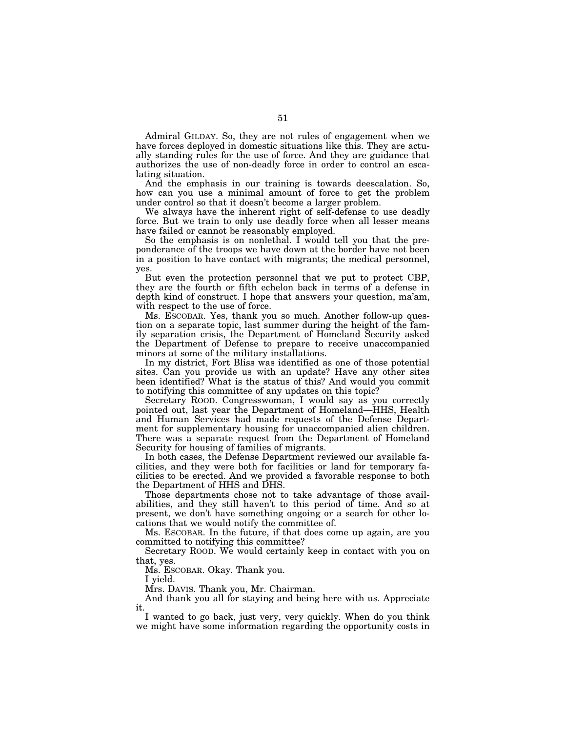Admiral GILDAY. So, they are not rules of engagement when we have forces deployed in domestic situations like this. They are actually standing rules for the use of force. And they are guidance that authorizes the use of non-deadly force in order to control an escalating situation.

And the emphasis in our training is towards deescalation. So, how can you use a minimal amount of force to get the problem under control so that it doesn't become a larger problem.

We always have the inherent right of self-defense to use deadly force. But we train to only use deadly force when all lesser means have failed or cannot be reasonably employed.

So the emphasis is on nonlethal. I would tell you that the preponderance of the troops we have down at the border have not been in a position to have contact with migrants; the medical personnel, yes.

But even the protection personnel that we put to protect CBP, they are the fourth or fifth echelon back in terms of a defense in depth kind of construct. I hope that answers your question, ma'am, with respect to the use of force.

Ms. ESCOBAR. Yes, thank you so much. Another follow-up question on a separate topic, last summer during the height of the family separation crisis, the Department of Homeland Security asked the Department of Defense to prepare to receive unaccompanied minors at some of the military installations.

In my district, Fort Bliss was identified as one of those potential sites. Can you provide us with an update? Have any other sites been identified? What is the status of this? And would you commit to notifying this committee of any updates on this topic?

Secretary ROOD. Congresswoman, I would say as you correctly pointed out, last year the Department of Homeland—HHS, Health and Human Services had made requests of the Defense Department for supplementary housing for unaccompanied alien children. There was a separate request from the Department of Homeland Security for housing of families of migrants.

In both cases, the Defense Department reviewed our available facilities, and they were both for facilities or land for temporary facilities to be erected. And we provided a favorable response to both the Department of HHS and DHS.

Those departments chose not to take advantage of those availabilities, and they still haven't to this period of time. And so at present, we don't have something ongoing or a search for other locations that we would notify the committee of.

Ms. ESCOBAR. In the future, if that does come up again, are you committed to notifying this committee?

Secretary ROOD. We would certainly keep in contact with you on that, yes.

Ms. ESCOBAR. Okay. Thank you.

I yield.

Mrs. DAVIS. Thank you, Mr. Chairman.

And thank you all for staying and being here with us. Appreciate it.

I wanted to go back, just very, very quickly. When do you think we might have some information regarding the opportunity costs in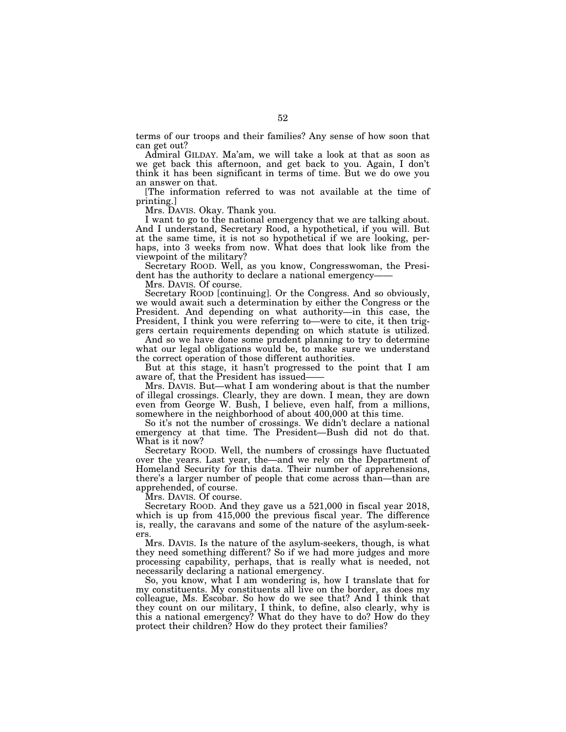terms of our troops and their families? Any sense of how soon that can get out?

Admiral GILDAY. Ma'am, we will take a look at that as soon as we get back this afternoon, and get back to you. Again, I don't think it has been significant in terms of time. But we do owe you an answer on that.

[The information referred to was not available at the time of printing.]

Mrs. DAVIS. Okay. Thank you.

I want to go to the national emergency that we are talking about. And I understand, Secretary Rood, a hypothetical, if you will. But at the same time, it is not so hypothetical if we are looking, perhaps, into 3 weeks from now. What does that look like from the viewpoint of the military?

Secretary ROOD. Well, as you know, Congresswoman, the President has the authority to declare a national emergency-

Mrs. DAVIS. Of course.

Secretary ROOD [continuing]. Or the Congress. And so obviously, we would await such a determination by either the Congress or the President. And depending on what authority—in this case, the President, I think you were referring to—were to cite, it then triggers certain requirements depending on which statute is utilized.

And so we have done some prudent planning to try to determine what our legal obligations would be, to make sure we understand the correct operation of those different authorities.

But at this stage, it hasn't progressed to the point that I am aware of, that the President has issued——

Mrs. DAVIS. But—what I am wondering about is that the number of illegal crossings. Clearly, they are down. I mean, they are down even from George W. Bush, I believe, even half, from a millions, somewhere in the neighborhood of about 400,000 at this time.

So it's not the number of crossings. We didn't declare a national emergency at that time. The President—Bush did not do that. What is it now?

Secretary ROOD. Well, the numbers of crossings have fluctuated over the years. Last year, the—and we rely on the Department of Homeland Security for this data. Their number of apprehensions, there's a larger number of people that come across than—than are apprehended, of course.

Mrs. DAVIS. Of course.

Secretary ROOD. And they gave us a 521,000 in fiscal year 2018, which is up from 415,000 the previous fiscal year. The difference is, really, the caravans and some of the nature of the asylum-seekers.

Mrs. DAVIS. Is the nature of the asylum-seekers, though, is what they need something different? So if we had more judges and more processing capability, perhaps, that is really what is needed, not necessarily declaring a national emergency.

So, you know, what I am wondering is, how I translate that for my constituents. My constituents all live on the border, as does my colleague, Ms. Escobar. So how do we see that? And I think that they count on our military, I think, to define, also clearly, why is this a national emergency? What do they have to do? How do they protect their children? How do they protect their families?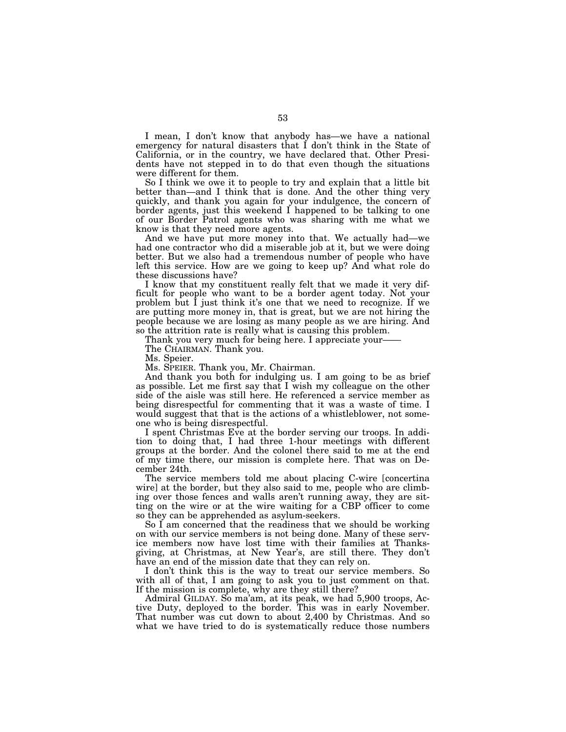I mean, I don't know that anybody has—we have a national emergency for natural disasters that I don't think in the State of California, or in the country, we have declared that. Other Presidents have not stepped in to do that even though the situations were different for them.

So I think we owe it to people to try and explain that a little bit better than—and I think that is done. And the other thing very quickly, and thank you again for your indulgence, the concern of border agents, just this weekend I happened to be talking to one of our Border Patrol agents who was sharing with me what we know is that they need more agents.

And we have put more money into that. We actually had—we had one contractor who did a miserable job at it, but we were doing better. But we also had a tremendous number of people who have left this service. How are we going to keep up? And what role do these discussions have?

I know that my constituent really felt that we made it very difficult for people who want to be a border agent today. Not your problem but I just think it's one that we need to recognize. If we are putting more money in, that is great, but we are not hiring the people because we are losing as many people as we are hiring. And so the attrition rate is really what is causing this problem.

Thank you very much for being here. I appreciate your-

The CHAIRMAN. Thank you.

Ms. Speier.

Ms. SPEIER. Thank you, Mr. Chairman.

And thank you both for indulging us. I am going to be as brief as possible. Let me first say that I wish my colleague on the other side of the aisle was still here. He referenced a service member as being disrespectful for commenting that it was a waste of time. I would suggest that that is the actions of a whistleblower, not someone who is being disrespectful.

I spent Christmas Eve at the border serving our troops. In addition to doing that, I had three 1-hour meetings with different groups at the border. And the colonel there said to me at the end of my time there, our mission is complete here. That was on December 24th.

The service members told me about placing C-wire [concertina wire] at the border, but they also said to me, people who are climbing over those fences and walls aren't running away, they are sitting on the wire or at the wire waiting for a CBP officer to come so they can be apprehended as asylum-seekers.

So I am concerned that the readiness that we should be working on with our service members is not being done. Many of these service members now have lost time with their families at Thanksgiving, at Christmas, at New Year's, are still there. They don't have an end of the mission date that they can rely on.

I don't think this is the way to treat our service members. So with all of that, I am going to ask you to just comment on that. If the mission is complete, why are they still there?

Admiral GILDAY. So ma'am, at its peak, we had 5,900 troops, Active Duty, deployed to the border. This was in early November. That number was cut down to about 2,400 by Christmas. And so what we have tried to do is systematically reduce those numbers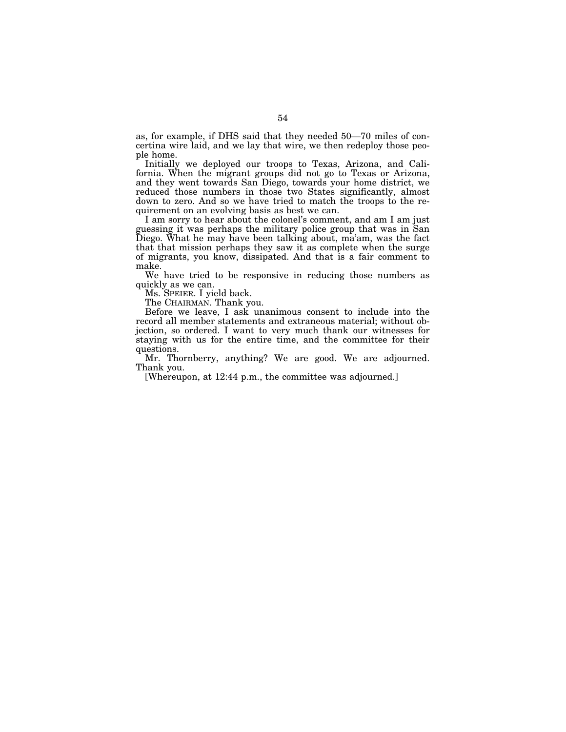as, for example, if DHS said that they needed 50—70 miles of concertina wire laid, and we lay that wire, we then redeploy those people home.

Initially we deployed our troops to Texas, Arizona, and California. When the migrant groups did not go to Texas or Arizona, and they went towards San Diego, towards your home district, we reduced those numbers in those two States significantly, almost down to zero. And so we have tried to match the troops to the requirement on an evolving basis as best we can.

I am sorry to hear about the colonel's comment, and am I am just guessing it was perhaps the military police group that was in San Diego. What he may have been talking about, ma'am, was the fact that that mission perhaps they saw it as complete when the surge of migrants, you know, dissipated. And that is a fair comment to make.

We have tried to be responsive in reducing those numbers as quickly as we can.

Ms. SPEIER. I yield back.

The CHAIRMAN. Thank you.

Before we leave, I ask unanimous consent to include into the record all member statements and extraneous material; without objection, so ordered. I want to very much thank our witnesses for staying with us for the entire time, and the committee for their questions.

Mr. Thornberry, anything? We are good. We are adjourned. Thank you.

[Whereupon, at 12:44 p.m., the committee was adjourned.]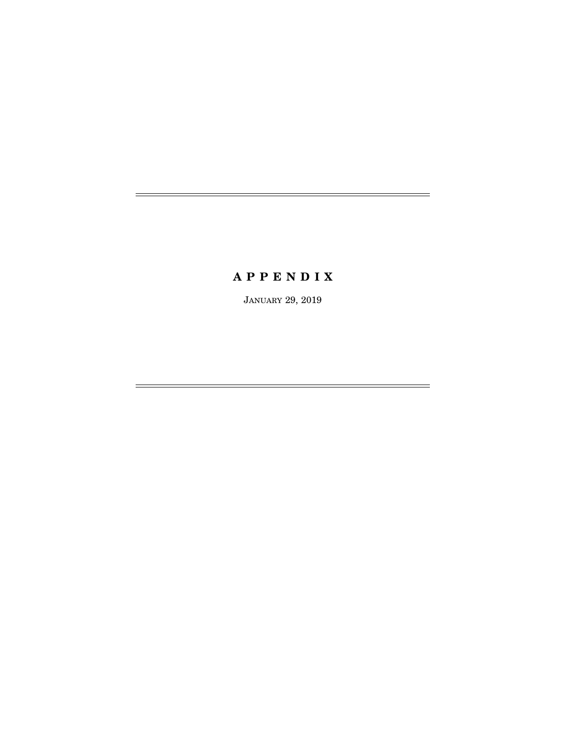# **A P P E N D I X**

JANUARY 29, 2019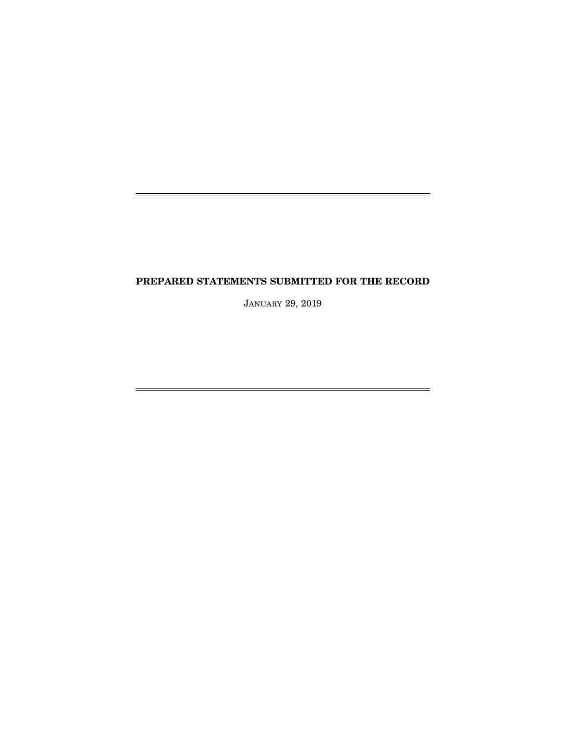## **PREPARED STATEMENTS SUBMITTED FOR THE RECORD**

j.

È,

JANUARY 29, 2019

 $=$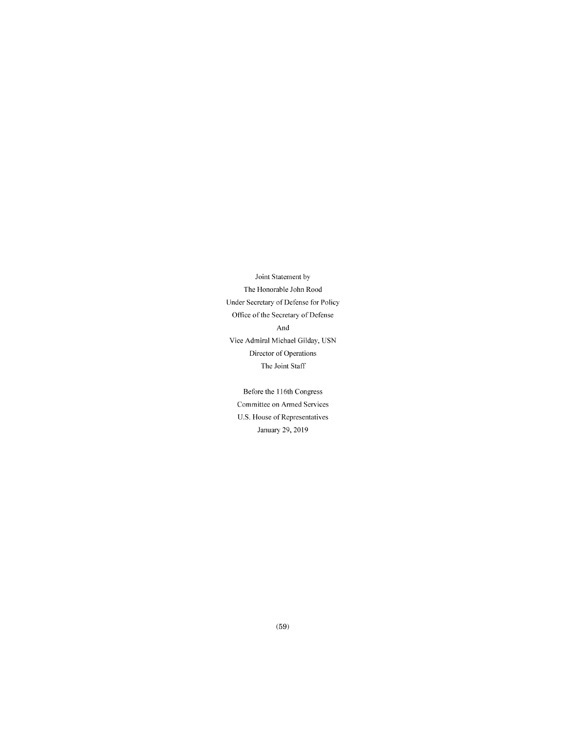Joint Statement by The Honorable John Rood Under Secretary of Defense for Policy Office of the Secretary of Defense And Vice Admiral Michael Gilday, USN Director of Operations The Joint Staff

Before the !16th Congress Committee on Armed Services U.S. House of Representatives January 29, 2019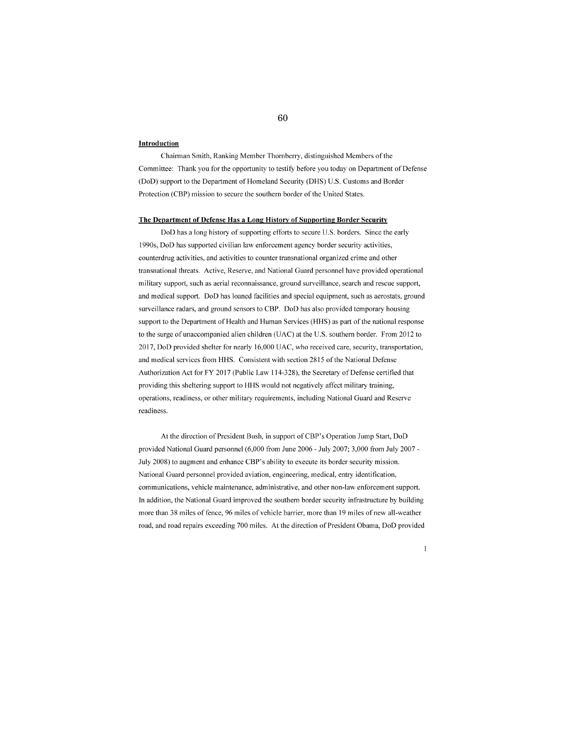### **lntroduction**

Chairman Smith, Ranking Member Thornberry, distinguished Members of the Committee: Thank you for the opportunity to testify before you today on Department of Defense (DoD) support to the Department of Homeland Security (DHS) U.S. Customs and Border Protection (CBP) mission to secure the southern border of the United States.

### **The Department of Defense Has a Long History of Supporting Border Security**

DoD has a long history of supporting efforts to secure U.S. borders. Since the early 1990s, DoD has supported civilian law enforcement agency border security activities, counterdrug activities, and activities to counter transnational organized crime and other transnational threats. Active, Reserve, and National Guard personnel have provided operational military support, such as aerial reconnaissance, ground surveillance, search and rescue support, and medical support. DoD has loaned facilities and special equipment, such as acrostats, ground surveillance radars, and ground sensors to CBP. DoD has also provided temporary housing support to the Department of Health and Human Services (HHS) as part of the national response to the surge of unaccompanied alien children (UAC) at the U.S. southern border. From 2012 to 2017, DoD provided shelter for nearly 16,000 UAC, who received care, security, transportation, and medical services from HHS. Consistent with section 2815 of the National Defense Authorization Act for FY 2017 (Public Law 114-328), the Secretary of Defense certified that providing this sheltering support to HHS would not negatively affect military training, operations, readiness, or other military requirements, including National Guard and Reserve readiness.

At the direction of President Bush, in support ofCBP's Operation Jump Start, DoD provided National Guard personnel (6,000 from June 2006- July 2007; 3,000 from July 2007- July 2008) to augment and enhance CBP's ability to execute its border security mission. National Guard personnel provided aviation, engineering, medical, entry identification, communications, vehicle maintenance, administrative, and other non-law enforcement support. In addition, the National Guard improved the southern border security infrastmcturc by building more than 38 miles of fence, 96 miles of vehicle barrier, more than 19 miles of new all-weather road, and road repairs exceeding 700 miles. At the direction of President Obama, DoD provided

 $\mathbf{I}$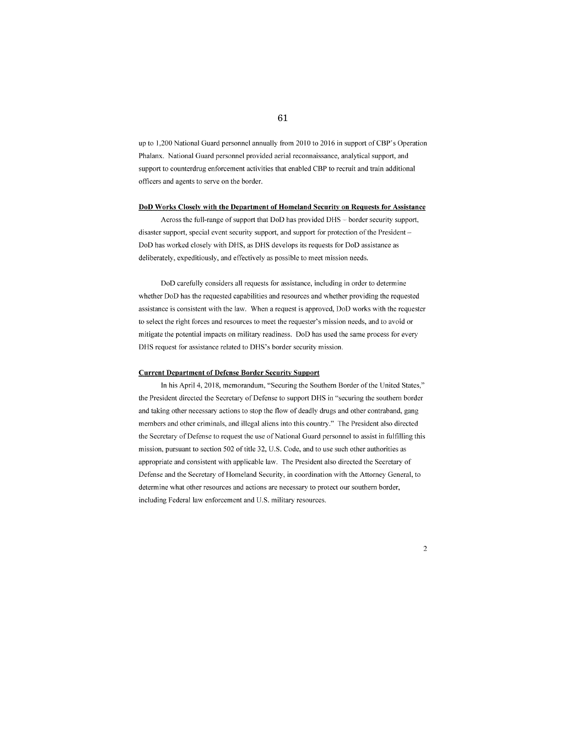up to 1,200 National Guard personnel annually from 2010 to 2016 in support of CBP's Operation Phalanx. National Guard personnel provided aerial reconnaissance, analytical support, and support to counterdrug enforcement activities that enabled CBP to recruit and train additional officers and agents to serve on the border.

#### **DoD Works Closely with the Department of Homeland Security on Requests for Assistance**

Across the full-range of support that DoD has provided DHS - border security support, disaster support, special event security support, and support for protection of the President -DoD has worked closely with DHS, as DHS develops its requests for DoD assistance as deliberately, expeditiously, and effectively as possible to meet mission needs.

DoD carefully considers all requests for assistance, including in order to determine whether DoD has the requested capabilities and resources and whether providing the requested assistance is consistent with the law. When a request is approved, DoD works with the requester to select the right forces and resources to meet the requester's mission needs, and to avoid or mitigate the potential impacts on military readiness. DoD has used the same process for every DHS request for assistance related to DHS's border security mission.

## **Current Department of Defense Border Security Support**

In his April 4, 2018, memorandum, "Securing the Southern Border of the United States," the President directed the Secretary of Defense to support DHS in "securing the southern border and taking other necessary actions to stop the flow of deadly drugs and other contraband, gang members and other criminals, and illegal aliens into this country." The President also directed the Secretary of Defense to request the usc of National Guard personnel to assist in fulfilling this mission, pursuant to section 502 of title 32, U.S. Code, and to use such other authorities as appropriate and consistent with applicable law. The President also directed the Secretary of Defense and the Secretary of Homeland Security, in coordination with the Attorney General, to determine what other resources and actions are necessary to protect our southern border, including Federal law enforcement and U.S. military resources.

2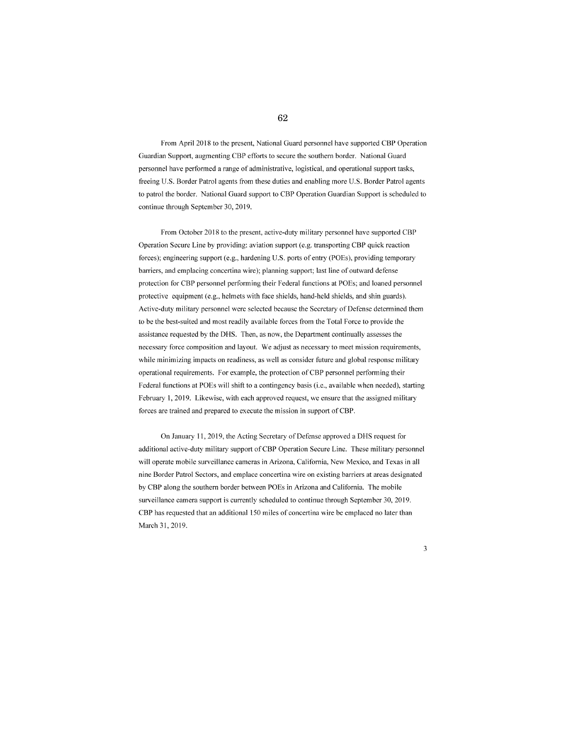## 62

From April 2018 to the present, National Guard personnel have supported CBP Operation Guardian Support, augmenting CBP efforts to secure the southern border. National Guard personnel have performed a range of administrative, logistical, and operational support tasks, freeing U.S. Border Patrol agents from these duties and enabling more U.S. Border Patrol agents to patrol the border. National Guard support to CBP Operation Guardian Support is scheduled to continue through September 30,2019.

From October 2018 to the present, active-duty military personnel have supported CBP Operation Secure Line by providing: aviation support (e.g. transporting CBP quick reaction forces); engineering support (e.g., hardening U.S. ports of entry (POEs), providing temporary barriers, and emplacing concertina wire); planning support; last line of outward defense protection for CBP personnel performing their Federal functions at POEs; and loaned personnel protective equipment (e.g., helmets with face shields, hand-held shields, and shin guards). Active-duty military personnel were selected because the Secretary of Defense determined them to be the best-suited and most readily available forces from the Total Force to provide the assistance requested by the DHS. Then, as now, the Department continually assesses the necessary force composition and layout. We adjust as necessary to meet mission requirements, while minimizing impacts on readiness, as well as consider future and global response military operational requirements. For example, the protection of CBP personnel performing their Federal functions at POEs will shift to a contingency basis (i.e., available when needed), starting February 1, 2019. Likewise, with each approved request, we ensure that the assigned military forces are trained and prepared to execute the mission in support of CBP.

On January 11,2019, the Acting Secretary of Defense approved a DHS request for additional active-duty military support of CBP Operation Secure Line. These military personnel will operate mobile surveillance cameras in Arizona, California, New Mexico, and Texas in all nine Border Patrol Sectors, and emplace concertina wire on existing barriers at areas designated by CBP along the southern border between POEs in Arizona and California. The mobile surveillance camera support is currently scheduled to continue through September 30, 2019. CBP has requested that an additional 150 miles of concertina wire be emplaced no later than March 31,2019.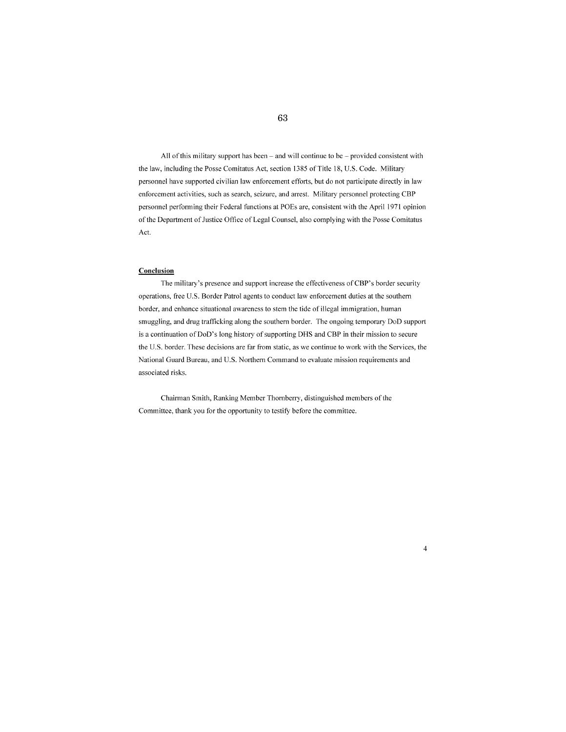All of this military support has been - and will continue to be - provided consistent with the law, including the Posse Comitatus Act, section 1385 of Title 18, U.S. Code. Military personnel have supported civilian law enforcement efforts, but do not participate directly in law enforcement activities, such as search, seizure, and arrest. Military personnel protecting CBP personnel performing their Federal functions at POEs are, consistent with the April 1971 opinion of the Department of Justice Office of Legal Counsel, also complying with the Posse Comitatus Act.

### **Conclusion**

The military's presence and support increase the effectiveness ofCBP's border security operations, free U.S. Border Patrol agents to conduct law enforcement duties at the southern border, and enhance situational awareness to stem the tide of illegal immigration, human smuggling, and drug trafficking along the southern border. The ongoing temporary DoD support is a continuation of DoD's long history of supporting DHS and CBP in their mission to secure the U.S. border. These decisions are far from static, as we continue to work with the Services, the National Guard Bureau, and U.S. Northern Command to evaluate mission requirements and associated risks.

4

Chairman Smith, Ranking Member Thornberry, distinguished members of the Committee, thank you for the opportunity to testify before the committee.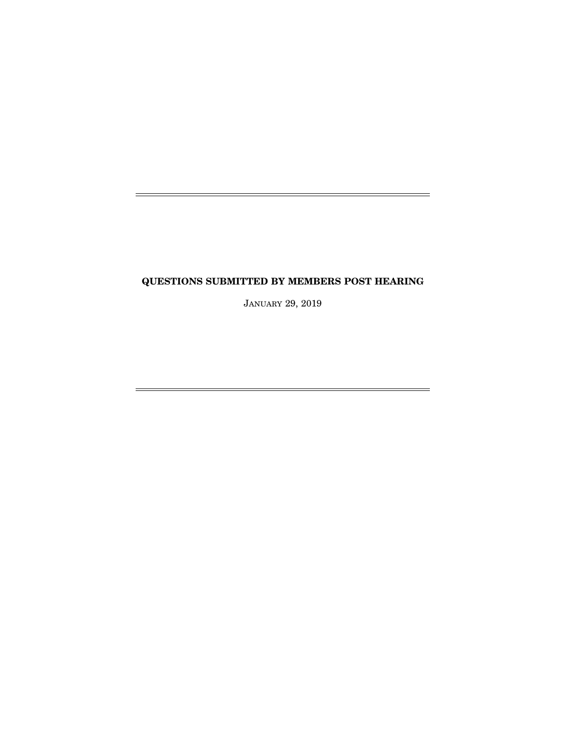## **QUESTIONS SUBMITTED BY MEMBERS POST HEARING**

JANUARY 29, 2019

 $\equiv$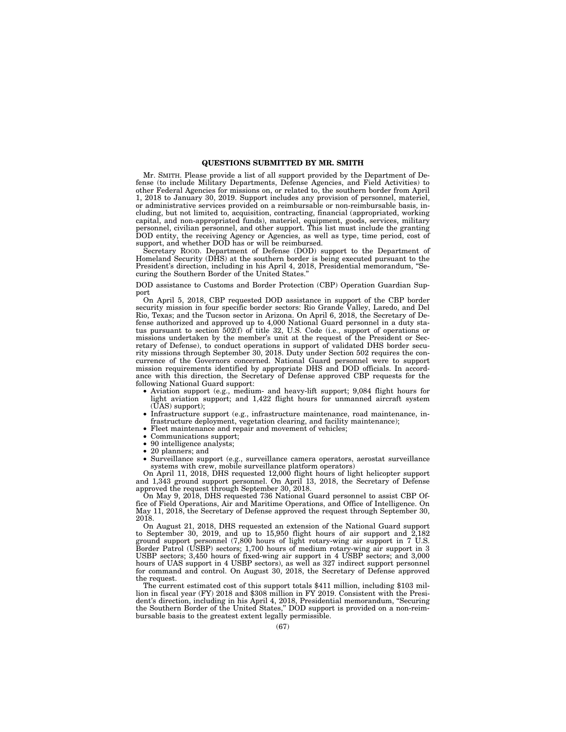#### **QUESTIONS SUBMITTED BY MR. SMITH**

Mr. SMITH. Please provide a list of all support provided by the Department of Defense (to include Military Departments, Defense Agencies, and Field Activities) to other Federal Agencies for missions on, or related to, the southern border from April 1, 2018 to January 30, 2019. Support includes any provision of personnel, materiel, or administrative services provided on a reimbursable or non-reimbursable basis, including, but not limited to, acquisition, contracting, financial (appropriated, working capital, and non-appropriated funds), materiel, equipment, goods, services, military personnel, civilian personnel, and other support. This list must include the granting DOD entity, the receiving Agency or Agencies, as well as type, time period, cost of support, and whether DOD has or will be reimbursed.

Secretary ROOD. Department of Defense (DOD) support to the Department of Homeland Security (DHS) at the southern border is being executed pursuant to the President's direction, including in his April 4, 2018, Presidential memorandum, ''Securing the Southern Border of the United States.''

DOD assistance to Customs and Border Protection (CBP) Operation Guardian Support

On April 5, 2018, CBP requested DOD assistance in support of the CBP border security mission in four specific border sectors: Rio Grande Valley, Laredo, and Del Rio, Texas; and the Tucson sector in Arizona. On April 6, 2018, the Secretary of Defense authorized and approved up to 4,000 National Guard personnel in a duty status pursuant to section 502(f) of title 32, U.S. Code (i.e., support of operations or missions undertaken by the member's unit at the request of the President or Secretary of Defense), to conduct operations in support of validated DHS border security missions through September 30, 2018. Duty under Section 502 requires the concurrence of the Governors concerned. National Guard personnel were to support mission requirements identified by appropriate DHS and DOD officials. In accordance with this direction, the Secretary of Defense approved CBP requests for the following National Guard support:

- Aviation support (e.g., medium- and heavy-lift support; 9,084 flight hours for light aviation support; and 1,422 flight hours for unmanned aircraft system (UAS) support);
- Infrastructure support (e.g., infrastructure maintenance, road maintenance, infrastructure deployment, vegetation clearing, and facility maintenance);
- Fleet maintenance and repair and movement of vehicles;
- Communications support;<br>• 90 intelligence analysts;
- 90 intelligence analysts;
- 20 planners; and
- Surveillance support (e.g., surveillance camera operators, aerostat surveillance systems with crew, mobile surveillance platform operators)

On April 11, 2018, DHS requested 12,000 flight hours of light helicopter support and 1,343 ground support personnel. On April 13, 2018, the Secretary of Defense approved the request through September 30, 2018.

On May 9, 2018, DHS requested 736 National Guard personnel to assist CBP Office of Field Operations, Air and Maritime Operations, and Office of Intelligence. On May 11, 2018, the Secretary of Defense approved the request through September 30, 2018.

On August 21, 2018, DHS requested an extension of the National Guard support to September 30, 2019, and up to 15,950 flight hours of air support and  $\overline{2,182}$ ground support personnel (7,800 hours of light rotary-wing air support in 7 U.S. Border Patrol (USBP) sectors; 1,700 hours of medium rotary-wing air support in 3 USBP sectors; 3,450 hours of fixed-wing air support in 4 USBP sectors; and 3,000 hours of UAS support in 4 USBP sectors), as well as 327 indirect support personnel for command and control. On August 30, 2018, the Secretary of Defense approved the request.

The current estimated cost of this support totals \$411 million, including \$103 million in fiscal year (FY) 2018 and \$308 million in FY 2019. Consistent with the President's direction, including in his April 4, 2018, Presidential memorandum, ''Securing the Southern Border of the United States,'' DOD support is provided on a non-reimbursable basis to the greatest extent legally permissible.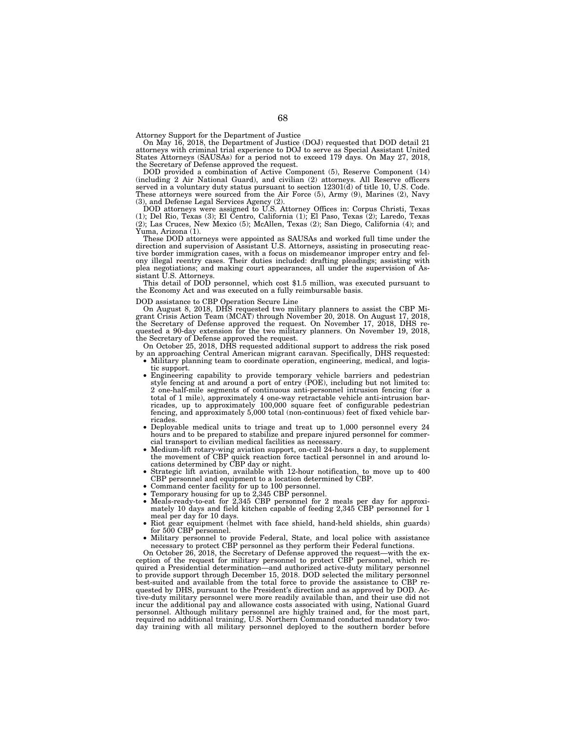Attorney Support for the Department of Justice

On May 16, 2018, the Department of Justice (DOJ) requested that DOD detail 21 attorneys with criminal trial experience to DOJ to serve as Special Assistant United States Attorneys (SAUSAs) for a period not to exceed 179 days. On May 27, 2018, the Secretary of Defense approved the request.

DOD provided a combination of Active Component (5), Reserve Component (14) (including 2 Air National Guard), and civilian (2) attorneys. All Reserve officers served in a voluntary duty status pursuant to section 12301(d) of title 10, U.S. Code. These attorneys were sourced from the Air Force (5), Army (9), Marines (2), Navy (3), and Defense Legal Services Agency (2).

DOD attorneys were assigned to U.S. Attorney Offices in: Corpus Christi, Texas (1); Del Rio, Texas (3); El Centro, California (1); El Paso, Texas (2); Laredo, Texas (2); Las Cruces, New Mexico (5); McAllen, Texas (2); San Diego, California (4); and Yuma, Arizona (1).

These DOD attorneys were appointed as SAUSAs and worked full time under the direction and supervision of Assistant U.S. Attorneys, assisting in prosecuting reactive border immigration cases, with a focus on misdemeanor improper entry and felony illegal reentry cases. Their duties included: drafting pleadings; assisting with plea negotiations; and making court appearances, all under the supervision of Assistant U.S. Attorneys.

This detail of DOD personnel, which cost \$1.5 million, was executed pursuant to the Economy Act and was executed on a fully reimbursable basis.

DOD assistance to CBP Operation Secure Line

On August 8, 2018, DHS requested two military planners to assist the CBP Migrant Crisis Action Team (MCAT) through November 20, 2018. On August 17, 2018, the Secretary of Defense approved the request. On November 17, 2018, DHS requested a 90-day extension for the two military planners. On November 19, 2018, the Secretary of Defense approved the request.

On October 25, 2018, DHS requested additional support to address the risk posed by an approaching Central American migrant caravan. Specifically, DHS requested:

- Military planning team to coordinate operation, engineering, medical, and logistic support.
- Engineering capability to provide temporary vehicle barriers and pedestrian style fencing at and around a port of entry (POE), including but not limited to: 2 one-half-mile segments of continuous anti-personnel intrusion fencing (for a total of 1 mile), approximately 4 one-way retractable vehicle anti-intrusion barricades, up to approximately 100,000 square feet of configurable pedestrian fencing, and approximately 5,000 total (non-continuous) feet of fixed vehicle barricades.
- Deployable medical units to triage and treat up to 1,000 personnel every 24 hours and to be prepared to stabilize and prepare injured personnel for commercial transport to civilian medical facilities as necessary.
- Medium-lift rotary-wing aviation support, on-call 24-hours a day, to supplement the movement of CBP quick reaction force tactical personnel in and around locations determined by CBP day or night.
- Strategic lift aviation, available with 12-hour notification, to move up to 400 CBP personnel and equipment to a location determined by CBP.
- Command center facility for up to 100 personnel.
- Temporary housing for up to 2,345 CBP personnel.
- Meals-ready-to-eat for 2,345 CBP personnel for 2 meals per day for approxi-mately 10 days and field kitchen capable of feeding 2,345 CBP personnel for 1 meal per day for 10 days.
- Riot gear equipment (helmet with face shield, hand-held shields, shin guards) for 500 CBP personnel.
- Military personnel to provide Federal, State, and local police with assistance necessary to protect CBP personnel as they perform their Federal functions.

On October 26, 2018, the Secretary of Defense approved the request—with the exception of the request for military personnel to protect CBP personnel, which required a Presidential determination—and authorized active-duty military personnel to provide support through December 15, 2018. DOD selected the military personnel best-suited and available from the total force to provide the assistance to CBP requested by DHS, pursuant to the President's direction and as approved by DOD. Active-duty military personnel were more readily available than, and their use did not incur the additional pay and allowance costs associated with using, National Guard personnel. Although military personnel are highly trained and, for the most part, required no additional training, U.S. Northern Command conducted mandatory day training with all military personnel deployed to the southern border before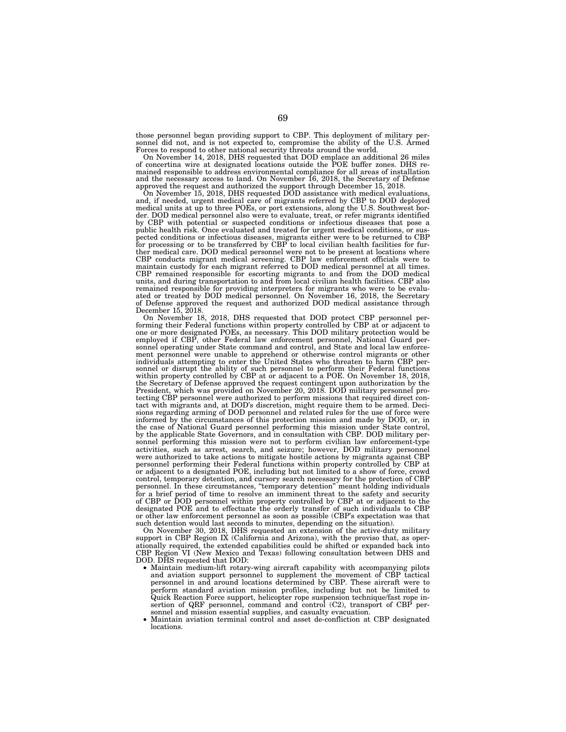those personnel began providing support to CBP. This deployment of military personnel did not, and is not expected to, compromise the ability of the U.S. Armed Forces to respond to other national security threats around the world.

On November 14, 2018, DHS requested that DOD emplace an additional 26 miles of concertina wire at designated locations outside the POE buffer zones. DHS remained responsible to address environmental compliance for all areas of installation and the necessary access to land. On November 16, 2018, the Secretary of Defense

approved the request and authorized the support through December 15, 2018. On November 15, 2018, DHS requested DOD assistance with medical evaluations, and, if needed, urgent medical care of migrants referred by CBP to DOD deployed medical units at up to three POEs, or port extensions, along the U.S. Southwest border. DOD medical personnel also were to evaluate, treat, or refer migrants identified by CBP with potential or suspected conditions or infectious diseases that pose a public health risk. Once evaluated and treated for urgent medical conditions, or suspected conditions or infectious diseases, migrants either were to be returned to CBP for processing or to be transferred by CBP to local c CBP remained responsible for escorting migrants to and from the DOD medical units, and during transportation to and from local civilian health facilities. CBP also remained responsible for providing interpreters for migrants who were to be evalu-ated or treated by DOD medical personnel. On November 16, 2018, the Secretary of Defense approved the request and authorized DOD medical assistance through December 15, 2018.

On November 18, 2018, DHS requested that DOD protect CBP personnel performing their Federal functions within property controlled by CBP at or adjacent to<br>one or more designated POEs, as necessary. This DOD military protection would be<br>employed if CBP, other Federal law enforcement personnel, sonnel operating under State command and control, and State and local law enforcement personnel were unable to apprehend or otherwise control migrants or other<br>individuals attempting to enter the United States who threaten sonnel or disrupt the ability of such personnel to perform their Federal functions<br>within property controlled by CBP at or adjacent to a POE. On November 18, 2018,<br>the Secretary of Defense approved the request contingent u tecting CBP personnel were authorized to perform missions that required direct contact with migrants and, at DOD's discretion, might require them to be armed. Decisions regarding arming of DOD personnel and related rules for the use of force were informed by the circumstances of this protection mission and made by DOD, or, in the case of National Guard personnel performing this mission under State control, by the applicable State Governors, and in consultation with CBP. DOD military personnel performing this mission were not to perform civilian law enforcement-type activities, such as arrest, search, and seizure; however, DOD military personnel were authorized to take actions to mitigate hostile actions by migrants against CBP personnel performing their Federal functions within property controlled by CBP at or adjacent to a designated POE, including but not limited to a show of force, crowd control, temporary detention, and cursory search necessary for the protection of CBP personnel. In these circumstances, ''temporary detention'' meant holding individuals for a brief period of time to resolve an imminent threat to the safety and security of CBP or DOD personnel within property controlled by CBP at or adjacent to the designated POE and to effectuate the orderly transfer of such individuals to CBP or other law enforcement personnel as soon as possible (CBP's expectation was that such detention would last seconds to minutes, depending on the situation).

On November 30, 2018, DHS requested an extension of the active-duty military support in CBP Region IX (California and Arizona), with the proviso that, as operationally required, the extended capabilities could be shifted or expanded back into CBP Region VI (New Mexico and Texas) following consultation between DHS and DOD. DHS requested that DOD:

- Maintain medium-lift rotary-wing aircraft capability with accompanying pilots and aviation support personnel to supplement the movement of CBP tactical personnel in and around locations determined by CBP. These aircraft were to perform standard aviation mission profiles, including but not be limited to Quick Reaction Force support, helicopter rope suspension technique/fast rope insertion of QRF personnel, command and control (C2), transport of CBP personnel and mission essential supplies, and casualty evacuation.
- Maintain aviation terminal control and asset de-confliction at CBP designated locations.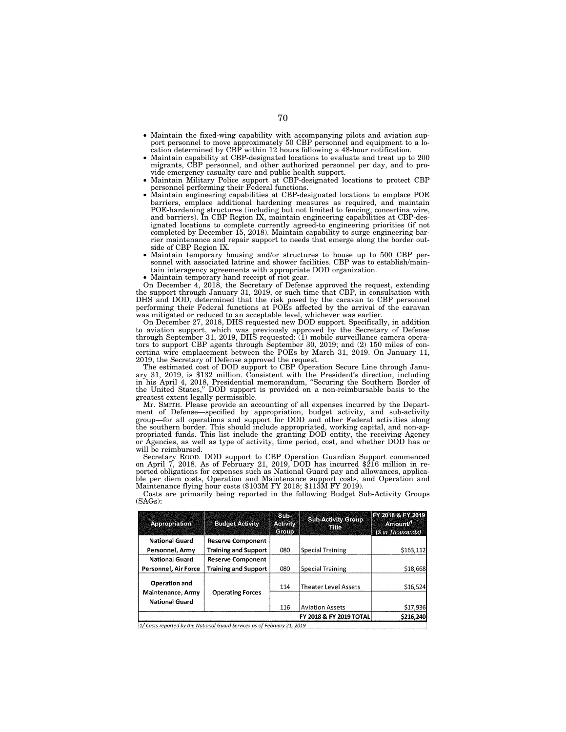- Maintain the fixed-wing capability with accompanying pilots and aviation support personnel to move approximately 50 CBP personnel and equipment to a location determined by CBP within 12 hours following a 48-hour notification.
- Maintain capability at CBP-designated locations to evaluate and treat up to 200 migrants, CBP personnel, and other authorized personnel per day, and to provide emergency casualty care and public health support.
- Maintain Military Police support at CBP-designated locations to protect CBP personnel performing their Federal functions.
- Maintain engineering capabilities at CBP-designated locations to emplace POE barriers, emplace additional hardening measures as required, and maintain POE-hardening structures (including but not limited to fencing, concertina wire, and barriers). In CBP Region IX, maintain engineering capabilities at CBP-designated locations to complete currently agreed-to engineering priorities (if not completed by December 15, 2018). Maintain capability to surge engineering barrier maintenance and repair support to needs that emerge along the border outside of CBP Region IX.
- Maintain temporary housing and/or structures to house up to 500 CBP personnel with associated latrine and shower facilities. CBP was to establish/maintain interagency agreements with appropriate DOD organization.
- Maintain temporary hand receipt of riot gear.

On December 4, 2018, the Secretary of Defense approved the request, extending the support through January 31, 2019, or such time that CBP, in consultation with DHS and DOD, determined that the risk posed by the caravan to CBP personnel performing their Federal functions at POEs affected by the arrival of the caravan was mitigated or reduced to an acceptable level, whichever was earlier.

On December 27, 2018, DHS requested new DOD support. Specifically, in addition to aviation support, which was previously approved by the Secretary of Defense through September 31, 2019, DHS requested: (1) mobile surveillance camera operators to support CBP agents through September 30, 2019; and (2) 150 miles of concertina wire emplacement between the POEs by March 31, 2019. On January 11, 2019, the Secretary of Defense approved the request.

The estimated cost of DOD support to CBP Operation Secure Line through January 31, 2019, is \$132 million. Consistent with the President's direction, including in his April 4, 2018, Presidential memorandum, ''Securing the Southern Border of the United States,'' DOD support is provided on a non-reimbursable basis to the greatest extent legally permissible.

Mr. SMITH. Please provide an accounting of all expenses incurred by the Department of Defense—specified by appropriation, budget activity, and sub-activity group—for all operations and support for DOD and other Federal activities along the southern border. This should include appropriated, working capital, and non-appropriated funds. This list include the granting DOD entity, the receiving Agency or Agencies, as well as type of activity, time period, cost, and whether DOD has or will be reimbursed.

Secretary ROOD. DOD support to CBP Operation Guardian Support commenced on April 7, 2018. As of February 21, 2019, DOD has incurred \$216 million in reported obligations for expenses such as National Guard pay and allowances, applicable per diem costs, Operation and Maintenance support costs, and Operation and Maintenance flying hour costs (\$103M FY 2018; \$113M FY 2019).

| <b>Appropriation</b>                                               | <b>Budget Activity</b>      | <b>ESTITS</b><br><b>Activity</b><br>Gioupr | <b>Sub-Activity Group</b><br>me | FY 2018 & FY 2019<br><b>Amount</b><br>(\$ in Thousands) |
|--------------------------------------------------------------------|-----------------------------|--------------------------------------------|---------------------------------|---------------------------------------------------------|
| <b>National Guard</b>                                              | <b>Reserve Component</b>    |                                            |                                 |                                                         |
| Personnel, Army                                                    | <b>Training and Support</b> | 080                                        | <b>Special Training</b>         | \$163,112                                               |
| <b>National Guard</b>                                              | <b>Reserve Component</b>    |                                            |                                 |                                                         |
| Personnel, Air Force                                               | <b>Training and Support</b> | 080                                        | <b>Special Training</b>         | \$18,668                                                |
| <b>Operation and</b><br>Maintenance, Army<br><b>National Guard</b> | <b>Operating Forces</b>     | 114                                        | Theater Level Assets            | \$16,524                                                |
|                                                                    |                             | 116                                        | Aviation Assets                 | \$17,936                                                |
|                                                                    |                             |                                            | FY 2018 & FY 2019 TOTAL         | \$216,240                                               |

Costs are primarily being reported in the following Budget Sub-Activity Groups (SAGs):

1/ Costs reported by the National Guard Services as of February 21, 2019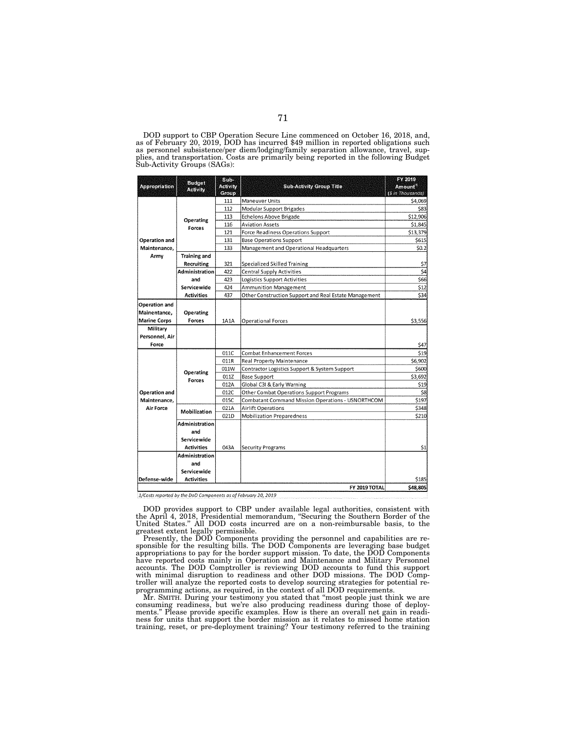DOD support to CBP Operation Secure Line commenced on October 16, 2018, and, as of February 20, 2019, DOD has incurred \$49 million in reported obligations such as personnel subsistence/per diem/lodging/family separation allowance, travel, sup-plies, and transportation. Costs are primarily being reported in the following Budget Sub-Activity Groups (SAGs):

| <b>Appropriation</b>                       | <b>Ettelec</b><br><b>Activity</b> | <b>Subs</b><br><b>Activity</b><br><b>Group</b> | <b>Sub-Activity Group Title</b>                       | FY 2019<br><b>Amount</b><br>(\$ in Thousands) |  |
|--------------------------------------------|-----------------------------------|------------------------------------------------|-------------------------------------------------------|-----------------------------------------------|--|
|                                            | Operating<br>Forces               | 111                                            | <b>Maneuver Units</b>                                 | \$4,069                                       |  |
|                                            |                                   | 112                                            | Modular Support Brigades                              | \$83                                          |  |
|                                            |                                   | 113                                            | <b>Echelons Above Brigade</b>                         | \$12,906                                      |  |
|                                            |                                   | 116                                            | <b>Aviation Assets</b>                                | \$1.845                                       |  |
|                                            |                                   | 121                                            | Force Readiness Operations Support                    | \$13,379                                      |  |
| Operation and                              |                                   | 131                                            | <b>Base Operations Support</b>                        | \$615                                         |  |
| Maintenance,                               |                                   | 133                                            | Management and Operational Headquarters               | \$0.2                                         |  |
| Army                                       | <b>Training and</b>               |                                                |                                                       |                                               |  |
|                                            | Recruiting                        | 321                                            | Specialized Skilled Training                          | \$7                                           |  |
|                                            | <b>Administration</b>             | 422                                            | <b>Central Supply Activities</b>                      | \$4                                           |  |
|                                            | and                               | 423                                            | Logistics Support Activities                          | \$66                                          |  |
|                                            | Servicewide                       | 424                                            | <b>Ammunition Management</b>                          | \$12                                          |  |
|                                            | <b>Activities</b>                 | 437                                            | Other Construction Support and Real Estate Management | \$34                                          |  |
| Operation and                              |                                   |                                                |                                                       |                                               |  |
| Mainentance,                               | <b>Operating</b>                  |                                                |                                                       |                                               |  |
| <b>Marine Corps</b>                        | Forces                            | 1A1A                                           | <b>Operational Forces</b>                             | \$3,556                                       |  |
| Military                                   |                                   |                                                |                                                       |                                               |  |
| Personnel, Air                             |                                   |                                                |                                                       |                                               |  |
| Force                                      |                                   |                                                |                                                       | \$47                                          |  |
|                                            |                                   | 011C                                           | <b>Combat Enhancement Forces</b>                      | \$19                                          |  |
|                                            | <b>Operating</b><br>Forces        | 011R                                           | Real Property Maintenance                             | \$6,902                                       |  |
|                                            |                                   | 011W                                           | Contractor Logistics Support & System Support         | \$600                                         |  |
|                                            |                                   | 011Z                                           | Base Support                                          | \$3,692                                       |  |
|                                            |                                   | 012A                                           | Global C3I & Early Warning                            | \$19                                          |  |
| Operation and<br>Maintenance.<br>Air Force |                                   | 012C                                           | Other Combat Operations Support Programs              | \$8                                           |  |
|                                            |                                   | 015C                                           | Combatant Command Mission Operations - USNORTHCOM     | \$197                                         |  |
|                                            | Mobilization                      | 021A                                           | <b>Airlift Operations</b>                             | \$348                                         |  |
|                                            |                                   | 021D                                           | <b>Mobilization Preparedness</b>                      | \$210                                         |  |
|                                            | Administration                    |                                                |                                                       |                                               |  |
|                                            | and                               |                                                |                                                       |                                               |  |
|                                            | Servicewide                       |                                                |                                                       |                                               |  |
|                                            | <b>Activities</b>                 | 043A                                           | Security Programs                                     | \$1                                           |  |
|                                            | <b>Administration</b>             |                                                |                                                       |                                               |  |
|                                            | and                               |                                                |                                                       |                                               |  |
|                                            | Servicewide                       |                                                |                                                       |                                               |  |
| Defense-wide                               | <b>Activities</b>                 |                                                |                                                       | \$185                                         |  |
| \$48,805<br>FY 2019 TOTAL                  |                                   |                                                |                                                       |                                               |  |

1/Costs reported by the DoD Components as of February 20, 2019

DOD provides support to CBP under available legal authorities, consistent with the April 4, 2018, Presidential memorandum, ''Securing the Southern Border of the United States.'' All DOD costs incurred are on a non-reimbursable basis, to the

greatest extent legally permissible. Presently, the DOD Components providing the personnel and capabilities are re-sponsible for the resulting bills. The DOD Components are leveraging base budget appropriations to pay for the border support mission. To date, the DOD Components have reported costs mainly in Operation and Maintenance and Military Personnel accounts. The DOD Comptroller is reviewing DOD accounts to fund this support with minimal disruption to readiness and other DOD missions. The DOD Comptroller will analyze the reported costs to develop sourcing strategies for potential reprogramming actions, as required, in the context of all DOD requirements.

Mr. SMITH. During your testimony you stated that ''most people just think we are consuming readiness, but we're also producing readiness during those of deployments.'' Please provide specific examples. How is there an overall net gain in readiness for units that support the border mission as it relates to missed home station training, reset, or pre-deployment training? Your testimony referred to the training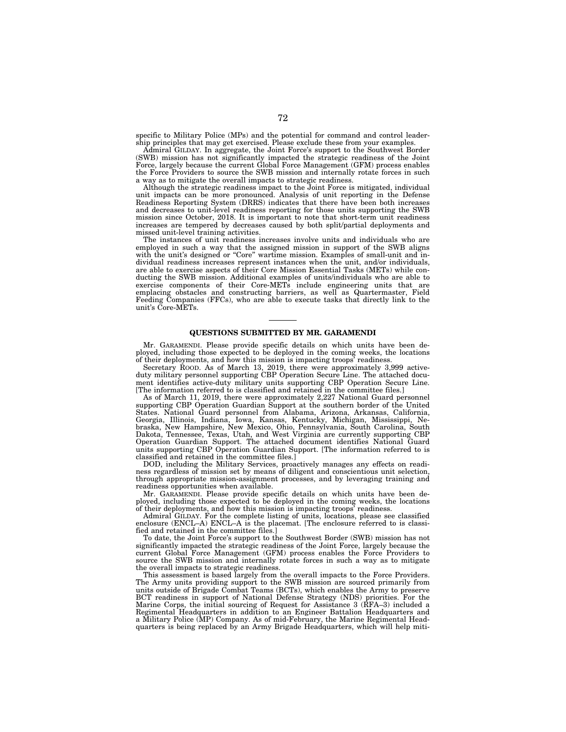specific to Military Police (MPs) and the potential for command and control leadership principles that may get exercised. Please exclude these from your examples.

Admiral GILDAY. In aggregate, the Joint Force's support to the Southwest Border (SWB) mission has not significantly impacted the strategic readiness of the Joint Force, largely because the current Global Force Management (GFM) process enables the Force Providers to source the SWB mission and internally rotate forces in such a way as to mitigate the overall impacts to strategic readiness.

Although the strategic readiness impact to the Joint Force is mitigated, individual unit impacts can be more pronounced. Analysis of unit reporting in the Defense Readiness Reporting System (DRRS) indicates that there have been both increases and decreases to unit-level readiness reporting for those units supporting the SWB mission since October, 2018. It is important to note that short-term unit readiness increases are tempered by decreases caused by both split/partial deployments and missed unit-level training activities.

The instances of unit readiness increases involve units and individuals who are employed in such a way that the assigned mission in support of the SWB aligns with the unit's designed or "Core" wartime mission. Examples of small-unit and individual readiness increases represent instances when the unit, and/or individuals, are able to exercise aspects of their Core Mission Essential Tasks (METs) while conducting the SWB mission. Additional examples of units/individuals who are able to exercise components of their Core-METs include engineering units that are emplacing obstacles and constructing barriers, as well as Quartermaster, Field Feeding Companies (FFCs), who are able to execute tasks that directly link to the unit's Core-METs.

## **QUESTIONS SUBMITTED BY MR. GARAMENDI**

Mr. GARAMENDI. Please provide specific details on which units have been deployed, including those expected to be deployed in the coming weeks, the locations of their deployments, and how this mission is impacting troops' readiness.

Secretary ROOD. As of March 13, 2019, there were approximately 3,999 activeduty military personnel supporting CBP Operation Secure Line. The attached document identifies active-duty military units supporting CBP Operation Secure Line. [The information referred to is classified and retained in the committee files.]

As of March 11, 2019, there were approximately 2,227 National Guard personnel supporting CBP Operation Guardian Support at the southern border of the United States. National Guard personnel from Alabama, Arizona, Arkansas, California, Georgia, Illinois, Indiana, Iowa, Kansas, Kentucky, Michigan, Mississippi, Nebraska, New Hampshire, New Mexico, Ohio, Pennsylvania, South Carolina, South Dakota, Tennessee, Texas, Utah, and West Virginia are currently supporting CBP Operation Guardian Support. The attached document identifies National Guard units supporting CBP Operation Guardian Support. [The information referred to is classified and retained in the committee files.]

DOD, including the Military Services, proactively manages any effects on readiness regardless of mission set by means of diligent and conscientious unit selection, through appropriate mission-assignment processes, and by leveraging training and readiness opportunities when available.

Mr. GARAMENDI. Please provide specific details on which units have been deployed, including those expected to be deployed in the coming weeks, the locations of their deployments, and how this mission is impacting troops' readiness.

Admiral GILDAY. For the complete listing of units, locations, please see classified enclosure (ENCL–A) ENCL–A is the placemat. [The enclosure referred to is classified and retained in the committee files.]

To date, the Joint Force's support to the Southwest Border (SWB) mission has not significantly impacted the strategic readiness of the Joint Force, largely because the current Global Force Management (GFM) process enables the Force Providers to source the SWB mission and internally rotate forces in such a way as to mitigate the overall impacts to strategic readiness.

This assessment is based largely from the overall impacts to the Force Providers. The Army units providing support to the SWB mission are sourced primarily from units outside of Brigade Combat Teams (BCTs), which enables the Army to preserve BCT readiness in support of National Defense Strategy (NDS) priorities. For the Marine Corps, the initial sourcing of Request for Assistance 3 (RFA–3) included a Regimental Headquarters in addition to an Engineer Battalion Headquarters and a Military Police (MP) Company. As of mid-February, the Marine Regimental Headquarters is being replaced by an Army Brigade Headquarters, which will help miti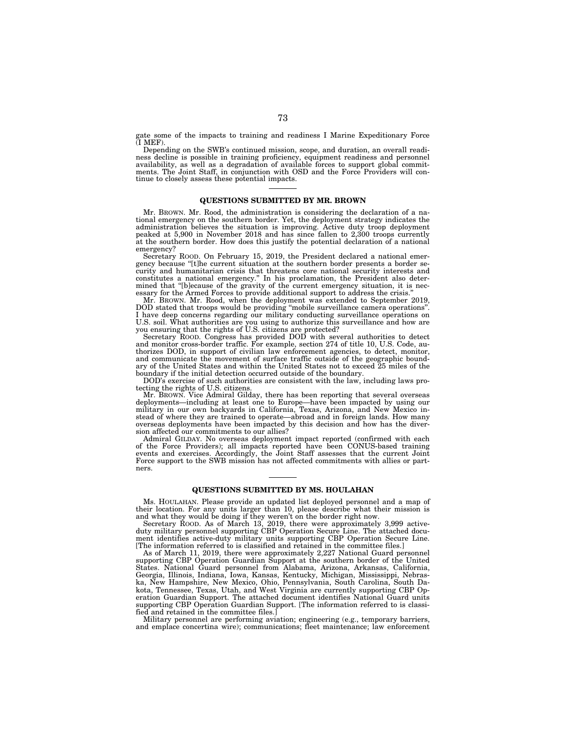gate some of the impacts to training and readiness I Marine Expeditionary Force (I MEF).

Depending on the SWB's continued mission, scope, and duration, an overall readiness decline is possible in training proficiency, equipment readiness and personnel availability, as well as a degradation of available forces to support global commitments. The Joint Staff, in conjunction with OSD and the Force Providers will continue to closely assess these potential impacts.

# **QUESTIONS SUBMITTED BY MR. BROWN**

Mr. BROWN. Mr. Rood, the administration is considering the declaration of a national emergency on the southern border. Yet, the deployment strategy indicates the administration believes the situation is improving. Active duty troop deployment peaked at 5,900 in November 2018 and has since fallen to 2,300 troops currently at the southern border. How does this justify the potential declaration of a national emergency?

Secretary ROOD. On February 15, 2019, the President declared a national emergency because ''[t]he current situation at the southern border presents a border security and humanitarian crisis that threatens core national security interests and constitutes a national emergency." In his proclamation, the President also determined that "[b]ecause of the gravity of the current emergen essary for the Armed Forces to provide additional support to address the crisis.

Mr. BROWN. Mr. Rood, when the deployment was extended to September 2019, DOD stated that troops would be providing ''mobile surveillance camera operations''. I have deep concerns regarding our military conducting surveillance operations on U.S. soil. What authorities are you using to authorize this surveillance and how are you ensuring that the rights of U.S. citizens are protected? Secretary ROOD. Congress has provided DOD with several authorities to detect

and monitor cross-border traffic. For example, section 274 of title 10, U.S. Code, authorizes DOD, in support of civilian law enforcement agencies, to detect, monitor, and communicate the movement of surface traffic outside of the geographic boundary of the United States and within the United States not to exceed 25 miles of the boundary if the initial detection occurred outside of the boundary.

DOD's exercise of such authorities are consistent with the law, including laws protecting the rights of U.S. citizens.

Mr. BROWN. Vice Admiral Gilday, there has been reporting that several overseas deployments—including at least one to Europe—have been impacted by using our military in our own backyards in California, Texas, Arizona, and New Mexico in-stead of where they are trained to operate—abroad and in foreign lands. How many overseas deployments have been impacted by this decision and how has the diversion affected our commitments to our allies?

Admiral GILDAY. No overseas deployment impact reported (confirmed with each of the Force Providers); all impacts reported have been CONUS-based training events and exercises. Accordingly, the Joint Staff assesses that the current Joint Force support to the SWB mission has not affected commitments with allies or partners.

#### **QUESTIONS SUBMITTED BY MS. HOULAHAN**

Ms. HOULAHAN. Please provide an updated list deployed personnel and a map of their location. For any units larger than 10, please describe what their mission is

and what they would be doing if they weren't on the border right now. Secretary ROOD. As of March 13, 2019, there were approximately 3,999 activeduty military personnel supporting CBP Operation Secure Line. The attached document identifies active-duty military units supporting CBP Operation Secure Line. [The information referred to is classified and retained in the committee files.]

As of March 11, 2019, there were approximately 2,227 National Guard personnel supporting CBP Operation Guardian Support at the southern border of the United States. National Guard personnel from Alabama, Arizona, Arkansas, California, Georgia, Illinois, Indiana, Iowa, Kansas, Kentucky, Michigan, Mississippi, Nebraska, New Hampshire, New Mexico, Ohio, Pennsylvania, South Carolina, South Dakota, Tennessee, Texas, Utah, and West Virginia are currently supporting CBP Operation Guardian Support. The attached document identifies National Guard units supporting CBP Operation Guardian Support. [The information referred to is classified and retained in the committee files.]

Military personnel are performing aviation; engineering (e.g., temporary barriers, and emplace concertina wire); communications; fleet maintenance; law enforcement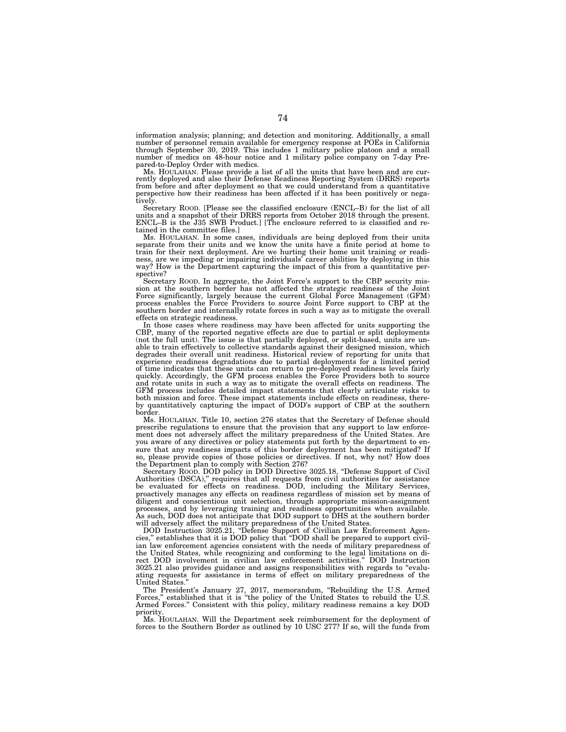information analysis; planning; and detection and monitoring. Additionally, a small number of personnel remain available for emergency response at POEs in California through September 30, 2019. This includes 1 military police platoon and a small number of medics on 48-hour notice and 1 military police company on 7-day Prepared-to-Deploy Order with medics.

Ms. HOULAHAN. Please provide a list of all the units that have been and are cur-rently deployed and also their Defense Readiness Reporting System (DRRS) reports from before and after deployment so that we could understand from a quantitative perspective how their readiness has been affected if it has been positively or negatively.

Secretary ROOD. [Please see the classified enclosure (ENCL–B) for the list of all units and a snapshot of their DRRS reports from October 2018 through the present. ENCL–B is the J35 SWB Product.] [The enclosure referred to is classified and retained in the committee files.]

Ms. HOULAHAN. In some cases, individuals are being deployed from their units separate from their units and we know the units have a finite period at home to train for their next deployment. Are we hurting their home unit training or readiness, are we impeding or impairing individuals' career abilities by deploying in this way? How is the Department capturing the impact of this from a quantitative perspective?

Secretary ROOD. In aggregate, the Joint Force's support to the CBP security mission at the southern border has not affected the strategic readiness of the Joint Force significantly, largely because the current Global Force Management (GFM) process enables the Force Providers to source Joint Force support to CBP at the southern border and internally rotate forces in such a way as to mitigate the overall effects on strategic readiness.

In those cases where readiness may have been affected for units supporting the CBP, many of the reported negative effects are due to partial or split deployments (not the full unit). The issue is that partially deployed, or split-based, units are unable to train effectively to collective standards against their designed mission, which degrades their overall unit readiness. Historical review of reporting for units that experience readiness degradations due to partial deployments for a limited period of time indicates that these units can return to pre-deployed readiness levels fairly quickly. Accordingly, the GFM process enables the Force Providers both to source and rotate units in such a way as to mitigate the overall effects on readiness. The GFM process includes detailed impact statements that clearly articulate risks to both mission and force. These impact statements include effects on readiness, thereby quantitatively capturing the impact of DOD's support of CBP at the southern border.

Ms. HOULAHAN. Title 10, section 276 states that the Secretary of Defense should prescribe regulations to ensure that the provision that any support to law enforcement does not adversely affect the military preparedness of the United States. Are you aware of any directives or policy statements put forth by the department to ensure that any readiness impacts of this border deployment has been mitigated? If so, please provide copies of those policies or directives. If not, why not? How does the Department plan to comply with Section 276?

Secretary Roop. DOD policy in DOD Directive 3025.18, "Defense Support of Civil Authorities (DSCA),'' requires that all requests from civil authorities for assistance be evaluated for effects on readiness. DOD, including the Military Services, proactively manages any effects on readiness regardless of mission set by means of diligent and conscientious unit selection, through appropriate mission-assignment processes, and by leveraging training and readiness opportunities when available. As such, DOD does not anticipate that DOD support to DHS at the southern border will adversely affect the military preparedness of the United States.

DOD Instruction 3025.21, ''Defense Support of Civilian Law Enforcement Agencies,'' establishes that it is DOD policy that ''DOD shall be prepared to support civilian law enforcement agencies consistent with the needs of military preparedness of the United States, while recognizing and conforming to the legal limitations on direct DOD involvement in civilian law enforcement activities.'' DOD Instruction 3025.21 also provides guidance and assigns responsibilities with regards to ''evaluating requests for assistance in terms of effect on military preparedness of the United States.''

The President's January 27, 2017, memorandum, ''Rebuilding the U.S. Armed Forces," established that it is "the policy of the United States to rebuild the U.S. Armed Forces.'' Consistent with this policy, military readiness remains a key DOD priority.

Ms. HOULAHAN. Will the Department seek reimbursement for the deployment of forces to the Southern Border as outlined by 10 USC 277? If so, will the funds from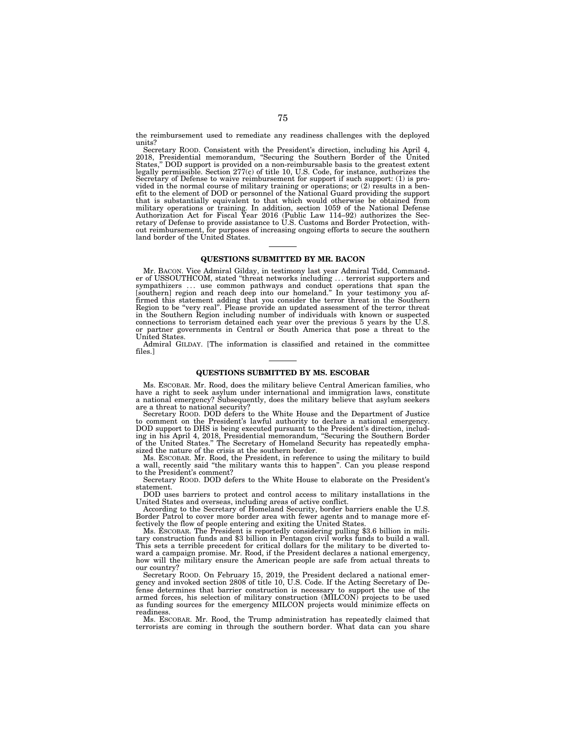the reimbursement used to remediate any readiness challenges with the deployed units?

Secretary ROOD. Consistent with the President's direction, including his April 4, 2018, Presidential memorandum, "Securing the Southern Border of the United States," DOD support is provided on a non-reimbursable basis to t legally permissible. Section 277(c) of title 10, U.S. Code, for instance, authorizes the Secretary of Defense to waive reimbursement for support if such support: (1) is provided in the normal course of military training or operations; or (2) results in a ben-efit to the element of DOD or personnel of the National Guard providing the support that is substantially equivalent to that which would otherwise be obtained from military operations or training. In addition, section 1059 of the National Defense<br>Authorization Act for Fiscal Year 2016 (Public Law 114–92) authorizes the Sec-<br>retary of Defense to provide assistance to U.S. Customs and out reimbursement, for purposes of increasing ongoing efforts to secure the southern land border of the United States.

# **QUESTIONS SUBMITTED BY MR. BACON**

Mr. BACON. Vice Admiral Gilday, in testimony last year Admiral Tidd, Commander of USSOUTHCOM, stated ''threat networks including . . . terrorist supporters and sympathizers ... use common pathways and conduct operations that span the [southern] region and reach deep into our homeland." In your testimony you affirmed this statement adding that you consider the terror threat in the in the Southern Region including number of individuals with known or suspected connections to terrorism detained each year over the previous 5 years by the U.S. or partner governments in Central or South America that pose United States.

Admiral GILDAY. [The information is classified and retained in the committee files.]

### **QUESTIONS SUBMITTED BY MS. ESCOBAR**

Ms. ESCOBAR. Mr. Rood, does the military believe Central American families, who have a right to seek asylum under international and immigration laws, constitute a national emergency? Subsequently, does the military believe that asylum seekers are a threat to national security?

Secretary ROOD. DOD defers to the White House and the Department of Justice to comment on the President's lawful authority to declare a national emergency. DOD support to DHS is being executed pursuant to the President's direction, including in his April 4, 2018, Presidential memorandum, ''Securing the Southern Border of the United States.'' The Secretary of Homeland Security has repeatedly emphasized the nature of the crisis at the southern border.

Ms. ESCOBAR. Mr. Rood, the President, in reference to using the military to build a wall, recently said ''the military wants this to happen''. Can you please respond to the President's comment?

Secretary ROOD. DOD defers to the White House to elaborate on the President's statement.

DOD uses barriers to protect and control access to military installations in the United States and overseas, including areas of active conflict.

According to the Secretary of Homeland Security, border barriers enable the U.S. Border Patrol to cover more border area with fewer agents and to manage more ef-fectively the flow of people entering and exiting the United States.

Ms. ESCOBAR. The President is reportedly considering pulling \$3.6 billion in mili- tary construction funds and \$3 billion in Pentagon civil works funds to build a wall. This sets a terrible precedent for critical dollars for the military to be diverted toward a campaign promise. Mr. Rood, if the President declares a national emergency, how will the military ensure the American people are safe from actual threats to our country?

Secretary ROOD. On February 15, 2019, the President declared a national emergency and invoked section 2808 of title 10, U.S. Code. If the Acting Secretary of Defense determines that barrier construction is necessary to support the use of the armed forces, his selection of military construction (MILCON) projects to be used as funding sources for the emergency MILCON projects would minimize effects on readiness.

Ms. ESCOBAR. Mr. Rood, the Trump administration has repeatedly claimed that terrorists are coming in through the southern border. What data can you share